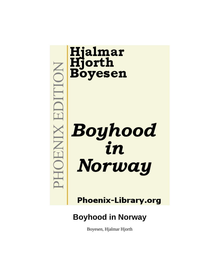# **Hjalmar<br>Hjorth<br>Boyesen** EDITION **Boyhood**<br>in XINEIOH Norway

**Phoenix-Library.org** 

# **Boyhood in Norway**

Boyesen, Hjalmar Hjorth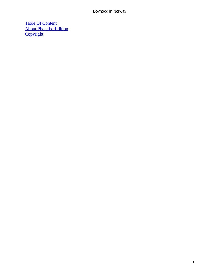[Table Of Content](#page-135-0) [About Phoenix−Edition](#page-137-0) **[Copyright](#page-140-0)**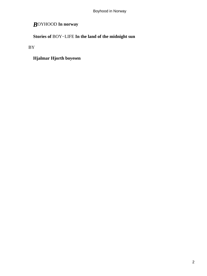# *B*OYHOOD **In norway**

**Stories of** BOY−LIFE **In the land of the midnight sun**

BY

**Hjalmar Hjorth boyesen**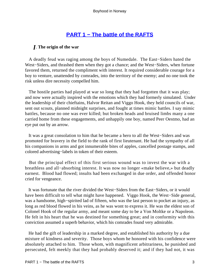# **[PART 1 − The battle of the RAFTS](#page-135-0)**

# *I*. **The origin of the war**

 A deadly feud was raging among the boys of Numedale. The East−Siders hated the West−Siders, and thrashed them when they got a chance; and the West−Siders, when fortune favored them, returned the compliment with interest. It required considerable courage for a boy to venture, unattended by comrades, into the territory of the enemy; and no one took the risk unless dire necessity compelled him.

 The hostile parties had played at war so long that they had forgotten that it was play; and now were actually inspired with the emotions which they had formerly simulated. Under the leadership of their chieftains, Halvor Reitan and Viggo Hook, they held councils of war, sent out scouts, planned midnight surprises, and fought at times mimic battles. I say mimic battles, because no one was ever killed; but broken heads and bruised limbs many a one carried home from these engagements, and unhappily one boy, named Peer Oestmo, had an eye put out by an arrow.

 It was a great consolation to him that he became a hero to all the West−Siders and was promoted for bravery in the field to the rank of first lieutenant. He had the sympathy of all his companions in arms and got innumerable bites of apples, cancelled postage stamps, and colored advertising−labels in token of their esteem.

 But the principal effect of this first serious wound was to invest the war with a breathless and all−absorbing interest. It was now no longer «make believe,» but deadly earnest. Blood had flowed; insults had been exchanged in due order, and offended honor cried for vengeance.

 It was fortunate that the river divided the West−Siders from the East−Siders, or it would have been difficult to tell what might have happened. Viggo Hook, the West−Side general, was a handsome, high−spirited lad of fifteen, who was the last person to pocket an injury, as long as red blood flowed in his veins, as he was wont to express it. He was the eldest son of Colonel Hook of the regular army, and meant some day to be a Von Moltke or a Napoleon. He felt in his heart that he was destined for something great; and in conformity with this conviction assumed a superb behavior, which his comrades found very admirable.

 He had the gift of leadership in a marked degree, and established his authority by a due mixture of kindness and severity. Those boys whom he honored with his confidence were absolutely attached to him. Those whom, with magnificent arbitrariness, he punished and persecuted, felt meekly that they had probably deserved it; and if they had not, it was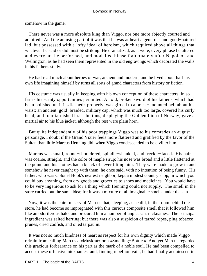somehow in the game.

 There never was a more absolute king than Viggo, nor one more abjectly courted and admired. And the amusing part of it was that he was at heart a generous and good−natured lad, but possessed with a lofty ideal of heroism, which required above all things that whatever he said or did must be striking. He dramatized, as it were, every phrase he uttered and every act he performed, and modelled himself alternately after Napoleon and Wellington, as he had seen them represented in the old engravings which decorated the walls in his father's study.

 He had read much about heroes of war, ancient and modern, and he lived about half his own life imagining himself by turns all sorts of grand characters from history or fiction.

 His costume was usually in keeping with his own conception of these characters, in so far as his scanty opportunities permitted. An old, broken sword of his father's, which had been polished until it «flashed» properly, was girded to a brass− mounted belt about his waist; an ancient, gold−braided, military cap, which was much too large, covered his curly head; and four tarnished brass buttons, displaying the Golden Lion of Norway, gave a martial air to his blue jacket, although the rest were plain horn.

 But quite independently of his poor trappings Viggo was to his comrades an august personage. I doubt if the Grand Vizier feels more flattered and gratified by the favor of the Sultan than little Marcus Henning did, when Viggo condescended to be civil to him.

 Marcus was small, round−shouldered, spindle−shanked, and freckle−faced. His hair was coarse, straight, and the color of maple sirup; his nose was broad and a little flattened at the point, and his clothes had a knack of never fitting him. They were made to grow in and somehow he never caught up with them, he once said, with no intention of being funny. His father, who was Colonel Hook's nearest neighbor, kept a modest country shop, in which you could buy anything, from dry goods and groceries to shoes and medicines. You would have to be very ingenious to ask for a thing which Henning could not supply. The smell in the store carried out the same idea; for it was a mixture of all imaginable smells under the sun.

 Now, it was the chief misery of Marcus that, sleeping, as he did, in the room behind the store, he had become so impregnated with this curious composite smell that it followed him like an odoriferous halo, and procured him a number of unpleasant nicknames. The principal ingredient was salted herring; but there was also a suspicion of tarred ropes, plug tobacco, prunes, dried codfish, and oiled tarpaulin.

 It was not so much kindness of heart as respect for his own dignity which made Viggo refrain from calling Marcus a «Muskrat» or a «Smelling−Bottle.» And yet Marcus regarded this gracious forbearance on his part as the mark of a noble soul. He had been compelled to accept these offensive nicknames, and, finding rebellion vain, he had finally acquiesced in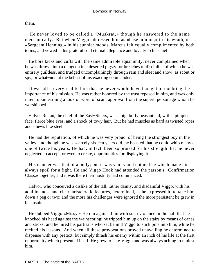them.

 He never loved to be called a «Muskrat,» though he answered to the name mechanically. But when Viggo addressed him as «base minion,» in his wrath, or as «Sergeant Henning,» in his sunnier moods, Marcus felt equally complimented by both terms, and vowed in his grateful soul eternal allegiance and loyalty to his chief.

 He bore kicks and cuffs with the same admirable equanimity; never complained when he was thrown into a dungeon in a deserted pigsty for breaches of discipline of which he was entirely guiltless, and trudged uncomplainingly through rain and sleet and snow, as scout or spy, or what−not, at the behest of his exacting commander.

 It was all so very real to him that he never would have thought of doubting the importance of his mission. He was rather honored by the trust reposed in him, and was only intent upon earning a look or word of scant approval from the superb personage whom he worshipped.

 Halvor Reitan, the chief of the East−Siders, was a big, burly peasant lad, with a pimpled face, fierce blue eyes, and a shock of towy hair. But he had muscles as hard as twisted ropes, and sinews like steel.

 He had the reputation, of which he was very proud, of being the strongest boy in the valley, and though he was scarcely sixteen years old, he boasted that he could whip many a one of twice his years. He had, in fact, been so praised for his strength that he never neglected to accept, or even to create, opportunities for displaying it.

 His manner was that of a bully; but it was vanity and not malice which made him always spoil for a fight. He and Viggo Hook had attended the parson's «Confirmation Class,» together, and it was there their hostility had commenced.

 Halvor, who conceived a dislike of the tall, rather dainty, and disdainful Viggo, with his aquiline nose and clear, aristocratic features, determined, as he expressed it, to take him down a peg or two; and the more his challenges were ignored the more persistent he grew in his insults.

 He dubbed Viggo «Missy.» He ran against him with such violence in the hall that he knocked his head against the wainscoting; he tripped him up on the stairs by means of canes and sticks; and he hired his partisans who sat behind Viggo to stick pins into him, while he recited his lessons. And when all these provocations proved unavailing he determined to dispense with any pretext, but simply thrash his enemy within an inch of his life at the first opportunity which presented itself. He grew to hate Viggo and was always aching to molest him.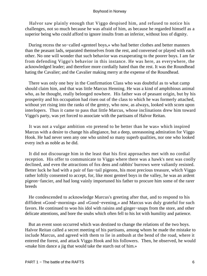Halvor saw plainly enough that Viggo despised him, and refused to notice his challenges, not so much because he was afraid of him, as because he regarded himself as a superior being who could afford to ignore insults from an inferior, without loss of dignity.

 During recess the so−called «genteel boys,» who had better clothes and better manners than the peasant lads, separated themselves from the rest, and conversed or played with each other. No one will wonder that such behavior was exasperating to the poorer boys. I am far from defending Viggo's behavior in this instance. He was here, as everywhere, the acknowledged leader; and therefore more cordially hated than the rest. It was the Roundhead hating the Cavalier; and the Cavalier making merry at the expense of the Roundhead.

 There was only one boy in the Confirmation Class who was doubtful as to what camp should claim him, and that was little Marcus Henning. He was a kind of amphibious animal who, as he thought, really belonged nowhere. His father was of peasant origin, but by his prosperity and his occupation had risen out of the class to which he was formerly attached, without yet rising into the ranks of the gentry, who now, as always, looked with scorn upon interlopers. Thus it came to pass that little Marcus, whose inclinations drew him toward Viggo's party, was yet forced to associate with the partisans of Halvor Reitan.

 It was not a vulgar ambition «to pretend to be better than he was» which inspired Marcus with a desire to change his allegiance, but a deep, unreasoning admiration for Viggo Hook. He had never seen any one who united so many superb qualities, nor one who looked every inch as noble as he did.

 It did not discourage him in the least that his first approaches met with no cordial reception. His offer to communicate to Viggo where there was a hawk's nest was coolly declined, and even the attractions of fox dens and rabbits' burrows were valiantly resisted. Better luck he had with a pair of fan−tail pigeons, his most precious treasure, which Viggo rather loftily consented to accept, for, like most genteel boys in the valley, he was an ardent pigeon−fancier, and had long vainly importuned his father to procure him some of the rarer breeds

 He condescended to acknowledge Marcus's greeting after that, and to respond to his diffident «Good−morning» and «Good−evening,» and Marcus was duly grateful for such favors. He continued to woo his idol with raisins and ginger−snaps from the store, and other delicate attentions, and bore the snubs which often fell to his lot with humility and patience.

 But an event soon occurred which was destined to change the relations of the two boys. Halvor Reitan called a secret meeting of his partisans, among whom he made the mistake to include Marcus, and agreed with them to lie in ambush at the bend of the road, where it entered the forest, and attack Viggo Hook and his followers. Then, he observed, he would «make him dance a jig that would take the starch out of him.»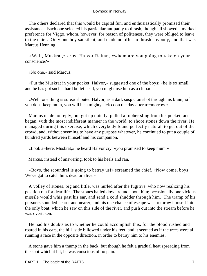The others declared that this would be capital fun, and enthusiastically promised their assistance. Each one selected his particular antipathy to thrash, though all showed a marked preference for Viggo, whom, however, for reason of politeness, they were obliged to leave to the chief. Only one boy sat silent, and made no offer to thrash anybody, and that was Marcus Henning.

 «Well, Muskrat,» cried Halvor Reitan, «whom are you going to take on your conscience?»

«No one,» said Marcus.

 «Put the Muskrat in your pocket, Halvor,» suggested one of the boys; «he is so small, and he has got such a hard bullet head, you might use him as a club.»

 «Well, one thing is sure,» shouted Halvor, as a dark suspicion shot through his brain, «if you don't keep mum, you will be a mighty sick coon the day after to−morrow.»

 Marcus made no reply, but got up quietly, pulled a rubber sling from his pocket, and began, with the most indifferent manner in the world, to shoot stones down the river. He managed during this exercise, which everybody found perfectly natural, to get out of the crowd, and, without seeming to have any purpose whatever, he continued to put a couple of hundred yards between himself and his companion.

«Look a−here, Muskrat,» he heard Halvor cry, «you promised to keep mum.»

Marcus, instead of answering, took to his heels and ran.

 «Boys, the scoundrel is going to betray us!» screamed the chief. «Now come, boys! We've got to catch him, dead or alive.»

 A volley of stones, big and little, was hurled after the fugitive, who now realizing his position ran for dear life. The stones hailed down round about him; occasionally one vicious missile would whiz past his ear, and send a cold shudder through him. The tramp of his pursuers sounded nearer and nearer, and his one chance of escape was to throw himself into the only boat, which he saw on this side of the river, and push out into the stream before he was overtaken.

 He had his doubts as to whether he could accomplish this, for the blood rushed and roared in his ears, the hill−side billowed under his feet, and it seemed as if the trees were all running a race in the opposite direction, in order to betray him to his enemies.

 A stone gave him a thump in the back, but though he felt a gradual heat spreading from the spot which it hit, he was conscious of no pain.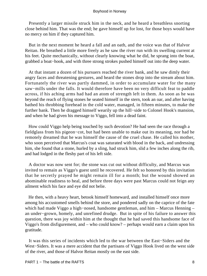Presently a larger missile struck him in the neck, and he heard a breathless snorting close behind him. That was the end; he gave himself up for lost, for those boys would have no mercy on him if they captured him.

 But in the next moment he heard a fall and an oath, and the voice was that of Halvor Reitan. He breathed a little more freely as he saw the river run with its swelling current at his feet. Quite mechanically, without clearly knowing what he did, he sprang into the boat, grabbed a boat−hook, and with three strong strokes pushed himself out into the deep water.

 At that instant a dozen of his pursuers reached the river bank, and he saw dimly their angry faces and threatening gestures, and heard the stones drop into the stream about him. Fortunately the river was partly dammed, in order to accumulate water for the many saw−mills under the falls. It would therefore have been no very difficult feat to paddle across, if his aching arms had had an atom of strength left in them. As soon as he was beyond the reach of flying stones he seated himself in the stern, took an oar, and after having bathed his throbbing forehead in the cold water, managed, in fifteen minutes, to make the further bank. Then he dragged himself wearily up the hill−side to Colonel Hook's mansion, and when he had given his message to Viggo, fell into a dead faint.

 How could Viggo help being touched by such devotion? He had seen the race through a fieldglass from his pigeon−cot, but had been unable to make out its meaning, nor had he remotely dreamed that he was himself the cause of the cruel chase. He called his mother, who soon perceived that Marcus's coat was saturated with blood in the back, and undressing him, she found that a stone, hurled by a sling, had struck him, slid a few inches along the rib, and had lodged in the fleshy part of his left side.

 A doctor was now sent for; the stone was cut out without difficulty, and Marcus was invited to remain as Viggo's guest until he recovered. He felt so honored by this invitation that he secretly prayed he might remain ill for a month; but the wound showed an abominable readiness to heal, and before three days were past Marcus could not feign any ailment which his face and eye did not belie.

 He then, with a heavy heart, betook himself homeward, and installed himself once more among his accustomed smells behind the store, and pondered sadly on the caprice of the fate which had made Viggo a high−nosed, handsome gentleman, and him – Marcus Henning – an under−grown, homely, and unrefined drudge. But in spite of his failure to answer this question, there was joy within him at the thought that he had saved this handsome face of Viggo's from disfigurement, and – who could know? – perhaps would earn a claim upon his gratitude.

 It was this series of incidents which led to the war between the East−Siders and the West−Siders. It was a mere accident that the partisans of Viggo Hook lived on the west side of the river, and those of Halvor Reitan mostly on the east side.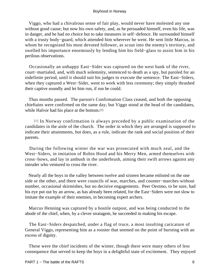Viggo, who had a chivalrous sense of fair play, would never have molested any one without good cause; but now his own safety, and, as he persuaded himself, even his life, was in danger, and he had no choice but to take measures in self−defence. He surrounded himself with a trusty body−guard, which attended him wherever he went. He sent little Marcus, in whom he recognized his most devoted follower, as scout into the enemy's territory, and swelled his importance enormously by lending him his field−glass to assist him in his perilous observations.

 Occasionally an unhappy East−Sider was captured on the west bank of the river, court−martialed, and, with much solemnity, sentenced to death as a spy, but paroled for an indefinite period, until it should suit his judges to execute the sentence. The East−Siders, when they captured a West−Sider, went to work with less ceremony; they simply thrashed their captive soundly and let him run, if run he could.

 Thus months passed. The parson's Confirmation Class ceased, and both the opposing chieftains were confirmed on the same day; but Viggo stood at the head of the candidates, while Halvor had his place at the bottom.[1]

[1] In Norway confirmation is always preceded by a public examination of the candidates in the aisle of the church. The order in which they are arranged is supposed to indicate their attainments, but does, as a rule, indicate the rank and social position of their parents.

 During the following winter the war was prosecuted with much zeal, and the West−Siders, in imitation of Robin Hood and his Merry Men, armed themselves with cross−bows, and lay in ambush in the underbrush, aiming their swift arrows against any intruder who ventured to cross the river.

 Nearly all the boys in the valley between twelve and sixteen became enlisted on the one side or the other, and there were councils of war, marches, and counter−marches without number, occasional skirmishes, but no decisive engagements. Peer Oestmo, to be sure, had his eye put out by an arrow, as has already been related, for the East−Siders were not slow to imitate the example of their enemies, in becoming expert archers.

 Marcus Henning was captured by a hostile outpost, and was being conducted to the abode of the chief, when, by a clever stratagem, he succeeded in making his escape.

 The East−Siders despatched, under a flag of truce, a most insulting caricature of General Viggo, representing him as a rooster that seemed on the point of bursting with an excess of dignity.

 These were the chief incidents of the winter, though there were many others of less consequence that served to keep the boys in a delightful state of excitement. They enjoyed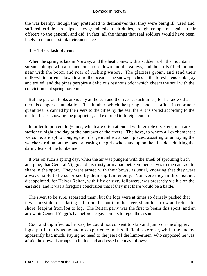the war keenly, though they pretended to themselves that they were being ill−used and suffered terrible hardships. They grumbled at their duties, brought complaints against their officers to the general, and did, in fact, all the things that real soldiers would have been likely to do under similar circumstances.

# II. − THE **Clash of arms**

 When the spring is late in Norway, and the heat comes with a sudden rush, the mountain streams plunge with a tremendous noise down into the valleys, and the air is filled far and near with the boom and roar of rushing waters. The glaciers groan, and send their milk−white torrents down toward the ocean. The snow−patches in the forest glens look gray and soiled, and the pines perspire a delicious resinous odor which cheers the soul with the conviction that spring has come.

 But the peasant looks anxiously at the sun and the river at such times, for he knows that there is danger of inundation. The lumber, which the spring floods set afloat in enormous quantities, is carried by the rivers to the cities by the sea; there it is sorted according to the mark it bears, showing the proprietor, and exported to foreign countries.

 In order to prevent log−jams, which are often attended with terrible disasters, men are stationed night and day at the narrows of the rivers. The boys, to whom all excitement is welcome, are apt to congregate in large numbers at such places, assisting or annoying the watchers, riding on the logs, or teasing the girls who stand up on the hillside, admiring the daring feats of the lumbermen.

 It was on such a spring day, when the air was pungent with the smell of sprouting birch and pine, that General Viggo and his trusty army had betaken themselves to the cataract to share in the sport. They were armed with their bows, as usual, knowing that they were always liable to be surprised by their vigilant enemy. Nor were they in this instance disappointed, for Halvor Reitan, with fifty or sixty followers, was presently visible on the east side, and it was a foregone conclusion that if they met there would be a battle.

 The river, to be sure, separated them, but the logs were at times so densely packed that it was possible for a daring lad to run far out into the river, shoot his arrow and return to shore, leaping from log to log. The Reitan party was the first to begin this sport, and an arrow hit General Viggo's hat before he gave orders to repel the assault.

 Cool and dignified as he was, he could not consent to skip and jump on the slippery logs, particularly as he had no experience in this difficult exercise, while the enemy apparently had much. Paying no heed to the jeers of the lumbermen, who supposed he was afraid, he drew his troops up in line and addressed them as follows: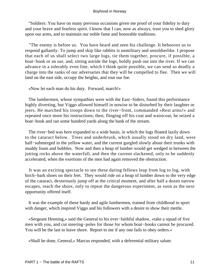"Soldiers: You have on many previous occasions given me proof of your fidelity to duty and your brave and fearless spirit. I know that I can, now as always, trust you to shed glory upon our arms, and to maintain our noble fame and honorable traditions.

 "The enemy is before us. You have heard and seen his challenge. It behooves us to respond gallantly. To jump and skip like rabbits is unmilitary and unsoldierlike. I propose that each of us shall select two large logs, tie them together, procure, if possible, a boat−hook or an oar, and, sitting astride the logs, boldly push out into the river. If we can advance in a tolerably even line, which I think quite possible, we can send so deadly a charge into the ranks of our adversaries that they will be compelled to flee. Then we will land on the east side, occupy the heights, and rout our foe.

«Now let each man do his duty. Forward, march!»

The lumbermen, whose sympathies were with the East–Siders, found this performance highly diverting, but Viggo allowed himself in nowise to be disturbed by their laughter or jeers. He marched his troops down to the river−front, commanded «Rest arms!» and repeated once more his instructions; then, flinging off his coat and waistcoat, he seized a boat−hook and ran some hundred yards along the bank of the stream.

 The river−bed was here expanded to a wide basin, in which the logs floated lazily down to the cataract below. Trees and underbrush, which usually stood on dry land, were half−submerged in the yellow water, and the current gurgled slowly about their trunks with muddy foam and bubbles. Now and then a heap of lumber would get wedged in between the jutting rocks above the waterfall, and then the current slackened, only to be suddenly accelerated, when the exertions of the men had again removed the obstruction.

 It was an exciting spectacle to see these daring fellows leap from log to log, with birch−bark shoes on their feet. They would ride on a heap of lumber down to the very edge of the cataract, dexterously jump off at the critical moment, and after half a dozen narrow escapes, reach the shore, only to repeat the dangerous experiment, as soon as the next opportunity offered itself.

 It was the example of these hardy and agile lumbermen, trained from childhood to sport with danger, which inspired Viggo and his followers with a desire to show their mettle.

 «Sergeant Henning,» said the General to his ever−faithful shadow, «take a squad of five men with you, and cut steering−poles for those for whom boat−hooks cannot be procured. You will be the last to leave shore. Report to me if any one fails to obey orders.»

«Shall be done, General,» Marcus responded, with a deferential military salute.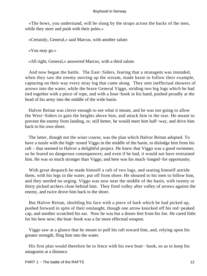«The bows, you understand, will be slung by the straps across the backs of the men, while they steer and push with their poles.»

«Certainly, General,» said Marcus, with another salute.

«You may go.»

«All right, General,» answered Marcus, with a third salute.

 And now began the battle. The East−Siders, fearing that a stratagem was intended, when they saw the enemy moving up the stream, made haste to follow their example, capturing on their way every stray log that came along. They sent ineffectual showers of arrows into the water, while the brave General Viggo, striding two big logs which he had tied together with a piece of rope, and with a boat−hook in his hand, pushed proudly at the head of his army into the middle of the wide basin.

 Halvor Reitan was clever enough to see what it meant, and he was not going to allow the West−Siders to gain the heights above him, and attack him in the rear. He meant to prevent the enemy from landing, or, still better, he would meet him half−way, and drive him back to his own shore.

 The latter, though not the wiser course, was the plan which Halvor Reitan adopted. To have a tussle with the high−nosed Viggo in the middle of the basin, to dislodge him from his raft – that seemed to Halvor a delightful project. He knew that Viggo was a good swimmer, so he feared no dangerous consequences; and even if he had, it would not have restrained him. He was so much stronger than Viggo, and here was his much−longed−for opportunity.

 With great despatch he made himself a raft of two logs, and seating himself astride them, with his legs in the water, put off from shore. He shouted to his men to follow him, and they needed no urging. Viggo was now near the middle of the basin, with twenty or thirty picked archers close behind him. They fired volley after volley of arrows against the enemy, and twice drove him back to the shore.

 But Halvor Reitan, shielding his face with a piece of bark which he had picked up, pushed forward in spite of their onslaught, though one arrow knocked off his red−peaked cap, and another scratched his ear. Now he was but a dozen feet from his foe. He cared little for his bow now; the boat−hook was a far more effectual weapon.

 Viggo saw at a glance that he meant to pull his raft toward him, and, relying upon his greater strength, fling him into the water.

 His first plan would therefore be to fence with his own boat− hook, so as to keep his antagonist at a distance.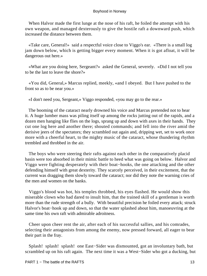When Halvor made the first lunge at the nose of his raft, he foiled the attempt with his own weapon, and managed dexterously to give the hostile raft a downward push, which increased the distance between them.

 «Take care, General!» said a respectful voice close to Viggo's ear. «There is a small log jam down below, which is getting bigger every moment. When it is got afloat, it will be dangerous out here.»

 «What are you doing here, Sergeant?» asked the General, severely. «Did I not tell you to be the last to leave the shore?»

 «You did, General,» Marcus replied, meekly, «and I obeyed. But I have pushed to the front so as to be near you.»

«I don't need you, Sergeant,» Viggo responded, «you may go to the rear.»

 The booming of the cataract nearly drowned his voice and Marcus pretended not to hear it. A huge lumber mass was piling itself up among the rocks jutting out of the rapids, and a dozen men hanging like flies on the logs, sprang up and down with axes in their hands. They cut one log here and another there; shouted commands; and fell into the river amid the derisive jeers of the spectators; they scrambled out again and, dripping wet, set to work once more with a cheerful heart, to the mighty music of the cataract, whose thundering rhythm trembled and throbbed in the air.

 The boys who were steering their rafts against each other in the comparatively placid basin were too absorbed in their mimic battle to heed what was going on below. Halvor and Viggo were fighting desperately with their boat−hooks, the one attacking and the other defending himself with great dexterity. They scarcely perceived, in their excitement, that the current was dragging them slowly toward the cataract; nor did they note the warning cries of the men and women on the banks.

 Viggo's blood was hot, his temples throbbed, his eyes flashed. He would show this miserable clown who had dared to insult him, that the trained skill of a gentleman is worth more than the rude strength of a bully. With beautiful precision he foiled every attack; struck Halvor's boat−hook up and down, so that the water splashed about him, manoeuvring at the same time his own raft with admirable adroitness.

 Cheer upon cheer rent the air, after each of his successful sallies, and his comrades, selecting their antagonists from among the enemy, now pressed forward, all eager to bear their part in the fray.

 Splash! splash! splash! one East−Sider was dismounted, got an involuntary bath, but scrambled up on his raft again. The next time it was a West−Sider who got a ducking, but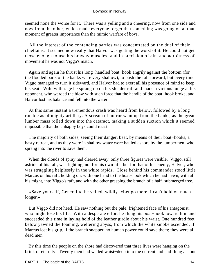seemed none the worse for it. There was a yelling and a cheering, now from one side and now from the other, which made everyone forget that something was going on at that moment of greater importance than the mimic warfare of boys.

 All the interest of the contending parties was concentrated on the duel of their chieftains. It seemed now really that Halvor was getting the worst of it. He could not get close enough to use his brawny muscles; and in precision of aim and adroitness of movement he was not Viggo's match.

 Again and again he thrust his long−handled boat−hook angrily against the bottom (for the flooded parts of the banks were very shallow), to push the raft forward, but every time Viggo managed to turn it sideward, and Halvor had to exert all his presence of mind to keep his seat. Wild with rage he sprang up on his slender raft and made a vicious lunge at his opponent, who warded the blow with such force that the handle of the boat−hook broke, and Halvor lost his balance and fell into the water.

 At this same instant a tremendous crash was heard from below, followed by a long rumble as of mighty artillery. A scream of horror went up from the banks, as the great lumber mass rolled down into the cataract, making a sudden suction which it seemed impossible that the unhappy boys could resist.

 The majority of both sides, seeing their danger, beat, by means of their boat−hooks, a hasty retreat, and as they were in shallow water were hauled ashore by the lumbermen, who sprang into the river to save them.

 When the clouds of spray had cleared away, only three figures were visible. Viggo, still astride of his raft, was fighting, not for his own life, but for that of his enemy, Halvor, who was struggling helplessly in the white rapids. Close behind his commander stood little Marcus on his raft, holding on, with one hand to the boat−hook which he had hewn, with all his might, into Viggo's raft, and with the other grasping the branch of a half−submerged tree.

 «Save yourself, General!» he yelled, wildly. «Let go there. I can't hold on much longer.»

 But Viggo did not heed. He saw nothing but the pale, frightened face of his antagonist, who might lose his life. With a desperate effort he flung his boat−hook toward him and succeeded this time in laying hold of the leather girdle about his waist. One hundred feet below yawned the foaming, weltering abyss, from which the white smoke ascended. If Marcus lost his grip, if the branch snapped no human power could save them; they were all dead men.

 By this time the people on the shore had discovered that three lives were hanging on the brink of eternity. Twenty men had waded waist−deep into the current and had flung a stout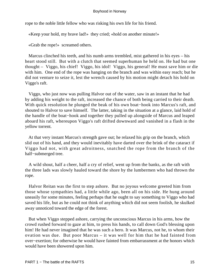rope to the noble little fellow who was risking his own life for his friend.

«Keep your hold, my brave lad!» they cried; «hold on another minute!»

«Grab the rope!» screamed others.

 Marcus clinched his teeth, and his numb arms trembled, mist gathered in his eyes – his heart stood still. But with a clutch that seemed superhuman he held on. He had but one thought – Viggo, his chief! Viggo, his idol! Viggo, his general! He must save him or die with him. One end of the rope was hanging on the branch and was within easy reach; but he did not venture to seize it, lest the wrench caused by his motion might detach his hold on Viggo's raft.

 Viggo, who just now was pulling Halvor out of the water, saw in an instant that he had by adding his weight to the raft, increased the chance of both being carried to their death. With quick resolution he plunged the beak of his own boat−hook into Marcus's raft, and shouted to Halvor to save himself. The latter, taking in the situation at a glance, laid hold of the handle of the boat−hook and together they pulled up alongside of Marcus and leaped aboard his raft, whereupon Viggo's raft drifted downward and vanished in a flash in the yellow torrent.

 At that very instant Marcus's strength gave out; he relaxed his grip on the branch, which slid out of his hand, and they would inevitably have darted over the brink of the cataract if Viggo had not, with great adroitness, snatched the rope from the branch of the half−submerged tree.

 A wild shout, half a cheer, half a cry of relief, went up from the banks, as the raft with the three lads was slowly hauled toward the shore by the lumbermen who had thrown the rope.

 Halvor Reitan was the first to step ashore. But no joyous welcome greeted him from those whose sympathies had, a little while ago, been all on his side. He hung around uneasily for some minutes, feeling perhaps that he ought to say something to Viggo who had saved his life, but as he could not think of anything which did not seem foolish, he skulked away unnoticed toward the edge of the forest.

 But when Viggo stepped ashore, carrying the unconscious Marcus in his arms, how the crowd rushed forward to gaze at him, to press his hands, to call down God's blessing upon him! He had never imagined that he was such a hero. It was Marcus, not he, to whom their ovation was due. But poor Marcus – it was well for him that he had fainted from over−exertion; for otherwise he would have fainted from embarrassment at the honors which would have been showered upon him.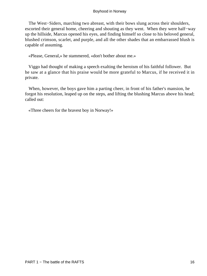The West–Siders, marching two abreast, with their bows slung across their shoulders, escorted their general home, cheering and shouting as they went. When they were half−way up the hillside, Marcus opened his eyes, and finding himself so close to his beloved general, blushed crimson, scarlet, and purple, and all the other shades that an embarrassed blush is capable of assuming.

«Please, General,» he stammered, «don't bother about me.»

 Viggo had thought of making a speech exalting the heroism of his faithful follower. But he saw at a glance that his praise would be more grateful to Marcus, if he received it in private.

 When, however, the boys gave him a parting cheer, in front of his father's mansion, he forgot his resolution, leaped up on the steps, and lifting the blushing Marcus above his head; called out:

«Three cheers for the bravest boy in Norway!»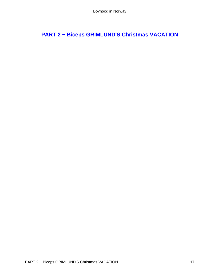**[PART 2 − Biceps GRIMLUND'S Christmas VACATION](#page-135-0)**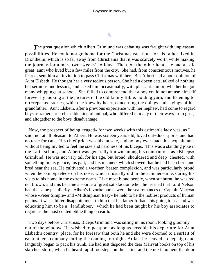# **[I.](#page-135-0)**

**The great question which Albert Grimlund was debating was fraught with unpleasant** possibilities. He could not go home for the Christmas vacation, for his father lived in Drontheim, which is so far away from Christiania that it was scarcely worth while making the journey for a mere two−weeks' holiday. Then, on the other hand, he had an old great−aunt who lived but a few miles from the city. She had, from conscientious motives, he feared, sent him an invitation to pass Christmas with her. But Albert had a poor opinion of Aunt Elsbeth. He thought her a very tedious person. She had a dozen cats, talked of nothing but sermons and lessons, and asked him occasionally, with pleasant humor, whether he got many whippings at school. She failed to comprehend that a boy could not amuse himself forever by looking at the pictures in the old family Bible, holding yarn, and listening to oft−repeated stories, which he knew by heart, concerning the doings and sayings of his grandfather. Aunt Elsbeth, after a previous experience with her nephew, had come to regard boys as rather a reprehensible kind of animal, who differed in many of their ways from girls, and altogether to the boys' disadvantage.

 Now, the prospect of being «caged» for two weeks with this estimable lady was, as I said, not at all pleasant to Albert. He was sixteen years old, loved out−door sports, and had no taste for cats. His chief pride was his muscle, and no boy ever made his acquaintance without being invited to feel the size and hardness of his biceps. This was a standing joke in the Latin school, and Albert was generally known among his companions as «Biceps» Grimlund. He was not very tall for his age, but broad−shouldered and deep−chested, with something in his glance, his gait, and his manners which showed that he had been born and bred near the sea. He cultivated a weather−beaten complexion, and was particularly proud when the skin «peeled» on his nose, which it usually did in the summer−time, during his visits to his home in the extreme north. Like most blond people, when sunburnt, he was red, not brown; and this became a source of great satisfaction when he learned that Lord Nelson had the same peculiarity. Albert's favorite books were the sea romances of Captain Marryat, whose «Peter Simple» and «Midshipman Easy» he held to be the noblest products of human genius. It was a bitter disappointment to him that his father forbade his going to sea and was educating him to be a «landlubber,» which he had been taught by his boy associates to regard as the most contemptible thing on earth.

 Two days before Christmas, Biceps Grimlund was sitting in his room, looking gloomily out of the window. He wished to postpone as long as possible his departure for Aunt Elsbeth's country−place, for he foresaw that both he and she were doomed to a surfeit of each other's company during the coming fortnight. At last he heaved a deep sigh and languidly began to pack his trunk. He had just disposed the dear Marryat books on top of his starched shirts, when he heard rapid footsteps on the stairs, and the next moment the door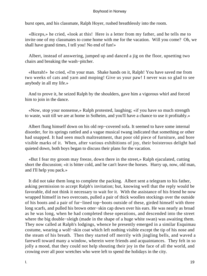burst open, and his classmate, Ralph Hoyer, rushed breathlessly into the room.

 «Biceps,» he cried, «look at this! Here is a letter from my father, and he tells me to invite one of my classmates to come home with me for the vacation. Will you come? Oh, we shall have grand times, I tell you! No end of fun!»

 Albert, instead of answering, jumped up and danced a jig on the floor, upsetting two chairs and breaking the wash−pitcher.

 «Hurrah!» he cried, «I'm your man. Shake hands on it, Ralph! You have saved me from two weeks of cats and yarn and moping! Give us your paw! I never was so glad to see anybody in all my life.»

 And to prove it, he seized Ralph by the shoulders, gave him a vigorous whirl and forced him to join in the dance.

 «Now, stop your nonsense,» Ralph protested, laughing; «if you have so much strength to waste, wait till we are at home in Solheim, and you'll have a chance to use it profitably.»

 Albert flung himself down on his old rep−covered sofa. It seemed to have some internal disorder, for its springs rattled and a vague musical twang indicated that something or other had snapped. It had seen much maltreatment, that poor old piece of furniture, and bore visible marks of it. When, after various exhibitions of joy, their boisterous delight had quieted down, both boys began to discuss their plans for the vacation.

 «But I fear my groom may freeze, down there in the street,» Ralph ejaculated, cutting short the discussion; «it is bitter cold, and he can't leave the horses. Hurry up, now, old man, and I'll help you pack.»

 It did not take them long to complete the packing. Albert sent a telegram to his father, asking permission to accept Ralph's invitation; but, knowing well that the reply would be favorable, did not think it necessary to wait for it. With the assistance of his friend he now wrapped himself in two overcoats, pulled a pair of thick woollen stockings over the outside of his boots and a pair of fur−lined top−boots outside of these, girded himself with three long scarfs, and pulled his brown otter−skin cap down over his ears. He was nearly as broad as he was long, when he had completed these operations, and descended into the street where the big double−sleigh (made in the shape of a huge white swan) was awaiting them. They now called at Ralph's lodgings, whence he presently emerged in a similar Esquimau costume, wearing a wolf−skin coat which left nothing visible except the tip of his nose and the steam of his breath. Then they started off merrily with jingling bells, and waved a farewell toward many a window, wherein were friends and acquaintances. They felt in so jolly a mood, that they could not help shouting their joy in the face of all the world, and crowing over all poor wretches who were left to spend the holidays in the city.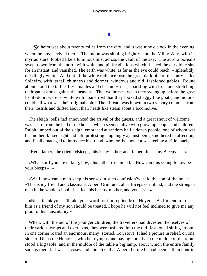# **[II.](#page-135-0)**

*S*olheim was about twenty miles from the city, and it was nine o'clock in the evening when the boys arrived there. The moon was shining brightly, and the Milky Way, with its myriad stars, looked like a luminous mist across the vault of the sky. The aurora borealis swept down from the north with white and pink radiations which flushed the dark blue sky for an instant, and vanished. The earth was white, as far as the eye could reach – splendidly, dazzlingly white. And out of the white radiance rose the great dark pile of masonry called Solheim, with its tall chimneys and dormer−windows and old−fashioned gables. Round about stood the tall leafless maples and chestnut−trees, sparkling with frost and stretching their gaunt arms against the heavens. The two horses, when they swung up before the great front−door, were so white with hoar−frost that they looked shaggy like goats, and no one could tell what was their original color. Their breath was blown in two vapory columns from their nostrils and drifted about their heads like steam about a locomotive.

 The sleigh−bells had announced the arrival of the guests, and a great shout of welcome was heard from the hall of the house, which seemed alive with grownup people and children. Ralph jumped out of the sleigh, embraced at random half a dozen people, one of whom was his mother, kissed right and left, protesting laughingly against being smothered in affection, and finally managed to introduce his friend, who for the moment was feeling a trifle lonely.

«Here, father,» he cried. «Biceps, this is my father; and, father, this is my Biceps  $-\rightarrow$ 

 «What stuff you are talking, boy,» his father exclaimed. «How can this young fellow be your biceps  $- \rightarrow \infty$ 

 «Well, how can a man keep his senses in such confusion?» said the son of the house. «This is my friend and classmate, Albert Grimlund, alias Biceps Grimlund, and the strongest man in the whole school. Just feel his biceps, mother, and you'll see.»

 «No, I thank you. I'll take your word for it,» replied Mrs. Hoyer. «As I intend to treat him as a friend of my son should be treated, I hope he will not feel inclined to give me any proof of his muscularity.»

 When, with the aid of the younger children, the travellers had divested themselves of their various wraps and overcoats, they were ushered into the old−fashioned sitting−room. In one corner roared an enormous, many−storied, iron stove. It had a picture in relief, on one side, of Diana the Huntress, with her nymphs and baying hounds. In the middle of the room stood a big table, and in the middle of the table a big lamp, about which the entire family soon gathered. It was so cosey and homelike that Albert, before he had been half an hour in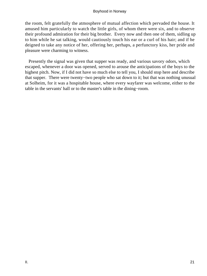the room, felt gratefully the atmosphere of mutual affection which pervaded the house. It amused him particularly to watch the little girls, of whom there were six, and to observe their profound admiration for their big brother. Every now and then one of them, sidling up to him while he sat talking, would cautiously touch his ear or a curl of his hair; and if he deigned to take any notice of her, offering her, perhaps, a perfunctory kiss, her pride and pleasure were charming to witness.

 Presently the signal was given that supper was ready, and various savory odors, which escaped, whenever a door was opened, served to arouse the anticipations of the boys to the highest pitch. Now, if I did not have so much else to tell you, I should stop here and describe that supper. There were twenty−two people who sat down to it; but that was nothing unusual at Solheim, for it was a hospitable house, where every wayfarer was welcome, either to the table in the servants' hall or to the master's table in the dining−room.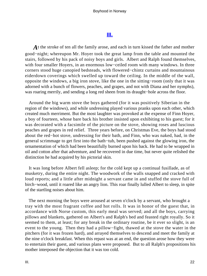# **[III.](#page-135-0)**

*A*t the stroke of ten all the family arose, and each in turn kissed the father and mother good−night; whereupon Mr. Hoyer took the great lamp from the table and mounted the stairs, followed by his pack of noisy boys and girls. Albert and Ralph found themselves, with four smaller Hoyers, in an enormous low−ceiled room with many windows. In three corners stood huge canopied bedsteads, with flowered−chintz curtains and mountainous eiderdown coverings which swelled up toward the ceiling. In the middle of the wall, opposite the windows, a big iron stove, like the one in the sitting−room (only that it was adorned with a bunch of flowers, peaches, and grapes, and not with Diana and her nymphs), was roaring merrily, and sending a long red sheen from its draught−hole across the floor.

 Around the big warm stove the boys gathered (for it was positively Siberian in the region of the windows), and while undressing played various pranks upon each other, which created much merriment. But the most laughter was provoked at the expense of Finn Hoyer, a boy of fourteen, whose bare back his brother insisted upon exhibiting to his guest; for it was decorated with a facsimile of the picture on the stove, showing roses and luscious peaches and grapes in red relief. Three years before, on Christmas Eve, the boys had stood about the red−hot stove, undressing for their bath, and Finn, who was naked, had, in the general scrimmage to get first into the bath−tub, been pushed against the glowing iron, the ornamentation of which had been beautifully burned upon his back. He had to be wrapped in oil and cotton after that adventure, and he recovered in due time, but never quite relished the distinction he had acquired by his pictorial skin.

 It was long before Albert fell asleep; for the cold kept up a continual fusillade, as of musketry, during the entire night. The woodwork of the walls snapped and cracked with loud reports; and a little after midnight a servant came in and stuffed the stove full of birch−wood, until it roared like an angry lion. This roar finally lulled Albert to sleep, in spite of the startling noises about him.

 The next morning the boys were aroused at seven o'clock by a servant, who brought a tray with the most fragrant coffee and hot rolls. It was in honor of the guest that, in accordance with Norse custom, this early meal was served; and all the boys, carrying pillows and blankets, gathered on Albert's and Ralph's bed and feasted right royally. So it seemed to them, at least; for any break in the ordinary routine, be it ever so slight, is an event to the young. Then they had a pillow−fight, thawed at the stove the water in the pitchers (for it was frozen hard), and arrayed themselves to descend and meet the family at the nine o'clock breakfast. When this repast was at an end, the question arose how they were to entertain their guest, and various plans were proposed. But to all Ralph's propositions his mother interposed the objection that it was too cold.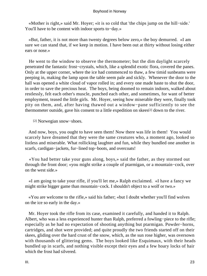«Mother is right,» said Mr. Hoyer; «it is so cold that 'the chips jump on the hill−side.' You'll have to be content with indoor sports to−day.»

 «But, father, it is not more than twenty degrees below zero,» the boy demurred. «I am sure we can stand that, if we keep in motion. I have been out at thirty without losing either ears or nose.»

 He went to the window to observe the thermometer; but the dim daylight scarcely penetrated the fantastic frost−crystals, which, like a splendid exotic flora, covered the panes. Only at the upper corner, where the ice had commenced to thaw, a few timid sunbeams were peeping in, making the lamp upon the table seem pale and sickly. Whenever the door to the hall was opened a white cloud of vapor rolled in; and every one made haste to shut the door, in order to save the precious heat. The boys, being doomed to remain indoors, walked about restlessly, felt each other's muscle, punched each other, and sometimes, for want of better employment, teased the little girls. Mr. Hoyer, seeing how miserable they were, finally took pity on them, and, after having thawed out a window−pane sufficiently to see the thermometer outside, gave his consent to a little expedition on skees[2] down to the river.

[2] Norwegian snow–shoes.

 And now, boys, you ought to have seen them! Now there was life in them! You would scarcely have dreamed that they were the same creatures who, a moment ago, looked so listless and miserable. What rollicking laughter and fun, while they bundled one another in scarfs, cardigan−jackets, fur−lined top−boots, and overcoats!

 «You had better take your guns along, boys,» said the father, as they stormed out through the front door; «you might strike a couple of ptarmigan, or a mountain−cock, over on the west side.»

 «I am going to take your rifle, if you'll let me,» Ralph exclaimed. «I have a fancy we might strike bigger game than mountain−cock. I shouldn't object to a wolf or two.»

 «You are welcome to the rifle,» said his father; «but I doubt whether you'll find wolves on the ice so early in the day.»

 Mr. Hoyer took the rifle from its case, examined it carefully, and handed it to Ralph. Albert, who was a less experienced hunter than Ralph, preferred a fowling−piece to the rifle; especially as he had no expectation of shooting anything but ptarmigan. Powder−horns, cartridges, and shot were provided; and quite proudly the two friends started off on their skees, gliding over the hard crust of the snow, which, as the sun rose higher, was oversown with thousands of glittering gems. The boys looked like Esquimaux, with their heads bundled up in scarfs, and nothing visible except their eyes and a few hoary locks of hair which the frost had silvered.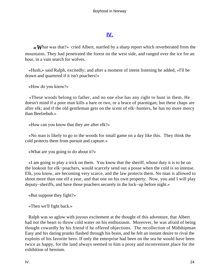# **[IV.](#page-135-0)**

*«What was that?»* cried Albert, startled by a sharp report which reverberated from the mountains. They had penetrated the forest on the west side, and ranged over the ice for an hour, in a vain search for wolves.

 «Hush,» said Ralph, excitedly; and after a moment of intent listening he added, «I'll be drawn and quartered if it isn't poachers!»

«How do you know?»

 «These woods belong to father, and no one else has any right to hunt in them. He doesn't mind if a poor man kills a hare or two, or a brace of ptarmigan; but these chaps are after elk; and if the old gentleman gets on the scent of elk−hunters, he has no more mercy than Beelzebub.»

«How can you know that they are after elk?»

 «No man is likely to go to the woods for small game on a day like this. They think the cold protects them from pursuit and capture.»

«What are you going to do about it?»

 «I am going to play a trick on them. You know that the sheriff, whose duty it is to be on the lookout for elk−poachers, would scarcely send out a posse when the cold is so intense. Elk, you know, are becoming very scarce, and the law protects them. No man is allowed to shoot more than one elf a year, and that one on his own property. Now, you and I will play deputy−sheriffs, and have those poachers securely in the lock−up before night.»

«But suppose they fight?»

«Then we'll fight back.»

 Ralph was so aglow with joyous excitement at the thought of this adventure, that Albert had not the heart to throw cold water on his enthusiasm. Moreover, he was afraid of being thought cowardly by his friend if he offered objections. The recollection of Midshipman Easy and his daring pranks flashed through his brain, and he felt an instant desire to rival the exploits of his favorite hero. If only the enterprise had been on the sea he would have been twice as happy, for the land always seemed to him a prosy and inconvenient place for the exhibition of heroism.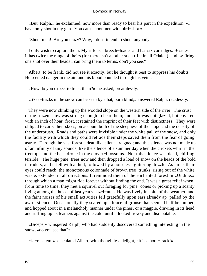«But, Ralph,» he exclaimed, now more than ready to bear his part in the expedition, «I have only shot in my gun. You can't shoot men with bird−shot.»

"Shoot men! Are you crazy? Why, I don't intend to shoot anybody.

 I only wish to capture them. My rifle is a breech−loader and has six cartridges. Besides, it has twice the range of theirs (for there isn't another such rifle in all Odalen), and by firing one shot over their heads I can bring them to terms, don't you see?"

 Albert, to be frank, did not see it exactly; but he thought it best to suppress his doubts. He scented danger in the air, and his blood bounded through his veins.

«How do you expect to track them?» he asked, breathlessly.

«Skee−tracks in the snow can be seen by a bat, born blind,» answered Ralph, recklessly.

 They were now climbing up the wooded slope on the western side of the river. The crust of the frozen snow was strong enough to bear them; and as it was not glazed, but covered with an inch of hoar−frost, it retained the imprint of their feet with distinctness. They were obliged to carry their skees, on account both of the steepness of the slope and the density of the underbrush. Roads and paths were invisible under the white pall of the snow, and only the facility with which they could retrace their steps saved them from the fear of going astray. Through the vast forest a deathlike silence reigned; and this silence was not made up of an infinity of tiny sounds, like the silence of a summer day when the crickets whirr in the treetops and the bees drone in the clover−blossoms. No; this silence was dead, chilling, terrible. The huge pine−trees now and then dropped a load of snow on the heads of the bold intruders, and it fell with a thud, followed by a noiseless, glittering drizzle. As far as their eyes could reach, the monotonous colonnade of brown tree−trunks, rising out of the white waste, extended in all directions. It reminded them of the enchanted forest in «Undine,» through which a man might ride forever without finding the end. It was a great relief when, from time to time, they met a squirrel out foraging for pine−cones or picking up a scanty living among the husks of last year's hazel−nuts. He was lively in spite of the weather, and the faint noises of his small activities fell gratefully upon ears already ap−palled by the awful silence. Occasionally they scared up a brace of grouse that seemed half benumbed, and hopped about in a melancholy manner under the pines, or a magpie, drawing in its head and ruffling up its feathers against the cold, until it looked frowsy and disreputable.

 «Biceps,» whispered Ralph, who had suddenly discovered something interesting in the snow, «do you see that?»

«Je−rusalem!» ejaculated Albert, with thoughtless delight, «it is a hoof−track!»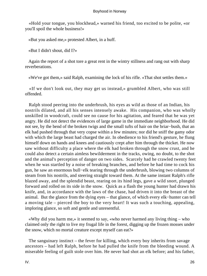«Hold your tongue, you blockhead,» warned his friend, too excited to be polite, «or you'll spoil the whole business!»

«But you asked me,» protested Albert, in a huff.

«But I didn't shout, did I?»

 Again the report of a shot tore a great rent in the wintry stillness and rang out with sharp reverberations.

«We've got them,» said Ralph, examining the lock of his rifle. «That shot settles them.»

 «If we don't look out, they may get us instead,» grumbled Albert, who was still offended.

 Ralph stood peering into the underbrush, his eyes as wild as those of an Indian, his nostrils dilated, and all his senses intensely awake. His companion, who was wholly unskilled in woodcraft, could see no cause for his agitation, and feared that he was yet angry. He did not detect the evidences of large game in the immediate neighborhood. He did not see, by the bend of the broken twigs and the small tufts of hair on the briar−bush, that an elk had pushed through that very copse within a few minutes; nor did he sniff the gamy odor with which the large beast had charged the air. In obedience to his friend's gesture, he flung himself down on hands and knees and cautiously crept after him through the thicket. He now saw without difficulty a place where the elk had broken through the snow crust, and he could also detect a certain aimless bewilderment in the tracks, owing, no doubt, to the shot and the animal's perception of danger on two sides. Scarcely had he crawled twenty feet when he was startled by a noise of breaking branches, and before he had time to cock his gun, he saw an enormous bull−elk tearing through the underbrush, blowing two columns of steam from his nostrils, and steering straight toward them. At the same instant Ralph's rifle blazed away, and the splendid beast, rearing on its hind legs, gave a wild snort, plunged forward and rolled on its side in the snow. Quick as a flash the young hunter had drawn his knife, and, in accordance with the laws of the chase, had driven it into the breast of the animal. But the glance from the dying eyes – that glance, of which every elk−hunter can tell a moving tale – pierced the boy to the very heart! It was such a touching, appealing, imploring glance, so soft and gentle and unresentful.

 «Why did you harm me,» it seemed to say, «who never harmed any living thing – who claimed only the right to live my frugal life in the forest, digging up the frozen mosses under the snow, which no mortal creature except myself can eat?»

 The sanguinary instinct – the fever for killing, which every boy inherits from savage ancestors – had left Ralph, before he had pulled the knife from the bleeding wound. A miserable feeling of guilt stole over him. He never had shot an elk before; and his father,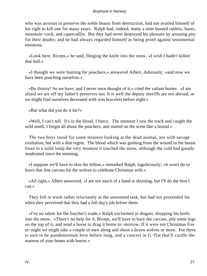who was anxious to preserve the noble beasts from destruction, had not availed himself of his right to kill one for many years. Ralph had, indeed, many a time hunted rabbits, hares, mountain−cock, and capercaillie. But they had never destroyed his pleasure by arousing pity for their deaths; and he had always regarded himself as being proof against sentimental emotions.

 «Look here, Biceps,» he said, flinging the knife into the snow, «I wish I hadn't killed that bull.»

 «I thought we were hunting for poachers,» answered Albert, dubiously; «and now we have been poaching ourselves.»

 «By Jiminy! So we have; and I never once thought of it,» cried the valiant hunter. «I am afraid we are off my father's preserves too. It is well the deputy sheriffs are not abroad, or we might find ourselves decorated with iron bracelets before night.»

«But what did you do it for?»

 «Well, I can't tell. It's in the blood, I fancy. The moment I saw the track and caught the wild smell, I forgot all about the poachers, and started on the scent like a hound.»

 The two boys stood for some minutes looking at the dead animal, not with savage exultation, but with a dim regret. The blood which was gushing from the wound in the breast froze in a solid lump the very moment it touched the snow, although the cold had greatly moderated since the morning.

 «I suppose we'll have to skin the fellow,» remarked Ralph, lugubriously; «it won't do to leave that fine carcass for the wolves to celebrate Christmas with.»

 «All right,» Albert answered, «I am not much of a hand at skinning, but I'll do the best I can.»

 They fell to work rather reluctantly at the unwonted task, but had not proceeded far when they perceived that they had a full day's job before them.

 «I've no talent for the butcher's trade,» Ralph exclaimed in disgust, dropping his knife into the snow. «There's no help for it, Biceps, we'll have to bury the carcass, pile some logs on the top of it, and send a horse to drag it home to−morrow. If it were not Christmas Eve to−night we might take a couple of men along and shoot a dozen wolves or more. For there is sure to be pandemonium here before long, and a concert in G−flat that'll curdle the marrow of your bones with horror.»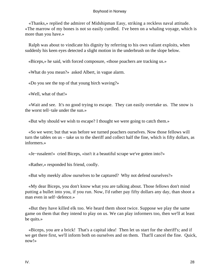«Thanks,» replied the admirer of Midshipman Easy, striking a reckless naval attitude. «The marrow of my bones is not so easily curdled. I've been on a whaling voyage, which is more than you have.»

 Ralph was about to vindicate his dignity by referring to his own valiant exploits, when suddenly his keen eyes detected a slight motion in the underbrush on the slope below.

«Biceps,» he said, with forced composure, «those poachers are tracking us.»

«What do you mean?» asked Albert, in vague alarm.

«Do you see the top of that young birch waving?»

«Well, what of that!»

 «Wait and see. It's no good trying to escape. They can easily overtake us. The snow is the worst tell−tale under the sun.»

«But why should we wish to escape? I thought we were going to catch them.»

 «So we were; but that was before we turned poachers ourselves. Now those fellows will turn the tables on us – take us to the sheriff and collect half the fine, which is fifty dollars, as informers.»

«Je−rusalem!» cried Biceps, «isn't it a beautiful scrape we've gotten into?»

«Rather,» responded his friend, coolly.

«But why meekly allow ourselves to be captured? Why not defend ourselves?»

 «My dear Biceps, you don't know what you are talking about. Those fellows don't mind putting a bullet into you, if you run. Now, I'd rather pay fifty dollars any day, than shoot a man even in self−defence.»

 «But they have killed elk too. We heard them shoot twice. Suppose we play the same game on them that they intend to play on us. We can play informers too, then we'll at least be quits.»

 «Biceps, you are a brick! That's a capital idea! Then let us start for the sheriff's; and if we get there first, we'll inform both on ourselves and on them. That'll cancel the fine. Quick, now!»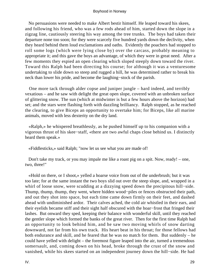No persuasions were needed to make Albert bestir himself. He leaped toward his skees, and following his friend, who was a few rods ahead of him, started down the slope in a zigzag line, cautiously steering his way among the tree trunks. The boys had taken their departure none too soon; for they were scarcely five hundred yards down the declivity, when they heard behind them loud exclamations and oaths. Evidently the poachers had stopped to roll some logs (which were lying close by) over the carcass, probably meaning to appropriate it; and this gave the boys an advantage, of which they were in great need. After a few moments they espied an open clearing which sloped steeply down toward the river. Toward this Ralph had been directing his course; for although it was a venturesome undertaking to slide down so steep and rugged a hill, he was determined rather to break his neck than lower his pride, and become the laughing−stock of the parish.

 One more tack through alder copse and juniper jungle – hard indeed, and terribly vexatious – and he saw with delight the great open slope, covered with an unbroken surface of glittering snow. The sun (which at midwinter is but a few hours above the horizon) had set; and the stars were flashing forth with dazzling brilliancy. Ralph stopped, as he reached the clearing, to give Biceps an opportunity to overtake him; for Biceps, like all marine animals, moved with less dexterity on the dry land.

 «Ralph,» he whispered breathlessly, as he pushed himself up to his companion with a vigorous thrust of his skee−staff, «there are two awful chaps close behind us. I distinctly heard them speak.»

«Fiddlesticks,» said Ralph; "now let us see what you are made of!

 Don't take my track, or you may impale me like a roast pig on a spit. Now, ready! – one, two, three!"

 «Hold on there, or I shoot,» yelled a hoarse voice from out of the underbrush; but it was too late; for at the same instant the two boys slid out over the steep slope, and, wrapped in a whirl of loose snow, were scudding at a dizzying speed down the precipitous hill−side. Thump, thump, thump, they went, where hidden wood−piles or fences obstructed their path, and out they shot into space, but each time came down firmly on their feet, and dashed ahead with undiminished ardor. Their calves ached, the cold air whistled in their ears, and their eyelids became stiff and their sight half obscured with the hoar−frost that fringed their lashes. But onward they sped, keeping their balance with wonderful skill, until they reached the gentler slope which formed the banks of the great river. Then for the first time Ralph had an opportunity to look behind him, and he saw two moving whirls of snow darting downward, not far from his own track. His heart beat in his throat; for those fellows had both endurance and skill, and he feared that he was no match for them. But suddenly – he could have yelled with delight – the foremost figure leaped into the air, turned a tremendous somersault, and, coming down on his head, broke through the crust of the snow and vanished, while his skees started on an independent journey down the hill−side. He had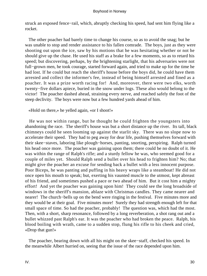struck an exposed fence−rail, which, abruptly checking his speed, had sent him flying like a rocket.

 The other poacher had barely time to change his course, so as to avoid the snag; but he was unable to stop and render assistance to his fallen comrade. The boys, just as they were shooting out upon the ice, saw by his motions that he was hesitating whether or not he should give up the chase. He used his staff as a brake for a few moments, so as to retard his speed; but discovering, perhaps, by the brightening starlight, that his adversaries were not full−grown men, he took courage, started forward again, and tried to make up for the time he had lost. If he could but reach the sheriff's house before the boys did, he could have them arrested and collect the informer's fee, instead of being himself arrested and fined as a poacher. It was a prize worth racing for! And, moreover, there were two elks, worth twenty−five dollars apiece, buried in the snow under logs. These also would belong to the victor! The poacher dashed ahead, straining every nerve, and reached safely the foot of the steep declivity. The boys were now but a few hundred yards ahead of him.

«Hold on there,» he yelled again, «or I shoot!»

 He was not within range, but he thought he could frighten the youngsters into abandoning the race. The sheriff's house was but a short distance up the river. Its tall, black chimneys could he seen looming up against the starlit sky. There was no slope now to accelerate their speed. They had to peg away for dear life, pushing themselves forward with their skee−staves, laboring like plough−horses, panting, snorting, perspiring. Ralph turned his head once more. The poacher was gaining upon them; there could be no doubt of it. He was within the range of Ralph's rifle; and a sturdy fellow he was, who seemed good for a couple of miles yet. Should Ralph send a bullet over his head to frighten him? No; that might give the poacher an excuse for sending back a bullet with a less innocent purpose. Poor Biceps, he was panting and puffing in his heavy wraps like a steamboat! He did not once open his mouth to speak; but, exerting his vaunted muscle to the utmost, kept abreast of his friend, and sometimes pushed a pace or two ahead of him. But it cost him a mighty effort! And yet the poacher was gaining upon him! They could see the long broadside of windows in the sheriff's mansion, ablaze with Christmas candles. They came nearer and nearer! The church−bells up on the bend were ringing in the festival. Five minutes more and they would be at their goal. Five minutes more! Surely they had strength enough left for that small space of time. So had the poacher, probably! The question was, which had the most. Then, with a short, sharp resonance, followed by a long reverberation, a shot rang out and a bullet whizzed past Ralph's ear. It was the poacher who had broken the peace. Ralph, his blood boiling with wrath, came to a sudden stop, flung his rifle to his cheek and cried, «Drop that gun!»

 The poacher, bearing down with all his might on the skee−staff, checked his speed. In the meanwhile Albert hurried on, seeing that the issue of the race depended upon him.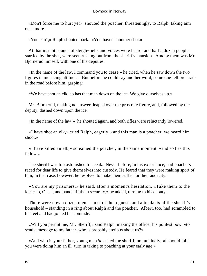«Don't force me to hurt ye!» shouted the poacher, threateningly, to Ralph, taking aim once more.

«You can't,» Ralph shouted back. «You haven't another shot.»

 At that instant sounds of sleigh−bells and voices were heard, and half a dozen people, startled by the shot, were seen rushing out from the sheriff's mansion. Among them was Mr. Bjornerud himself, with one of his deputies.

 «In the name of the law, I command you to cease,» he cried, when he saw down the two figures in menacing attitudes. But before he could say another word, some one fell prostrate in the road before him, gasping:

«We have shot an elk; so has that man down on the ice. We give ourselves up.»

 Mr. Bjornerud, making no answer, leaped over the prostrate figure, and, followed by the deputy, dashed down upon the ice.

«In the name of the law!» he shouted again, and both rifles were reluctantly lowered.

 «I have shot an elk,» cried Ralph, eagerly, «and this man is a poacher, we heard him shoot.»

 «I have killed an elk,» screamed the poacher, in the same moment, «and so has this fellow.»

 The sheriff was too astonished to speak. Never before, in his experience, had poachers raced for dear life to give themselves into custody. He feared that they were making sport of him; in that case, however, he resolved to make them suffer for their audacity.

 «You are my prisoners,» he said, after a moment's hesitation. «Take them to the lock−up, Olsen, and handcuff them securely,» he added, turning to his deputy.

 There were now a dozen men – most of them guests and attendants of the sheriff's household – standing in a ring about Ralph and the poacher. Albert, too, had scrambled to his feet and had joined his comrade.

 «Will you permit me, Mr. Sheriff,» said Ralph, making the officer his politest bow, «to send a message to my father, who is probably anxious about us?»

 «And who is your father, young man?» asked the sheriff, not unkindly; «I should think you were doing him an ill−turn in taking to poaching at your early age.»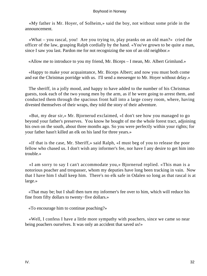«My father is Mr. Hoyer, of Solheim,» said the boy, not without some pride in the announcement.

 «What – you rascal, you! Are you trying to, play pranks on an old man?» cried the officer of the law, grasping Ralph cordially by the hand. «You've grown to be quite a man, since I saw you last. Pardon me for not recognizing the son of an old neighbor.»

«Allow me to introduce to you my friend, Mr. Biceps – I mean, Mr. Albert Grimlund.»

 «Happy to make your acquaintance, Mr. Biceps Albert; and now you must both come and eat the Christmas porridge with us. I'll send a messenger to Mr. Hoyer without delay.»

 The sheriff, in a jolly mood, and happy to have added to the number of his Christmas guests, took each of the two young men by the arm, as if he were going to arrest them, and conducted them through the spacious front hall into a large cosey room, where, having divested themselves of their wraps, they told the story of their adventure.

 «But, my dear sir,» Mr. Bjornerud exclaimed, «I don't see how you managed to go beyond your father's preserves. You know he bought of me the whole forest tract, adjoining his own on the south, about three months ago. So you were perfectly within your rights; for your father hasn't killed an elk on his land for three years.»

 «If that is the case, Mr. Sheriff,» said Ralph, «I must beg of you to release the poor fellow who chased us. I don't wish any informer's fee, nor have I any desire to get him into trouble.»

 «I am sorry to say I can't accommodate you,» Bjornerud replied. «This man is a notorious poacher and trespasser, whom my deputies have long been tracking in vain. Now that I have him I shall keep him. There's no elk safe in Odalen so long as that rascal is at large.»

 «That may be; but I shall then turn my informer's fee over to him, which will reduce his fine from fifty dollars to twenty−five dollars.»

«To encourage him to continue poaching?»

 «Well, I confess I have a little more sympathy with poachers, since we came so near being poachers ourselves. It was only an accident that saved us!»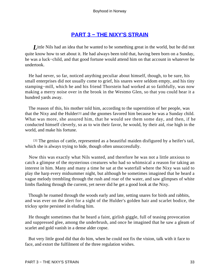# **[PART 3 − THE NIXY'S STRAIN](#page-135-0)**

*L*ittle Nils had an idea that he wanted to be something great in the world, but he did not quite know how to set about it. He had always been told that, having been born on a Sunday, he was a luck−child, and that good fortune would attend him on that account in whatever he undertook.

 He had never, so far, noticed anything peculiar about himself, though, to be sure, his small enterprises did not usually come to grief, his snares were seldom empty, and his tiny stamping−mill, which he and his friend Thorstein had worked at so faithfully, was now making a merry noise over in the brook in the Westmo Glen, so that you could hear it a hundred yards away.

 The reason of this, his mother told him, according to the superstition of her people, was that the Nixy and the Hulder[3] and the gnomes favored him because he was a Sunday child. What was more, she assured him, that he would see them some day, and then, if he conducted himself cleverly, so as to win their favor, he would, by their aid, rise high in the world, and make his fortune.

[3] The genius of cattle, represented as a beautiful maiden disfigured by a heifer's tail, which she is always trying to hide, though often unsuccessfully.

 Now this was exactly what Nils wanted, and therefore he was not a little anxious to catch a glimpse of the mysterious creatures who had so whimsical a reason for taking an interest in him. Many and many a time he sat at the waterfall where the Nixy was said to play the harp every midsummer night, but although he sometimes imagined that he heard a vague melody trembling through the rush and roar of the water, and saw glimpses of white limbs flashing through the current, yet never did he get a good look at the Nixy.

 Though he roamed through the woods early and late, setting snares for birds and rabbits, and was ever on the alert for a sight of the Hulder's golden hair and scarlet bodice, the tricksy sprite persisted in eluding him.

 He thought sometimes that he heard a faint, girlish giggle, full of teasing provocation and suppressed glee, among the underbrush, and once he imagined that he saw a gleam of scarlet and gold vanish in a dense alder copse.

 But very little good did that do him, when he could not fix the vision, talk with it face to face, and extort the fulfilment of the three regulation wishes.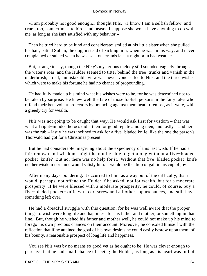«I am probably not good enough,» thought Nils. «I know I am a selfish fellow, and cruel, too, some−times, to birds and beasts. I suppose she won't have anything to do with me, as long as she isn't satisfied with my behavior.»

 Then he tried hard to be kind and considerate; smiled at his little sister when she pulled his hair, patted Sultan, the dog, instead of kicking him, when he was in his way, and never complained or sulked when he was sent on errands late at night or in bad weather.

 But, strange to say, though the Nixy's mysterious melody still sounded vaguely through the water's roar, and the Hulder seemed to titter behind the tree−trunks and vanish in the underbrush, a real, unmistakable view was never vouchsafed to Nils, and the three wishes which were to make his fortune he had no chance of propounding.

 He had fully made up his mind what his wishes were to be, for he was determined not to be taken by surprise. He knew well the fate of those foolish persons in the fairy tales who offend their benevolent protectors by bouncing against them head foremost, as it were, with a greedy cry for wealth.

 Nils was not going to be caught that way. He would ask first for wisdom – that was what all right−minded heroes did – then for good repute among men, and lastly – and here was the rub – lastly he was inclined to ask for a five−bladed knife, like the one the parson's Thorwald had got for a Christmas present.

 But he had considerable misgiving about the expediency of this last wish. If he had a fair renown and wisdom, might he not be able to get along without a five−bladed pocket−knife? But no; there was no help for it. Without that five−bladed pocket−knife neither wisdom nor fame would satisfy him. It would be the drop of gall in his cup of joy.

 After many days' pondering, it occurred to him, as a way out of the difficulty, that it would, perhaps, not offend the Hulder if he asked, not for wealth, but for a moderate prosperity. If he were blessed with a moderate prosperity, he could, of course, buy a five−bladed pocket−knife with corkscrew and all other appurtenances, and still have something left over.

 He had a dreadful struggle with this question, for he was well aware that the proper things to wish were long life and happiness for his father and mother, or something in that line. But, though he wished his father and mother well, he could not make up his mind to forego his own precious chances on their account. Moreover, he consoled himself with the reflection that if he attained the goal of his own desires he could easily bestow upon them, of his bounty, a reasonable prospect of long life and happiness.

 You see Nils was by no means so good yet as he ought to be. He was clever enough to perceive that he had small chance of seeing the Hulder, as long as his heart was full of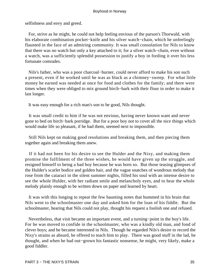selfishness and envy and greed.

 For, strive as he might, he could not help feeling envious of the parson's Thorwald, with his elaborate combination pocket−knife and his silver watch−chain, which he unfeelingly flaunted in the face of an admiring community. It was small consolation for Nils to know that there was no watch but only a key attached to it; for a silver watch−chain, even without a watch, was a sufficiently splendid possession to justify a boy in fording it over his less fortunate comrades.

 Nils's father, who was a poor charcoal−burner, could never afford to make his son such a present, even if he worked until he was as black as a chimney−sweep. For what little money he earned was needed at once for food and clothes for the family; and there were times when they were obliged to mix ground birch−bark with their flour in order to make it last longer.

It was easy enough for a rich man's son to be good, Nils thought.

 It was small credit to him if he was not envious, having never known want and never gone to bed on birch−bark porridge. But for a poor boy not to covet all the nice things which would make life so pleasant, if he had them, seemed next to impossible.

 Still Nils kept on making good resolutions and breaking them, and then piecing them together again and breaking them anew.

 If it had not been for his desire to see the Hulder and the Nixy, and making them promise the fulfilment of the three wishes, he would have given up the struggle, and resigned himself to being a bad boy because he was born so. But those teasing glimpses of the Hulder's scarlet bodice and golden hair, and the vague snatches of wondrous melody that rose from the cataract in the silent summer nights, filled his soul with an intense desire to see the whole Hulder, with her radiant smile and melancholy eyes, and to hear the whole melody plainly enough to be written down on paper and learned by heart.

 It was with this longing to repeat the few haunting notes that hummed in his brain that Nils went to the schoolmaster one day and asked him for the loan of his fiddle. But the schoolmaster, hearing that Nils could not play, thought his request a foolish one and refused.

 Nevertheless, that visit became an important event, and a turning−point in the boy's life. For he was moved to confide in the schoolmaster, who was a kindly old man, and fond of clever boys; and he became interested in Nils. Though he regarded Nils's desire to record the Nixy's strains as absurd, he offered to teach him to play. There was good stuff in the lad, he thought, and when he had out−grown his fantastic nonsense, he might, very likely, make a good fiddler.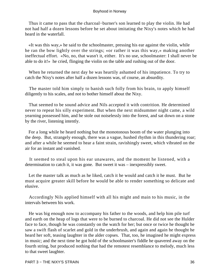Thus it came to pass that the charcoal−burner's son learned to play the violin. He had not had half a dozen lessons before he set about imitating the Nixy's notes which he had heard in the waterfall.

 «It was this way,» he said to the schoolmaster, pressing his ear against the violin, while he ran the bow lightly over the strings; «or rather it was this way,» making another ineffectual effort. «No, no, that wasn't it, either. It's no use, schoolmaster: I shall never be able to do it!» he cried, flinging the violin on the table and rushing out of the door.

 When he returned the next day he was heartily ashamed of his impatience. To try to catch the Nixy's notes after half a dozen lessons was, of course, an absurdity.

 The master told him simply to banish such folly from his brain, to apply himself diligently to his scales, and not to bother himself about the Nixy.

 That seemed to be sound advice and Nils accepted it with contrition. He determined never to repeat his silly experiment. But when the next midsummer night came, a wild yearning possessed him, and he stole out noiselessly into the forest, and sat down on a stone by the river, listening intently.

 For a long while he heard nothing but the monotonous boom of the water plunging into the deep. But, strangely enough, there was a vague, hushed rhythm in this thundering roar; and after a while he seemed to hear a faint strain, ravishingly sweet, which vibrated on the air for an instant and vanished.

 It seemed to steal upon his ear unawares, and the moment he listened, with a determination to catch it, it was gone. But sweet it was – inexpressibly sweet.

 Let the master talk as much as he liked, catch it he would and catch it he must. But he must acquire greater skill before he would be able to render something so delicate and elusive.

 Accordingly Nils applied himself with all his might and main to his music, in the intervals between his work.

 He was big enough now to accompany his father to the woods, and help him pile turf and earth on the heap of logs that were to be burned to charcoal. He did not see the Hulder face to face, though he was constantly on the watch for her; but once or twice he thought he saw a swift flash of scarlet and gold in the underbrush, and again and again he thought he heard her soft, teasing laughter in the alder copses. That, too, he imagined he might express in music; and the next time he got hold of the schoolmaster's fiddle he quavered away on the fourth string, but produced nothing that had the remotest resemblance to melody, much less to that sweet laughter.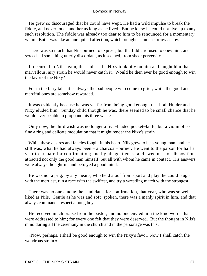He grew so discouraged that he could have wept. He had a wild impulse to break the fiddle, and never touch another as long as he lived. But he knew he could not live up to any such resolution. The fiddle was already too dear to him to be renounced for a momentary whim. But it was like an unrequited affection, which brought as much sorrow as joy.

 There was so much that Nils burned to express; but the fiddle refused to obey him, and screeched something utterly discordant, as it seemed, from sheer perversity.

 It occurred to Nils again, that unless the Nixy took pity on him and taught him that marvellous, airy strain he would never catch it. Would he then ever be good enough to win the favor of the Nixy?

 For in the fairy tales it is always the bad people who come to grief, while the good and merciful ones are somehow rewarded.

 It was evidently because he was yet far from being good enough that both Hulder and Nixy eluded him. Sunday child though he was, there seemed to be small chance that he would ever be able to propound his three wishes.

 Only now, the third wish was no longer a five−bladed pocket−knife, but a violin of so fine a ring and delicate modulation that it might render the Nixy's strain.

 While these desires and fancies fought in his heart, Nils grew to be a young man; and he still was, what he had always been – a charcoal−burner. He went to the parson for half a year to prepare for confirmation; and by his gentleness and sweetness of disposition attracted not only the good man himself, but all with whom he came in contact. His answers were always thoughtful, and betrayed a good mind.

 He was not a prig, by any means, who held aloof from sport and play; he could laugh with the merriest, run a race with the swiftest, and try a wrestling match with the strongest.

 There was no one among the candidates for confirmation, that year, who was so well liked as Nils. Gentle as he was and soft−spoken, there was a manly spirit in him, and that always commands respect among boys.

 He received much praise from the pastor, and no one envied him the kind words that were addressed to him; for every one felt that they were deserved. But the thought in Nils's mind during all the ceremony in the church and in the parsonage was this:

 «Now, perhaps, I shall be good enough to win the Nixy's favor. Now I shall catch the wondrous strain.»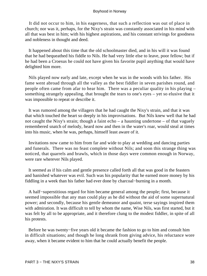It did not occur to him, in his eagerness, that such a reflection was out of place in church; nor was it, perhaps, for the Nixy's strain was constantly associated in his mind with all that was best in him; with his highest aspirations, and his constant strivings for goodness and nobleness in thought and deed.

 It happened about this time that the old schoolmaster died, and in his will it was found that he had bequeathed his fiddle to Nils. He had very little else to leave, poor fellow; but if he had been a Croesus he could not have given his favorite pupil anything that would have delighted him more.

 Nils played now early and late, except when he was in the woods with his father. His fame went abroad through all the valley as the best fiddler in seven parishes round, and people often came from afar to hear him. There was a peculiar quality in his playing – something strangely appealing, that brought the tears to one's eyes – yet so elusive that it was impossible to repeat or describe it.

 It was rumored among the villagers that he had caught the Nixy's strain, and that it was that which touched the heart so deeply in his improvisations. But Nils knew well that he had not caught the Nixy's strain; though a faint echo – a haunting undertone – of that vaguely remembered snatch of melody, heard now and then in the water's roar, would steal at times into his music, when he was, perhaps, himself least aware of it.

 Invitations now came to him from far and wide to play at wedding and dancing parties and funerals. There was no feast complete without Nils; and soon this strange thing was noticed, that quarrels and brawls, which in those days were common enough in Norway, were rare wherever Nils played.

 It seemed as if his calm and gentle presence called forth all that was good in the feasters and banished whatever was evil. Such was his popularity that he earned more money by his fiddling in a week than his father had ever done by charcoal−burning in a month.

 A half−superstitious regard for him became general among the people; first, because it seemed impossible that any man could play as he did without the aid of some supernatural power; and secondly, because his gentle demeanor and quaint, terse sayings inspired them with admiration. It was difficult to tell by whom the name, Wise Nils, was first started, but it was felt by all to be appropriate, and it therefore clung to the modest fiddler, in spite of all his protests.

 Before he was twenty−five years old it became the fashion to go to him and consult him in difficult situations; and though he long shrank from giving advice, his reluctance wore away, when it became evident to him that he could actually benefit the people.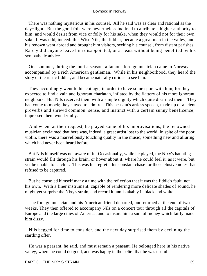There was nothing mysterious in his counsel. All he said was as clear and rational as the day−light. But the good folk were nevertheless inclined to attribute a higher authority to him; and would desist from vice or folly for his sake, when they would not for their own sake. It was odd, indeed: this Wise Nils, the fiddler, became a great man in the valley, and his renown went abroad and brought him visitors, seeking his counsel, from distant parishes. Rarely did anyone leave him disappointed, or at least without being benefited by his sympathetic advice.

 One summer, during the tourist season, a famous foreign musician came to Norway, accompanied by a rich American gentleman. While in his neighborhood, they heard the story of the rustic fiddler, and became naturally curious to see him.

 They accordingly went to his cottage, in order to have some sport with him, for they expected to find a vain and ignorant charlatan, inflated by the flattery of his more ignorant neighbors. But Nils received them with a simple dignity which quite disarmed them. They had come to mock; they stayed to admire. This peasant's artless speech, made up of ancient proverbs and shrewd common−sense, and instinct with a certain sunny beneficence, impressed them wonderfully.

 And when, at their request, he played some of his improvisations, the renowned musician exclaimed that here was, indeed, a great artist lost to the world. In spite of the poor violin, there was a marvellously touching quality in the music; something new and alluring which had never been heard before.

 But Nils himself was not aware of it. Occasionally, while he played, the Nixy's haunting strain would flit through his brain, or hover about it, where he could feel it, as it were, but yet be unable to catch it. This was his regret – his constant chase for those elusive notes that refused to be captured.

 But he consoled himself many a time with the reflection that it was the fiddle's fault, not his own. With a finer instrument, capable of rendering more delicate shades of sound, he might yet surprise the Nixy's strain, and record it unmistakably in black and white.

 The foreign musician and his American friend departed, but returned at the end of two weeks. They then offered to accompany Nils on a concert tour through all the capitals of Europe and the large cities of America, and to insure him a sum of money which fairly made him dizzy.

 Nils begged for time to consider, and the next day surprised them by declining the startling offer.

 He was a peasant, he said, and must remain a peasant. He belonged here in his native valley, where he could do good, and was happy in the belief that he was useful.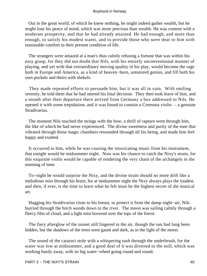Out in the great world, of which he knew nothing, he might indeed gather wealth, but he might lose his peace of mind, which was more precious than wealth. He was content with a moderate prosperity, and that he had already attained. He had enough, and more than enough, to satisfy his modest wants, and to provide those who were dear to him with reasonable comfort in their present condition of life.

 The strangers were amazed at a man's thus calmly refusing a fortune that was within his easy grasp, for they did not doubt that Nils, with his entirely unconventional manner of playing, and yet with that extraordinary moving quality in his play, would become the rage both in Europe and America, as a kind of heaven−born, untutored genius, and fill both his own pockets and theirs with shekels.

 They made repeated efforts to persuade him, but it was all in vain. With smiling serenity, he told them that he had uttered his final decision. They then took leave of him, and a month after their departure there arrived from Germany a box addressed to Nils. He opened it with some trepidation, and it was found to contain a Cremona violin  $-$  a genuine Stradivarius.

 The moment Nils touched the strings with the bow, a thrill of rapture went through him, the like of which he had never experienced. The divine sweetness and purity of the tone that vibrated through those magic chambers resounded through all his being, and made him feel happy and exalted.

 It occurred to him, while he was coaxing the intoxicating music from his instrument, that tonight would be midsummer night. Now was his chance to catch the Nixy's strain, for this exquisite violin would be capable of rendering the very chant of the archangels in the morning of time.

 To−night he would surprise the Nixy, and the divine strain should no more drift like a melodious mist through his brain; for at midsummer night the Nixy always plays the loudest, and then, if ever, is the time to learn what he felt must be the highest secret of the musical art.

 Hugging his Stradivarius close to his breast, to protect it from the damp night−air, Nils hurried through the birch woods down to the river. The moon was sailing calmly through a fleecy film of cloud, and a light mist hovered over the tops of the forest.

 The fiery afterglow of the sunset still lingered in the air, though the sun had long been hidden, but the shadows of the trees were gaunt and dark, as in the light of the moon.

 The sound of the cataract stole with a whispering rush through the underbrush, for the water was low at midsummer, and a good deal of it was diverted to the mill, which was working busily away, with its big water−wheel going round and round.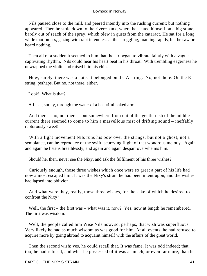Nils paused close to the mill, and peered intently into the rushing current; but nothing appeared. Then he stole down to the river−bank, where he seated himself on a big stone, barely out of reach of the spray, which blew in gusts from the cataract. He sat for a long while motionless, gazing with rapt intentness at the struggling, foaming rapids, but he saw or heard nothing.

 Then all of a sudden it seemed to him that the air began to vibrate faintly with a vague, captivating rhythm. Nils could hear his heart beat in his throat. With trembling eagerness he unwrapped the violin and raised it to his chin.

 Now, surely, there was a note. It belonged on the A string. No, not there. On the E string, perhaps. But no, not there, either.

Look! What is that?

A flash, surely, through the water of a beautiful naked arm.

 And there – no, not there – but somewhere from out of the gentle rush of the middle current there seemed to come to him a marvellous mist of drifting sound – ineffably, rapturously sweet!

With a light movement Nils runs his bow over the strings, but not a ghost, not a semblance, can he reproduce of the swift, scurrying flight of that wondrous melody. Again and again he listens breathlessly, and again and again despair overwhelms him.

Should he, then, never see the Nixy, and ask the fulfilment of his three wishes?

 Curiously enough, those three wishes which once were so great a part of his life had now almost escaped him. It was the Nixy's strain he had been intent upon, and the wishes had lapsed into oblivion.

 And what were they, really, those three wishes, for the sake of which he desired to confront the Nixy?

Well, the first – the first was – what was it, now? Yes, now at length he remembered. The first was wisdom.

Well, the people called him Wise Nils now, so, perhaps, that wish was superfluous. Very likely he had as much wisdom as was good for him. At all events, he had refused to acquire more by going abroad to acquaint himself with the affairs of the great world.

 Then the second wish; yes, he could recall that. It was fame. It was odd indeed; that, too, he had refused, and what he possessed of it was as much, or even far more, than he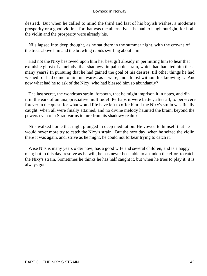desired. But when he called to mind the third and last of his boyish wishes, a moderate prosperity or a good violin – for that was the alternative – he had to laugh outright, for both the violin and the prosperity were already his.

 Nils lapsed into deep thought, as he sat there in the summer night, with the crowns of the trees above him and the brawling rapids swirling about him.

 Had not the Nixy bestowed upon him her best gift already in permitting him to hear that exquisite ghost of a melody, that shadowy, impalpable strain, which had haunted him these many years? In pursuing that he had gained the goal of his desires, till other things he had wished for had come to him unawares, as it were, and almost without his knowing it. And now what had he to ask of the Nixy, who had blessed him so abundantly?

 The last secret, the wondrous strain, forsooth, that he might imprison it in notes, and din it in the ears of an unappreciative multitude! Perhaps it were better, after all, to persevere forever in the quest, for what would life have left to offer him if the Nixy's strain was finally caught, when all were finally attained, and no divine melody haunted the brain, beyond the powers even of a Stradivarius to lure from its shadowy realm?

 Nils walked home that night plunged in deep meditation. He vowed to himself that he would never more try to catch the Nixy's strain. But the next day, when he seized the violin, there it was again, and, strive as he might, he could not forbear trying to catch it.

 Wise Nils is many years older now; has a good wife and several children, and is a happy man; but to this day, resolve as he will, he has never been able to abandon the effort to catch the Nixy's strain. Sometimes he thinks he has half caught it, but when he tries to play it, it is always gone.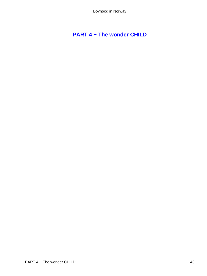# **[PART 4 − The wonder CHILD](#page-135-0)**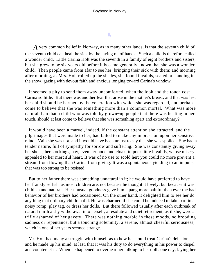# **[I.](#page-135-0)**

*A* very common belief in Norway, as in many other lands, is that the seventh child of the seventh child can heal the sick by the laying on of hands. Such a child is therefore called a wonder child. Little Carina Holt was the seventh in a family of eight brothers and sisters, but she grew to be six years old before it became generally known that she was a wonder child. Then people came from afar to see her, bringing their sick with them; and morning after morning, as Mrs. Holt rolled up the shades, she found invalids, seated or standing in the snow, gazing with devout faith and anxious longing toward Carina's window.

 It seemed a pity to send them away uncomforted, when the look and the touch cost Carina so little. But there was another fear that arose in the mother's breast, and that was lest her child should be harmed by the veneration with which she was regarded, and perhaps come to believe that she was something more than a common mortal. What was more natural than that a child who was told by grown−up people that there was healing in her touch, should at last come to believe that she was something apart and extraordinary?

 It would have been a marvel, indeed, if the constant attention she attracted, and the pilgrimages that were made to her, had failed to make any impression upon her sensitive mind. Vain she was not, and it would have been unjust to say that she was spoiled. She had a tender nature, full of sympathy for sorrow and suffering. She was constantly giving away her shoes, her stockings, nay, even her hood and cloak, to poor little invalids, whose misery appealed to her merciful heart. It was of no use to scold her; you could no more prevent a stream from flowing than Carina from giving. It was a spontaneous yielding to an impulse that was too strong to be resisted.

 But to her father there was something unnatural in it; he would have preferred to have her frankly selfish, as most children are, not because he thought it lovely, but because it was childish and natural. Her unusual goodness gave him a pang more painful than ever the bad behavior of her brothers had occasioned. On the other hand, it delighted him to see her do anything that ordinary children did. He was charmed if she could be induced to take part in a noisy romp, play tag, or dress her dolls. But there followed usually after each outbreak of natural mirth a shy withdrawal into herself, a resolute and quiet retirement, as if she, were a trifle ashamed of her gayety. There was nothing morbid in these moods, no brooding sadness or repentance, but a touching solemnity, a serene, almost cheerful seriousness, which in one of her years seemed strange.

 Mr. Holt had many a struggle with himself as to how he should treat Carina's delusion; and he made up his mind, at last, that it was his duty to do everything in his power to dispel and counteract it. When he happened to overhear her talking to her dolls one day, laying her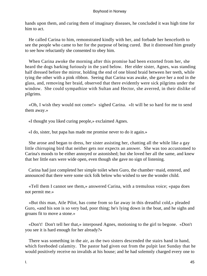hands upon them, and curing them of imaginary diseases, he concluded it was high time for him to act.

 He called Carina to him, remonstrated kindly with her, and forbade her henceforth to see the people who came to her for the purpose of being cured. But it distressed him greatly to see how reluctantly she consented to obey him.

 When Carina awoke the morning after this promise had been extorted from her, she heard the dogs barking furiously in the yard below. Her elder sister, Agnes, was standing half dressed before the mirror, holding the end of one blond braid between her teeth, while tying the other with a pink ribbon. Seeing that Carina was awake, she gave her a nod in the glass, and, removing her braid, observed that there evidently were sick pilgrims under the window. She could sympathize with Sultan and Hector, she averred, in their dislike of pilgrims.

 «Oh, I wish they would not come!» sighed Carina. «It will be so hard for me to send them away.»

«I thought you liked curing people,» exclaimed Agnes.

«I do, sister, but papa has made me promise never to do it again.»

 She arose and began to dress, her sister assisting her, chatting all the while like a gay little chirruping bird that neither gets nor expects an answer. She was too accustomed to Carina's moods to be either annoyed or astonished; but she loved her all the same, and knew that her little ears were wide open, even though she gave no sign of listening.

 Carina had just completed her simple toilet when Guro, the chamber−maid, entered, and announced that there were some sick folk below who wished to see the wonder child.

 «Tell them I cannot see them,» answered Carina, with a tremulous voice; «papa does not permit me.»

 «But this man, Atle Pilot, has come from so far away in this dreadful cold,» pleaded Guro, «and his son is so very bad, poor thing; he's lying down in the boat, and he sighs and groans fit to move a stone.»

 «Don't! Don't tell her that,» interposed Agnes, motioning to the girl to begone. «Don't you see it is hard enough for her already?»

 There was something in the air, as the two sisters descended the stairs hand in hand, which foreboded calamity. The pastor had given out from the pulpit last Sunday that he would positively receive no invalids at his house; and he had solemnly charged every one to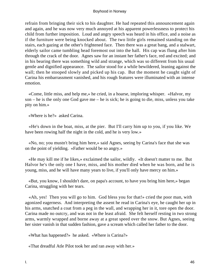refrain from bringing their sick to his daughter. He had repeated this announcement again and again, and he was now very much annoyed at his apparent powerlessness to protect his child from further imposition. Loud and angry speech was heard in his office, and a noise as if the furniture were being knocked about. The two little girls remained standing on the stairs, each gazing at the other's frightened face. Then there was a great bang, and a stalwart, elderly sailor came tumbling head foremost out into the hall. His cap was flung after him through the crack of the door. Agnes saw for an instant her father's face, red and excited; and in his bearing there was something wild and strange, which was so different from his usual gentle and dignified appearance. The sailor stood for a while bewildered, leaning against the wall; then he stooped slowly and picked up his cap. But the moment he caught sight of Carina his embarrassment vanished, and his rough features were illuminated with an intense emotion.

 «Come, little miss, and help me,» he cried, in a hoarse, imploring whisper. «Halvor, my son – he is the only one God gave me – he is sick; he is going to die, miss, unless you take pity on him.»

«Where is he?» asked Carina.

 «He's down in the boat, miss, at the pier. But I'll carry him up to you, if you like. We have been rowing half the night in the cold, and he is very low.»

 «No, no; you mustn't bring him here,» said Agnes, seeing by Carina's face that she was on the point of yielding. «Father would be so angry.»

 «He may kill me if he likes,» exclaimed the sailor, wildly. «It doesn't matter to me. But Halvor he's the only one I have, miss, and his mother died when he was born, and he is young, miss, and he will have many years to live, if you'll only have mercy on him.»

 «But, you know, I shouldn't dare, on papa's account, to have you bring him here,» began Carina, struggling with her tears.

 «Ah, yes! Then you will go to him. God bless you for that!» cried the poor man, with agonized eagerness. And interpreting the assent he read in Carina's eye, he caught her up in his arms, snatched a coat from a peg in the wall, and wrapping her in it, tore open the door. Carina made no outcry, and was not in the least afraid. She felt herself resting in two strong arms, warmly wrapped and borne away at a great speed over the snow. But Agnes, seeing her sister vanish in that sudden fashion, gave a scream which called her father to the door.

«What has happened?» he asked. «Where is Carina?»

«That dreadful Atle Pilot took her and ran away with her.»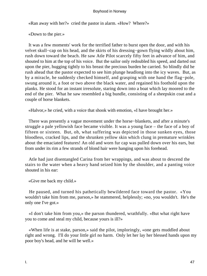«Ran away with her?» cried the pastor in alarm. «How? Where?»

«Down to the pier.»

 It was a few moments' work for the terrified father to burst open the door, and with his velvet skull−cap on his head, and the skirts of his dressing−gown flying wildly about him, rush down toward the beach. He saw Atle Pilot scarcely fifty feet in advance of him, and shouted to him at the top of his voice. But the sailor only redoubled his speed, and darted out upon the pier, hugging tightly to his breast the precious burden he carried. So blindly did he rush ahead that the pastor expected to see him plunge headlong into the icy waves. But, as by a miracle, he suddenly checked himself, and grasping with one hand the flag−pole, swung around it, a foot or two above the black water, and regained his foothold upon the planks. He stood for an instant irresolute, staring down into a boat which lay moored to the end of the pier. What he saw resembled a big bundle, consisting of a sheepskin coat and a couple of horse blankets.

«Halvor,» he cried, with a voice that shook with emotion, «I have brought her.»

 There was presently a vague movement under the horse−blankets, and after a minute's struggle a pale yellowish face became visible. It was a young face – the face of a boy of fifteen or sixteen. But, oh, what suffering was depicted in those sunken eyes, those bloodless, cracked lips, and the shrunken yellow skin which clung in premature wrinkles about the emaciated features! An old and worn fur cap was pulled down over his ears, but from under its rim a few strands of blond hair were hanging upon his forehead.

 Atle had just disentangled Carina from her wrappings, and was about to descend the stairs to the water when a heavy hand seized him by the shoulder, and a panting voice shouted in his ear:

«Give me back my child.»

 He paused, and turned his pathetically bewildered face toward the pastor. «You wouldn't take him from me, parson,» he stammered, helplessly; «no, you wouldn't. He's the only one I've got.»

 «I don't take him from you,» the parson thundered, wrathfully. «But what right have you to come and steal my child, because yours is ill?»

 «When life is at stake, parson,» said the pilot, imploringly, «one gets muddled about right and wrong. I'll do your little girl no harm. Only let her lay her blessed hands upon my poor boy's head, and he will be well.»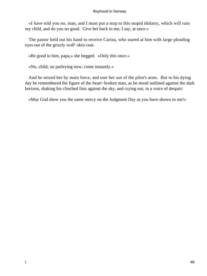«I have told you no, man, and I must put a stop to this stupid idolatry, which will ruin my child, and do you no good. Give her back to me, I say, at once.»

 The pastor held out his hand to receive Carina, who stared at him with large pleading eyes out of the grizzly wolf−skin coat.

«Be good to him, papa,» she begged. «Only this once.»

«No, child; no parleying now; come instantly.»

 And he seized her by main force, and tore her out of the pilot's arms. But to his dying day he remembered the figure of the heart−broken man, as he stood outlined against the dark horizon, shaking his clinched fists against the sky, and crying out, in a voice of despair:

«May God show you the same mercy on the Judgment Day as you have shown to me!»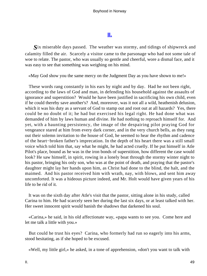# **[II.](#page-135-0)**

*S*ix miserable days passed. The weather was stormy, and tidings of shipwreck and calamity filled the air. Scarcely a visitor came to the parsonage who had not some tale of woe to relate. The pastor, who was usually so gentle and cheerful, wore a dismal face, and it was easy to see that something was weighing on his mind.

«May God show you the same mercy on the Judgment Day as you have shown to me!»

 These words rang constantly in his ears by night and by day. Had he not been right, according to the laws of God and man, in defending his household against the assaults of ignorance and superstition? Would he have been justified in sacrificing his own child, even if he could thereby save another's? And, moreover, was it not all a wild, heathenish delusion, which it was his duty as a servant of God to stamp out and root out at all hazards? Yes, there could be no doubt of it; he had but exercised his legal right. He had done what was demanded of him by laws human and divine. He had nothing to reproach himself for. And yet, with a haunting persistency, the image of the despairing pilot praying God for vengeance stared at him from every dark corner, and in the very church bells, as they rang out their solemn invitation to the house of God, he seemed to hear the rhythm and cadence of the heart−broken father's imprecation. In the depth of his heart there was a still small voice which told him that, say what he might, he had acted cruelly. If he put himself in Atle Pilot's place, bound as he was in the iron bonds of superstition, how different the case would look? He saw himself, in spirit, rowing in a lonely boat through the stormy winter night to his pastor, bringing his only son, who was at the point of death, and praying that the pastor's daughter might lay her hands upon him, as Christ had done to the blind, the halt, and the maimed. And his pastor received him with wrath, nay, with blows, and sent him away uncomforted. It was a hideous picture indeed, and Mr. Holt would have given years of his life to be rid of it.

 It was on the sixth day after Atle's visit that the pastor, sitting alone in his study, called Carina to him. He had scarcely seen her during the last six days, or at least talked with her. Her sweet innocent spirit would banish the shadows that darkened his soul.

 «Carina,» he said, in his old affectionate way, «papa wants to see you. Come here and let me talk a little with you.»

 But could he trust his eyes? Carina, who formerly had run so eagerly into his arms, stood hesitating, as if she hoped to be excused.

«Well, my little girl,» he asked, in a tone of apprehension, «don't you want to talk with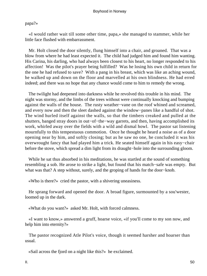# papa?»

 «I would rather wait till some other time, papa,» she managed to stammer, while her little face flushed with embarrassment.

 Mr. Holt closed the door silently, flung himself into a chair, and groaned. That was a blow from where he had least expected it. The child had judged him and found him wanting. His Carina, his darling, who had always been closest to his heart, no longer responded to his affection! Was the pilot's prayer being fulfilled? Was he losing his own child in return for the one he had refused to save? With a pang in his breast, which was like an aching wound, he walked up and down on the floor and marvelled at his own blindness. He had erred indeed; and there was no hope that any chance would come to him to remedy the wrong.

 The twilight had deepened into darkness while he revolved this trouble in his mind. The night was stormy, and the limbs of the trees without were continually knocking and bumping against the walls of the house. The rusty weather−vane on the roof whined and screamed, and every now and then the sleet dashed against the window−panes like a handful of shot. The wind hurled itself against the walls, so that the timbers creaked and pulled at the shutters, banged stray doors in out−of−the−way garrets, and then, having accomplished its work, whirled away over the fields with a wild and dismal howl. The pastor sat listening mournfully to this tempestuous commotion. Once he thought he heard a noise as of a door opening near by him, and softly closing; but as he saw no one, he concluded it was his overwrought fancy that had played him a trick. He seated himself again in his easy−chair before the stove, which spread a dim light from its draught−hole into the surrounding gloom.

 While he sat thus absorbed in his meditations, he was startled at the sound of something resembling a sob. He arose to strike a light, but found that his match−safe was empty. But what was that? A step without, surely, and the groping of hands for the door−knob.

«Who is there?» cried the pastor, with a shivering uneasiness.

 He sprang forward and opened the door. A broad figure, surmounted by a sou'wester, loomed up in the dark.

«What do you want?» asked Mr. Holt, with forced calmness.

 «I want to know,» answered a gruff, hoarse voice, «if you'll come to my son now, and help him into eternity?»

 The pastor recognized Atle Pilot's voice, though it seemed harsher and hoarser than usual.

«Sail across the fjord on a night like this?» he exclaimed.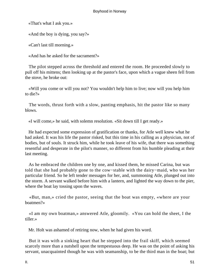«That's what I ask you.»

«And the boy is dying, you say?»

«Can't last till morning.»

«And has he asked for the sacrament?»

 The pilot stepped across the threshold and entered the room. He proceeded slowly to pull off his mittens; then looking up at the pastor's face, upon which a vague sheen fell from the stove, he broke out:

 «Will you come or will you not? You wouldn't help him to live; now will you help him to die?»

 The words, thrust forth with a slow, panting emphasis, hit the pastor like so many blows.

«I will come,» he said, with solemn resolution. «Sit down till I get ready.»

 He had expected some expression of gratification or thanks, for Atle well knew what he had asked. It was his life the pastor risked, but this time in his calling as a physician, not of bodies, but of souls. It struck him, while he took leave of his wife, that there was something resentful and desperate in the pilot's manner, so different from his humble pleading at their last meeting.

 As he embraced the children one by one, and kissed them, he missed Carina, but was told that she had probably gone to the cow−stable with the dairy−maid, who was her particular friend. So he left tender messages for her, and, summoning Atle, plunged out into the storm. A servant walked before him with a lantern, and lighted the way down to the pier, where the boat lay tossing upon the waves.

 «But, man,» cried the pastor, seeing that the boat was empty, «where are your boatmen?»

 «I am my own boatman,» answered Atle, gloomily. «You can hold the sheet, I the tiller.»

Mr. Holt was ashamed of retiring now, when he had given his word.

 But it was with a sinking heart that he stepped into the frail skiff, which seemed scarcely more than a nutshell upon the tempestuous deep. He was on the point of asking his servant, unacquainted though he was with seamanship, to be the third man in the boat; but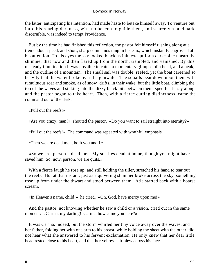the latter, anticipating his intention, had made haste to betake himself away. To venture out into this roaring darkness, with no beacon to guide them, and scarcely a landmark discernible, was indeed to tempt Providence.

 But by the time he had finished this reflection, the pastor felt himself rushing along at a tremendous speed, and short, sharp commands rang in his ears, which instantly engrossed all his attention. To his eyes the sky looked black as ink, except for a dark−blue unearthly shimmer that now and then flared up from the north, trembled, and vanished. By this unsteady illumination it was possible to catch a momentary glimpse of a head, and a peak, and the outline of a mountain. The small sail was double−reefed, yet the boat careened so heavily that the water broke over the gunwale. The squalls beat down upon them with tumultuous roar and smoke, as of snow−drifts, in their wake; but the little boat, climbing the top of the waves and sinking into the dizzy black pits between them, sped fearlessly along and the pastor began to take heart. Then, with a fierce cutting distinctness, came the command out of the dark.

«Pull out the reefs!»

«Are you crazy, man?» shouted the pastor. «Do you want to sail straight into eternity?»

«Pull out the reefs!» The command was repeated with wrathful emphasis.

«Then we are dead men, both you and I.»

 «So we are, parson – dead men. My son lies dead at home, though you might have saved him. So, now, parson, we are quits.»

With a fierce laugh he rose up, and still holding the tiller, stretched his hand to tear out the reefs. But at that instant, just as a quivering shimmer broke across the sky, something rose up from under the thwart and stood between them. Atle started back with a hoarse scream.

«In Heaven's name, child!» he cried. «Oh, God, have mercy upon me!»

 And the pastor, not knowing whether he saw a child or a vision, cried out in the same moment: «Carina, my darling! Carina, how came you here?»

 It was Carina, indeed; but the storm whirled her tiny voice away over the waves, and her father, folding her with one arm to his breast, while holding the sheet with the other, did not hear what she answered to his fervent exclamation. He only knew that her dear little head rested close to his heart, and that her yellow hair blew across his face.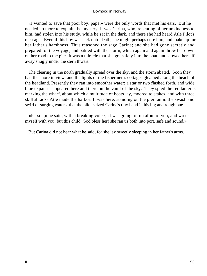«I wanted to save that poor boy, papa,» were the only words that met his ears. But he needed no more to explain the mystery. It was Carina, who, repenting of her unkindness to him, had stolen into his study, while he sat in the dark, and there she had heard Atle Pilot's message. Even if this boy was sick unto death, she might perhaps cure him, and make up for her father's harshness. Thus reasoned the sage Carina; and she had gone secretly and prepared for the voyage, and battled with the storm, which again and again threw her down on her road to the pier. It was a miracle that she got safely into the boat, and stowed herself away snugly under the stern thwart.

 The clearing in the north gradually spread over the sky, and the storm abated. Soon they had the shore in view, and the lights of the fishermen's cottages gleamed along the beach of the headland. Presently they ran into smoother water; a star or two flashed forth, and wide blue expanses appeared here and there on the vault of the sky. They spied the red lanterns marking the wharf, about which a multitude of boats lay, moored to stakes, and with three skilful tacks Atle made the harbor. It was here, standing on the pier, amid the swash and swirl of surging waters, that the pilot seized Carina's tiny hand in his big and rough one.

 «Parson,» he said, with a breaking voice, «I was going to run afoul of you, and wreck myself with you; but this child, God bless her! she ran us both into port, safe and sound.»

But Carina did not hear what he said, for she lay sweetly sleeping in her father's arms.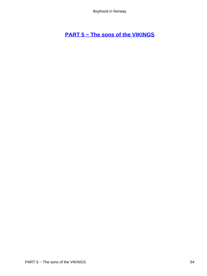# **[PART 5 − The sons of the VIKINGS](#page-135-0)**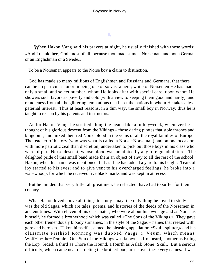# **[I.](#page-135-0)**

*W*hen Hakon Vang said his prayers at night, he usually finished with these words: «And I thank thee, God, most of all, because thou madest me a Norseman, and not a German or an Englishman or a Swede.»

To be a Norseman appears to the Norse boy a claim to distinction.

 God has made so many millions of Englishmen and Russians and Germans, that there can be no particular honor in being one of so vast a herd; while of Norsemen He has made only a small and select number, whom He looks after with special care; upon whom He showers such favors as poverty and cold (with a view to keeping them good and hardy), and remoteness from all the glittering temptations that beset the nations in whom He takes a less paternal interest. Thus at least reasons, in a dim way, the small boy in Norway; thus he is taught to reason by his parents and instructors.

 As for Hakon Vang, he strutted along the beach like a turkey−cock, whenever he thought of his glorious descent from the Vikings – those daring pirates that stole thrones and kingdoms, and mixed their red Norse blood in the veins of all the royal families of Europe. The teacher of history (who was what is called a Norse−Norseman) had on one occasion, with more patriotic zeal than discretion, undertaken to pick out those boys in his class who were of pure Norse descent; whose blood was untainted by any foreign admixture. The delighted pride of this small band made them an object of envy to all the rest of the school. Hakon, when his name was mentioned, felt as if he had added a yard to his height. Tears of joy started to his eyes; and to give vent to his overcharged feelings, he broke into a war−whoop; for which he received five black marks and was kept in at recess.

 But he minded that very little; all great men, he reflected, have had to suffer for their country.

What Hakon loved above all things to study – nay, the only thing he loved to study – was the old Sagas, which are tales, poems, and histories of the deeds of the Norsemen in ancient times. With eleven of his classmates, who were about his own age and as Norse as himself, he formed a brotherhood which was called «The Sons of the Vikings.» They gave each other tremendously bloody surnames, in the style of the Sagas – names that reeked with gore and heroism. Hakon himself assumed the pleasing appellation «Skull−splitter,» and his classmate Frithjof Ronning was dubbed Vargr−i−Veum, which means Wolf−in−the−Temple. One Son of the Vikings was known as Ironbeard, another as Erling the Lop−Sided, a third as Thore the Hound, a fourth as Aslak Stone−Skull. But a serious difficulty, which came near disrupting the brotherhood, arose over these very names. It was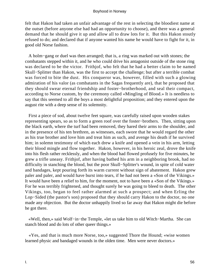felt that Hakon had taken an unfair advantage of the rest in selecting the bloodiest name at the outset (before anyone else had had an opportunity to choose), and there was a general demand that he should give it up and allow all to draw lots for it. But this Hakon stoutly refused to do; and declared that if anyone wanted his name he would have to fight for it, in good old Norse fashion.

 A holm−gang or duel was then arranged; that is, a ring was marked out with stones; the combatants stepped within it, and he who could drive his antagonist outside of the stone ring was declared to be the victor. Frithjof, who felt that he had a better claim to be named Skull−Splitter than Hakon, was the first to accept the challenge; but after a terrible combat was forced to bite the dust. His conqueror was, however, filled with such a glowing admiration of his valor (as combatants in the Sagas frequently are), that he proposed that they should swear eternal friendship and foster−brotherhood, and seal their compact, according to Norse custom, by the ceremony called «Mingling of Blood.» It is needless to say that this seemed to all the boys a most delightful proposition; and they entered upon the august rite with a deep sense of its solemnity.

 First a piece of sod, about twelve feet square, was carefully raised upon wooden stakes representing spears, so as to form a green roof over the foster−brothers. Then, sitting upon the black earth, where the turf had been removed, they bared their arms to the shoulder, and in the presence of his ten brethren, as witnesses, each swore that he would regard the other as his true brother and love him and treat him as such, and avenge his death if he survived him; in solemn testimony of which each drew a knife and opened a vein in his arm, letting their blood mingle and flow together. Hakon, however, in his heroic zeal, drove the knife into his flesh rather recklessly, and when the blood had flowed profusely for five minutes, he grew a trifle uneasy. Frithjof, after having bathed his arm in a neighboring brook, had no difficulty in stanching the blood, but the poor Skull−Splitter's wound, in spite of cold water and bandages, kept pouring forth its warm current without sign of abatement. Hakon grew paler and paler, and would have burst into tears, if he had not been a «Son of the Vikings.» It would have been a relief to him, for the moment, not to have been a «Son of the Vikings.» For he was terribly frightened, and thought surely he was going to bleed to death. The other Vikings, too, began to feel rather alarmed at such a prospect; and when Erling the Lop−Sided (the pastor's son) proposed that they should carry Hakon to the doctor, no one made any objection. But the doctor unhappily lived so far away that Hakon might die before he got there.

 «Well, then,» said Wolf−in−the Temple, «let us take him to old Witch−Martha. She can stanch blood and do lots of other queer things.»

 «Yes, and that is much more Norse, too,» suggested Thore the Hound; «wise women learned physic and bandaged wounds in the olden time. Men were never doctors.»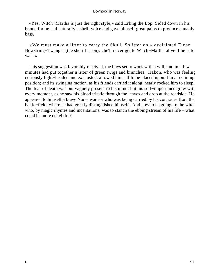«Yes, Witch−Martha is just the right style,» said Erling the Lop−Sided down in his boots; for he had naturally a shrill voice and gave himself great pains to produce a manly bass.

 «We must make a litter to carry the Skull−Splitter on,» exclaimed Einar Bowstring−Twanger (the sheriff's son); «he'll never get to Witch−Martha alive if he is to walk.»

 This suggestion was favorably received, the boys set to work with a will, and in a few minutes had put together a litter of green twigs and branches. Hakon, who was feeling curiously light−headed and exhausted, allowed himself to be placed upon it in a reclining position; and its swinging motion, as his friends carried it along, nearly rocked him to sleep. The fear of death was but vaguely present to his mind; but his self−importance grew with every moment, as he saw his blood trickle through the leaves and drop at the roadside. He appeared to himself a brave Norse warrior who was being carried by his comrades from the battle−field, where he had greatly distinguished himself. And now to be going, to the witch who, by magic rhymes and incantations, was to stanch the ebbing stream of his life – what could be more delightful?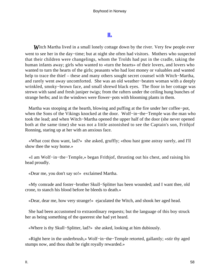# **[II.](#page-135-0)**

**W**itch Martha lived in a small lonely cottage down by the river. Very few people ever went to see her in the day−time; but at night she often had visitors. Mothers who suspected that their children were changelings, whom the Trolds had put in the cradle, taking the human infants away; girls who wanted to «turn the hearts» of their lovers, and lovers who wanted to turn the hearts of the girls; peasants who had lost money or valuables and wanted help to trace the thief – these and many others sought secret counsel with Witch−Martha, and rarely went away uncomforted. She was an old weather−beaten woman with a deeply wrinkled, smoky−brown face, and small shrewd black eyes. The floor in her cottage was strewn with sand and fresh juniper twigs; from the rafters under the ceiling hung bunches of strange herbs; and in the windows were flower−pots with blooming plants in them.

 Martha was stooping at the hearth, blowing and puffing at the fire under her coffee−pot, when the Sons of the Vikings knocked at the door. Wolf−in−the–Temple was the man who took the lead; and when Witch−Martha opened the upper half of the door (she never opened both at the same time) she was not a little astonished to see the Captain's son, Frithjof Ronning, staring up at her with an anxious face.

 «What cost thou want, lad?» she asked, gruffly; «thou hast gone astray surely, and I'll show thee the way home.»

 «I am Wolf−in−the−Temple,» began Frithjof, thrusting out his chest, and raising his head proudly.

«Dear me, you don't say so!» exclaimed Martha.

 «My comrade and foster−brother Skull−Splitter has been wounded; and I want thee, old crone, to stanch his blood before he bleeds to death.»

«Dear, dear me, how very strange!» ejaculated the Witch, and shook her aged head.

 She had been accustomed to extraordinary requests; but the language of this boy struck her as being something of the queerest she had yet heard.

«Where is thy Skull−Splitter, lad?» she asked, looking at him dubiously.

 «Right here in the underbrush,» Wolf−in−the−Temple retorted, gallantly; «stir thy aged stumps now, and thou shalt be right royally rewarded.»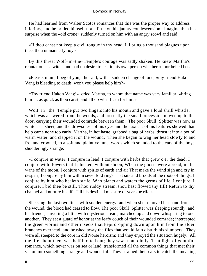He had learned from Walter Scott's romances that this was the proper way to address inferiors, and he prided himself not a little on his jaunty condescension. Imagine then his surprise when the «old crone» suddenly turned on him with an angry scowl and said:

 «If thou canst not keep a civil tongue in thy head, I'll bring a thousand plagues upon thee, thou umnannerly boy.»

 By this threat Wolf−in−the−Temple's courage was sadly shaken. He knew Martha's reputation as a witch, and had no desire to test in his own person whether rumor belied her.

 «Please, mum, I beg of you,» he said, with a sudden change of tone; «my friend Hakon Vang is bleeding to death; won't you please help him?»

 «Thy friend Hakon Vang!» cried Martha, to whom that name was very familiar; «bring him in, as quick as thou canst, and I'll do what I can for him.»

 Wolf−in− the−Temple put two fingers into his mouth and gave a loud shrill whistle, which was answered from the woods, and presently the small procession moved up to the door, carrying their wounded comrade between them. The poor Skull−Splitter was now as white as a sheet, and the drowsiness of his eyes and the laxness of his features showed that help came none too early. Martha, in hot haste, grabbed a bag of herbs, thrust it into a pot of warm water, and clapped it on the wound. Then she began to wag her head slowly to and fro, and crooned, to a soft and plaintive tune, words which sounded to the ears of the boys shudderingly strange:

 «I conjure in water, I conjure in lead, I conjure with herbs that grew o'er the dead; I conjure with flowers that I plucked, without shoon, When the ghosts were abroad, in the wane of the moon. I conjure with spirits of earth and air That make the wind sigh and cry in despair; I conjure by him within sevenfold rings That sits and broods at the roots of things. I conjure by him who healeth strife, Who plants and waters the germs of life. I conjure, I conjure, I bid thee be still, Thou ruddy stream, thou hast flowed thy fill! Return to thy channel and nurture his life Till his destined measure of years be rife.»

 She sang the last two lines with sudden energy; and when she removed her hand from the wound, the blood had ceased to flow. The poor Skull−Splitter was sleeping soundly; and his friends, shivering a little with mysterious fears, marched up and down whispering to one another. They set a guard of honor at the leafy couch of their wounded comrade; intercepted the green worms and other insects that kept dropping down upon him from the alder branches overhead, and brushed away the flies that would fain disturb his slumbers. They were all steeped to the core in old Norse heroism; and they enjoyed the situation hugely. All the life about them was half blotted out; they saw it but dimly. That light of youthful romance, which never was on sea or land, transformed all the common things that met their vision into something strange and wonderful. They strained their ears to catch the meaning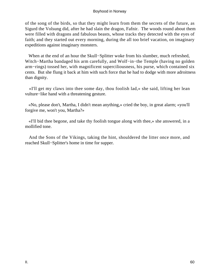of the song of the birds, so that they might learn from them the secrets of the future, as Sigurd the Volsung did, after he had slain the dragon, Fafnir. The woods round about them were filled with dragons and fabulous beasts, whose tracks they detected with the eyes of faith; and they started out every morning, during the all too brief vacation, on imaginary expeditions against imaginary monsters.

 When at the end of an hour the Skull−Splitter woke from his slumber, much refreshed, Witch−Martha bandaged his arm carefully, and Wolf−in−the Temple (having no golden arm−rings) tossed her, with magnificent superciliousness, his purse, which contained six cents. But she flung it back at him with such force that he had to dodge with more adroitness than dignity.

 «I'll get my claws into thee some day, thou foolish lad,» she said, lifting her lean vulture−like hand with a threatening gesture.

 «No, please don't, Martha, I didn't mean anything,» cried the boy, in great alarm; «you'll forgive me, won't you, Martha?»

 «I'll bid thee begone, and take thy foolish tongue along with thee,» she answered, in a mollified tone.

 And the Sons of the Vikings, taking the hint, shouldered the litter once more, and reached Skull−Splitter's home in time for supper.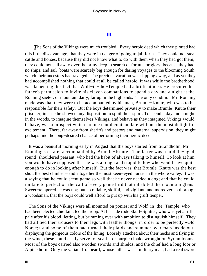# **[III.](#page-135-0)**

**The Sons of the Vikings were much troubled.** Every heroic deed which they plotted had this little disadvantage, that they were in danger of going to jail for it. They could not steal cattle and horses, because they did not know what to do with them when they had got them; they could not sail away over the briny deep in search of fortune or glory, because they had no ships; and sail−boats were scarcely big enough for daring voyages to the blooming South which their ancestors had ravaged. The precious vacation was slipping away, and as yet they had accomplished nothing that could at all be called heroic. It was while the brotherhood was lamenting this fact that Wolf−in−the−Temple had a brilliant idea. He procured his father's permission to invite his eleven companions to spend a day and a night at the Ronning saeter, or mountain dairy, far up in the highlands. The only condition Mr. Ronning made was that they were to be accompanied by his man, Brumle−Knute, who was to be responsible for their safety. But the boys determined privately to make Brumle−Knute their prisoner, in case he showed any disposition to spoil their sport. To spend a day and a night in the woods, to imagine themselves Vikings, and behave as they imagined Vikings would behave, was a prospect which no one could contemplate without the most delightful excitement. There, far away from sheriffs and pastors and maternal supervision, they might perhaps find the long−desired chance of performing their heroic deed.

 It was a beautiful morning early in August that the boys started from Strandholm, Mr. Ronning's estate, accompanied by Brumle−Knute. The latter was a middle−aged, round−shouldered peasant, who had the habit of always talking to himself. To look at him you would have supposed that he was a rough and stupid fellow who would have quite enough to do in looking after himself. But the fact was, that Brumle−Knute was the best shot, the best climber – and altogether the most keen−eyed hunter in the whole valley. It was a saying that he could scent game so well that he never needed a dog; and that he could imitate to perfection the call of every game bird that inhabited the mountain glens. Sweet−tempered he was not; but so reliable, skilful, and vigilant, and moreover so thorough a woodsman, that the boys could well afford to put up with his gruff temper.

 The Sons of the Vikings were all mounted on ponies; and Wolf−in−the−Temple, who had been elected chieftain, led the troop. At his side rode Skull−Splitter, who was yet a trifle pale after his blood−letting, but brimming over with ambition to distinguish himself. They had all tied their trousers to their legs with leather thongs, in order to be perfectly «Old Norse;» and some of them had turned their plaids and summer overcoats inside out, displaying the gorgeous colors of the lining. Loosely attached about their necks and flying in the wind, these could easily serve for scarlet or purple cloaks wrought on Syrian looms. Most of the boys carried also wooden swords and shields, and the chief had a long loor or Alpine horn. Only the valiant Ironbeard, whose father was a military man, had a real sword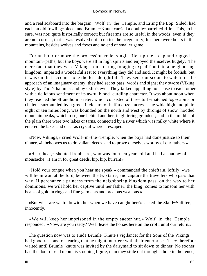and a real scabbard into the bargain. Wolf−in−the−Temple, and Erling the Lop−Sided, had each an old fowling−piece; and Brumle−Knute carried a double−barrelled rifle. This, to be sure, was not; quite historically correct; but firearms are so useful in the woods, even if they are not correct, that it was resolved not to notice the irregularity; for there were boars in the mountains, besides wolves and foxes and no end of smaller game.

 For an hour or more the procession rode, single file, up the steep and rugged mountain−paths; but the boys were all in high spirits and enjoyed themselves hugely. The mere fact that they were Vikings, on a daring foraging expedition into a neighboring kingdom, imparted a wonderful zest to everything they did and said. It might be foolish, but it was on that account none the less delightful. They sent out scouts to watch for the approach of an imaginary enemy; they had secret pass−words and signs; they swore (Viking style) by Thor's hammer and by Odin's eye. They talked appalling nonsense to each other with a delicious sentiment of its awful blood−curdling character. It was about noon when they reached the Strandholm saeter, which consisted of three turf−thatched log−cabins or chalets, surrounded by a green inclosure of half a dozen acres. The wide highland plain, eight or ten miles long, was bounded on the north and west by throngs of snow−hooded mountain peaks, which rose, one behind another, in glittering grandeur; and in the middle of the plain there were two lakes or tarns, connected by a river which was milky white where it entered the lakes and clear as crystal where it escaped.

 «Now, Vikings,» cried Wolf−in−the−Temple, when the boys had done justice to their dinner, «it behooves us to do valiant deeds, and to prove ourselves worthy of our fathers.»

 «Hear, hear,» shouted Ironbeard, who was fourteen years old and had a shadow of a moustache, «I am in for great deeds, hip, hip, hurrah!»

 «Hold your tongue when you hear me speak,» commanded the chieftain, loftily; «we will lie in wait at the ford, between the two tarns, and capture the travellers who pass that way. If perchance a princess from the neighboring kingdom pass, on the way to her dominions, we will hold her captive until her father, the king, comes to ransom her with heaps of gold in rings and fine garments and precious weapons.»

 «But what are we to do with her when we have caught her?» asked the Skull−Splitter, innocently.

 «We will keep her imprisoned in the empty saeter hut,» Wolf−in−the−Temple responded. «Now, are you ready? We'll leave the horses here on the croft, until our return.»

 The question now was to elude Brumle−Knute's vigilance; for the Sons of the Vikings had good reasons for fearing that he might interfere with their enterprise. They therefore waited until Brumle−knute was invited by the dairymaid to sit down to dinner. No sooner had the door closed upon his stooping figure, than they stole out through a hole in the fence,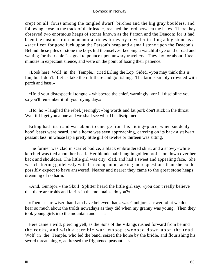crept on all−fours among the tangled dwarf−birches and the big gray boulders, and following close in the track of their leader, reached the ford between the lakes. There they observed two enormous heaps of stones known as the Parson and the Deacon; for it had been the custom from immemorial times for every traveller to fling a big stone as a «sacrifice» for good luck upon the Parson's heap and a small stone upon the Deacon's. Behind these piles of stone the boys hid themselves, keeping a watchful eye on the road and waiting for their chief's signal to pounce upon unwary travellers. They lay for about fifteen minutes in expectant silence, and were on the point of losing their patience.

 «Look here, Wolf−in−the−Temple,» cried Erling the Lop−Sided, «you may think this is fun, but I don't. Let us take the raft there and go fishing. The tarn is simply crowded with perch and bass.»

 «Hold your disrespectful tongue,» whispered the chief, warningly, «or I'll discipline you so you'll remember it till your dying day.»

 «Ho, ho!» laughed the rebel, jeeringly; «big words and fat pork don't stick in the throat. Wait till I get you alone and we shall see who'll be disciplined.»

 Erling had risen and was about to emerge from his hiding−place, when suddenly hoof−beats were heard, and a horse was seen approaching, carrying on its back a stalwart peasant lass, in whose lap a pretty little girl of twelve or thirteen was sitting.

 The former was clad in scarlet bodice, a black embroidered skirt, and a snowy−white kerchief was tied about her head. Her blonde hair hung in golden profusion down over her back and shoulders. The little girl was city−clad, and had a sweet and appealing face. She was chattering guilelessly with her companion, asking more questions than she could possibly expect to have answered. Nearer and nearer they came to the great stone heaps, dreaming of no harm.

 «And, Gunbjor,» the Skull−Splitter heard the little girl say, «you don't really believe that there are trolds and fairies in the mountains, do you?»

 «Them as are wiser than I am have believed that,» was Gunbjor's answer; «but we don't hear so much about the trolds nowadays as they did when my granny was young. Then they took young girls into the mountain and  $- - \infty$ 

 Here came a wild, piercing yell, as the Sons of the Vikings rushed forward from behind the rocks, and with a terrible war−whoop swooped down upon the road. Wolf−in−the−Temple, who led the band, seized the horse by the bridle, and flourishing his sword threateningly, addressed the frightened peasant lass.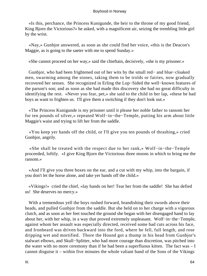«Is this, perchance, the Princess Kunigunde, the heir to the throne of my good friend, King Bjorn the Victorious?» he asked, with a magnificent air, seizing the trembling little girl by the wrist.

 «Nay,» Gunbjor answered, as soon as she could find her voice, «this is the Deacon's Maggie, as is going to the saeter with me to spend Sunday.»

«She cannot proceed on her way,» said the chieftain, decisively, «she is my prisoner.»

 Gunbjor, who had been frightened out of her wits by the small red− and blue−cloaked men, swarming among the stones, taking them to be trolds or fairies, now gradually recovered her senses. She recognized in Erling the Lop−Sided the well−known features of the parson's son; and as soon as she had made this discovery she had no great difficulty in identifying the rest. «Never you fear, pet,» she said to the child in her lap, «these be bad boys as want to frighten us. I'll give them a switching if they don't look out.»

 «The Princess Kunigunde is my prisoner until it please her noble father to ransom her for ten pounds of silver,» repeated Wolf−in−the−Temple, putting his arm about little Maggie's waist and trying to lift her from the saddle.

 «You keep yer hands off the child, or I'll give you ten pounds of thrashing,» cried Gunbjor, angrily.

 «She shall be treated with the respect due to her rank,» Wolf−in−the−Temple proceeded, loftily. «I give King Bjorn the Victorious three moons in which to bring me the ransom.»

 «And I'll give you three boxes on the ear, and a cut with my whip, into the bargain, if you don't let the horse alone, and take yer hands off the child.»

 «Vikings!» cried the chief, «lay hands on her! Tear her from the saddle! She has defied us! She deserves no mercy.»

 With a tremendous yell the boys rushed forward, brandishing their swords above their heads, and pulled Gunbjor from the saddle. But she held on to her charge with a vigorous clutch, and as soon as her feet touched the ground she began with her disengaged hand to lay about her, with her whip, in a way that proved extremely unpleasant. Wolf−in−the−Temple, against whom her assault was especially directed, received some bad cuts across his face, and Ironbeard was driven backward into the ford, where he fell, full length, and rose dripping wet and mortified. Thore the Hound got a thump in his head from Gunbjor's stalwart elbows, and Skull−Splitter, who had more courage than discretion, was pitched into the water with no more ceremony than if he had been a superfluous kitten. The fact was  $-1$ cannot disguise it – within five minutes the whole valiant band of the Sons of the Vikings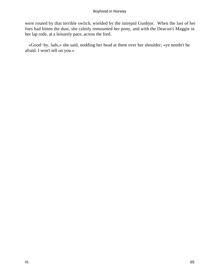were routed by that terrible switch, wielded by the intrepid Gunbjor. When the last of her foes had bitten the dust, she calmly remounted her pony, and with the Deacon's Maggie in her lap rode, at a leisurely pace, across the ford.

 «Good−by, lads,» she said, nodding her head at them over her shoulder; «ye needn't be afraid. I won't tell on you.»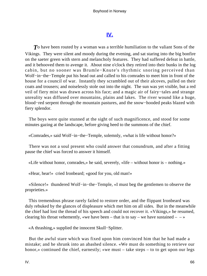# **[IV.](#page-135-0)**

**T** b have been routed by a woman was a terrible humiliation to the valiant Sons of the Vikings. They were silent and moody during the evening, and sat staring into the big bonfire on the saeter green with stern and melancholy features. They had suffered defeat in battle, and it behooved them to avenge it. About nine o'clock they retired into their bunks in the log cabin, but no sooner was Brumle−Knute's rhythmic snoring perceived than Wolf−in−the−Temple put his head out and called to his comrades to meet him in front of the house for a council of war. Instantly they scrambled out of their alcoves, pulled on their coats and trousers; and noiselessly stole out into the night. The sun was yet visible, but a red veil of fiery mist was drawn across his face; and a magic air of fairy−tales and strange unreality was diffused over mountains, plains and lakes. The river wound like a huge, blood−red serpent through the mountain pastures, and the snow−hooded peaks blazed with fiery splendor.

 The boys were quite stunned at the sight of such magnificence, and stood for some minutes gazing at the landscape, before giving heed to the summons of the chief.

«Comrades,» said Wolf−in−the−Temple, solemnly, «what is life without honor?»

 There was not a soul present who could answer that conundrum, and after a fitting pause the chief was forced to answer it himself.

«Life without honor, comrades,» he said, severely, «life – without honor is – nothing.»

«Hear, hear!» cried Ironbeard; «good for you, old man!»

 «Silence!» thundered Wolf−in−the−Temple, «I must beg the gentlemen to observe the proprieties.»

 This tremendous phrase rarely failed to restore order, and the flippant Ironbeard was duly rebuked by the glances of displeasure which met him on all sides. But in the meanwhile the chief had lost the thread of his speech and could not recover it. «Vikings,» he resumed, clearing his throat vehemently, «we have been – that is to say – we have sustained –  $-\rightarrow$ 

«A thrashing,» supplied the innocent Skull−Splitter.

 But the awful stare which was fixed upon him convinced him that he had made a mistake; and he shrunk into an abashed silence. «We must do something to retrieve our honor,» continued the chief, earnestly; «we must – take steps – to to get upon our legs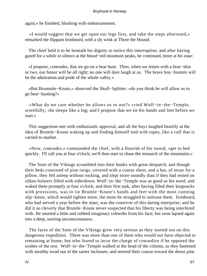again,» he finished, blushing with embarrassment.

 «I would suggest that we get upon our legs first, and take the steps afterward,» remarked the flippant Ironbeard, with a sly wink at Thore the Hound.

 The chief held it to be beneath his dignity to notice this interruption, and after having gazed for a while in silence at the blood−red mountain peaks, he continued, more at his ease:

 «I propose, comrades, that we go on a bear hunt. Then, when we return with a bear−skin or two, our honor will be all right; no one will dare laugh at us. The brave boy−hunters will be the admiration and pride of the whole valley.»

 «But Brummle−Knute,» observed the Skull−Splitter; «do you think he will allow us to go bear−hunting?»

 «What do we care whether he allows us or not?» cried Wolf−in−the−Temple, scornfully; «he sleeps like a log; and I propose that we tie his hands and feet before we start.»

 This suggestion met with enthusiastic approval, and all the boys laughed heartily at the idea of Brumle−Knute waking up and finding himself tied with ropes, like a calf that is carried to market.

 «Now, comrades,» commanded the chief, with a flourish of his sword, «get to bed quickly. I'll call you at four o'clock; we'll then start to chase the monarch of the mountains.»

 The Sons of the Vikings scrambled into their bunks with great despatch; and though their beds consisted of pine twigs, covered with a coarse sheet, and a bat, of straw for a pillow, they fell asleep without rocking, and slept more soundly than if they had rested on silken bolsters filled with eiderdown. Wolf−in−the−Temple was as good as his word, and waked them promptly at four o'clock; and their first task, after having filled their knapsacks with provisions, was to tie Brumle−Knute's hands and feet with the most cunning slip−knots, which would tighten more, the more he struggled to unloose them. Ironbeard, who had served a year before the mast, was the contriver of this daring enterprise; and he did it so cleverly that Brumle−Knute never suspected that his liberty was being interfered with. He snorted a little and rubbed imaginary cobwebs from his face; but soon lapsed again into a deep, snoring unconsciousness.

 The faces of the Sons of the Vikings grew very serious as they started out on this dangerous expedition. There was more than one of them who would not have objected to remaining at home, but who feared to incur the charge of cowardice if he opposed the wishes of the rest. Wolf–in–the–Temple walked at the head of the column, as they hastened with stealthy tread out of the saeter inclosure, and steered their course toward the dense pine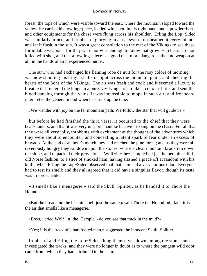forest, the tops of which were visible toward the east, where the mountain sloped toward the valley. He carried his fowling−piece, loaded with shot, in his right hand, and a powder−horn and other equipments for the chase were flung across his shoulder. Erling the Lop−Sided was similarly armed, and Ironbeard, glorying in a real sword, unsheathed it every minute and let it flash in the sun. It was a great consolation to the rest of the Vikings to see these formidable weapons; for they were not wise enough to know that grown−up bears are not killed with shot, and that a fowling−piece is a good deal more dangerous than no weapon at all, in the hands of an inexperienced hunter.

 The sun, who had exchanged his flaming robe de nuit for the rosy colors of morning, was now shooting his bright shafts of light across the mountain plain, and cheering the hearts of the Sons of the Vikings. The air was fresh and cool; and it seemed a luxury to breathe it. It entered the lungs in a pure, vivifying stream like an elixir of life, and sent the blood dancing through the veins. It was impossible to mope in such air; and Ironbeard interpreted the general mood when he struck up the tune:

«We wander with joy on the far mountain path, We follow the star that will guide us;»

 but before he had finished the third verse, it occurred to the chief that they were bear−hunters, and that it was very unsportsmanlike behavior to sing on the chase. For all that they were all very jolly, throbbing with excitement at the thought of the adventures which they were about to encounter; and concealing a latent spark of fear under an excess of bravado. At the end of an hour's march they had reached the pine forest; and as they were all ravenously hungry they sat down upon the stones, where a clear mountain brook ran down the slope, and unpacked their provisions. Wolf−in−the−Temple had just helped himself, in old Norse fashion, to a slice of smoked ham, having slashed a piece off at random with his knife, when Erling the Lop−Sided observed that that ham had a very curious odor. Everyone had to test its smell; and they all agreed that it did have a singular flavor, though its taste was irreproachable.

 «It smells like a menagerie,» said the Skull−Splitter, as he handed it to Thore the Hound.

 «But the bread and the biscuit smell just the same,» said Thore the Hound; «in fact, it is the air that smells like a menagerie.»

«Boys,» cried Wolf−in−the−Temple, «do you see that track in the mud?»

«Yes; it is the track of a barefooted man,» suggested the innocent Skull−Splitter.

 Ironbeard and Erling the Lop−Sided flung themselves down among the stones and investigated the tracks; and they were no longer in doubt as to where the pungent wild odor came from, which they had attributed to the ham.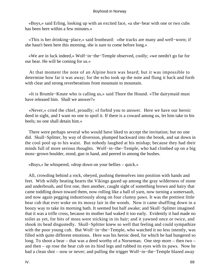«Boys,» said Erling, looking up with an excited face, «a she−bear with one or two cubs has been here within a few minutes.»

 «This is her drinking−place,» said Ironbeard: «the tracks are many and well−worn; if she hasn't been here this morning, she is sure to come before long.»

 «We are in luck indeed,» Wolf−in−the−Temple observed, coolly; «we needn't go far for our bear. He will be coming for us.»

 At that moment the note of an Alpine horn was heard; but it was impossible to determine how far it was away; for the echo took up the note and flung it back and forth with clear and strong reverberations from mountain to mountain.

 «It is Brumle−Knute who is calling us,» said Thore the Hound. «The dairymaid must have released him. Shall we answer?»

 «Never,» cried the chief, proudly; «I forbid you to answer. Here we have our heroic deed in sight, and I want no one to spoil it. If there is a coward among us, let him take to his heels; no one shall detain him.»

 There were perhaps several who would have liked to accept the invitation; but no one did. Skull−Splitter, by way of diversion, plumped backward into the brook, and sat down in the cool pool up to his waist. But nobody laughed at his mishap; because they had their minds full of more serious thoughts. Wolf−in−the−Temple, who had climbed up on a big moss−grown boulder, stood, gun in hand, and peered in among the bushes.

«Boys,» he whispered, «drop down on your bellies – quick.»

 All, crowding behind a rock, obeyed, pushing themselves into position with hands and feet. With wildly beating hearts the Vikings gazed up among the gray wilderness of stone and underbrush, and first one, then another, caught sight of something brown and hairy that came toddling down toward them, now rolling like a ball of yarn, now turning a somersault, and now again pegging industriously along on four clumsy paws. It was the prettiest little bear cub that ever woke on its mossy lair in the woods. Now it came shuffling down in a boozy way to take its morning bath. It seemed but half awake; and Skull−Splitter imagined that it was a trifle cross, because its mother had waked it too early. Evidently it had made no toilet as yet, for bits of moss were sticking in its hair; and it yawned once or twice, and shook its head disgustedly. Skull−Splitter knew so well that feeling and could sympathize with the poor young cub. But Wolf−in−the–Temple, who watched it no less intently, was filled with quite different emotions. Here was his heroic deed, for which he had hungered so long. To shoot a bear – that was a deed worthy of a Norseman. One step more – then two – and then – up rose the bear cub on its hind legs and rubbed its eyes with its paws. Now he had a clean shot – now or never; and pulling the trigger Wolf−in−the−Temple blazed away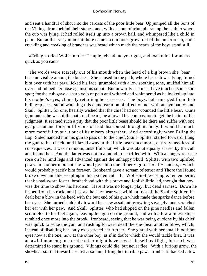and sent a handful of shot into the carcass of the poor little bear. Up jumped all the Sons of the Vikings from behind their stones, and, with a shout of triumph, ran up the path to where the cub was lying. It had rolled itself up into a brown ball, and whimpered like a child in pain. But at that very moment there came an ominous growl out of the underbrush, and a crackling and creaking of branches was heard which made the hearts of the boys stand still.

 «Erling,» cried Wolf−in−the−Temple, «hand me your gun, and load mine for me as quick as you can.»

 The words were scarcely out of his mouth when the head of a big brown she−bear became visible among the bushes. She paused in the path, where her cub was lying, turned him over with her paw, licked his face, grumbled with a low soothing tone, snuffed him all over and rubbed her nose against his snout. But unwarily she must have touched some sore spot; for the cub gave a sharp yelp of pain and writhed and whimpered as he looked up into his mother's eyes, clumsily returning her caresses. The boys, half emerged from their hiding−places, stood watching this demonstration of affection not without sympathy; and Skull−Splitter, for one, heartily wished that the chief had not wounded the little bear. Quite ignorant as he was of the nature of bears, he allowed his compassion to get the better of his judgment. It seemed such a pity that the poor little beast should lie there and suffer with one eye put out and forty or fifty bits of lead distributed through its body. It would be much more merciful to put it out of its misery altogether. And accordingly when Erling the Lop−Sided handed him his gun to pass on to the chief, Skull−Splitter started forward, flung the gun to his cheek, and blazed away at the little bear once more, entirely heedless of consequences. It was a random, unskilful shot, which was about equally shared by the cub and its mother. And the latter was not in a mood to be trifled with. With an angry roar she rose on her hind legs and advanced against the unhappy Skull−Splitter with two uplifted paws. In another moment she would give him one of her vigorous «left−handers,» which would probably pacify him forever. Ironbeard gave a scream of terror and Thore the Hound broke down an alder−sapling in his excitement. But Wolf−in−the−Temple, remembering that he had sworn foster−brotherhood with this brave and foolish little lad, thought that now was the time to show his heroism. Here it was no longer play, but dead earnest. Down he leaped from his rock, and just as the she−bear was within a foot of the Skull−Splitter, he dealt her a blow in the head with the butt end of his gun which made the sparks dance before her eyes. She turned suddenly toward her new assailant, growling savagely, and scratched her ear with her paw. And Skull−Splitter, who had slipped on the pine needles and fallen, scrambled to his feet again, leaving his gun on the ground, and with a few aimless steps tumbled once more into the brook. Ironbeard, seeing that he was being outdone by his chief, was quick to seize the gun, and rushing forward dealt the she−bear another blow, which, instead of disabling her, only exasperated her further. She glared with her small bloodshot eyes now at the one, now at the other boy, as if in doubt which she would tackle first. It was an awful moment; one or the other might have saved himself by flight, but each was determined to stand his ground. Vikings could die, but never flee. With a furious growl the she−bear started toward her last assailant, lifting her terrible paw. Ironbeard backed a few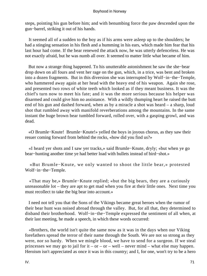steps, pointing his gun before him; and with benumbing force the paw descended upon the gun−barrel, striking it out of his hands.

 It seemed all of a sudden to the boy as if his arms were asleep up to the shoulders; he had a stinging sensation in his flesh and a humming in his ears, which made him fear that his last hour had come. If the bear renewed the attack now, he was utterly defenceless. He was not exactly afraid, but he was numb all over. It seemed to matter little what became of him.

 But now a strange thing happened. To his unutterable astonishment he saw the she−bear drop down on all fours and vent her rage on the gun, which, in a trice, was bent and broken into a dozen fragments. But in this diversion she was interrupted by Wolf−in−the−Temple, who hammered away again at her head with the heavy end of his weapon. Again she rose, and presented two rows of white teeth which looked as if they meant business. It was the chief's turn now to meet his fate; and it was the more serious because his helper was disarmed and could give him no assistance. With a wildly thumping heart he raised the butt end of his gun and dashed forward, when as by a miracle a shot was heard – a sharp, loud shot that rumbled away with manifold reverberations among the mountains. In the same instant the huge brown bear tumbled forward, rolled over, with a gasping growl, and was dead.

 «O Brumle−Knute! Brumle−Knute!» yelled the boys in joyous chorus, as they saw their resuer coming forward from behind the rocks, «how did you find us?»

 «I heard yer shots and I saw yer tracks,» said Brumle−Knute, dryly; «but when ye go bear−hunting another time ye had better load with bullets instead of bird−shot.»

 «But Brumle−Knute, we only wanted to shoot the little bear,» protested Wolf−in−the−Temple.

 «That may be,» Brumle−Knute replied; «but the big bears, they are a curiously unreasonable lot – they are apt to get mad when you fire at their little ones. Next time you must recollect to take the big bear into account.»

 I need not tell you that the Sons of the Vikings became great heroes when the rumor of their bear hunt was noised abroad through the valley. But, for all that, they determined to disband their brotherhood. Wolf−in−the−Temple expressed the sentiment of all when, at their last meeting, he made a speech, in which these words occurred:

 «Brothers, the world isn't quite the same now as it was in the days when our Viking forefathers spread the terror of their name through the South. We are not so strong as they were, nor so hardy. When we mingle blood, we have to send for a surgeon. If we steal princesses we may go to jail for it – or – or – well – never mind – what else may happen. Heroism isn't appreciated as once it was in this country; and I, for one, won't try to be a hero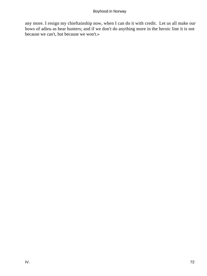any more. I resign my chieftainship now, when I can do it with credit. Let us all make our bows of adieu as bear hunters; and if we don't do anything more in the heroic line it is not because we can't, but because we won't.»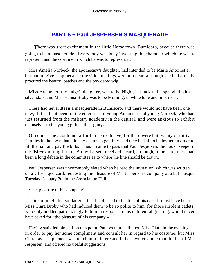## **[PART 6 − Paul JESPERSEN'S MASQUERADE](#page-135-0)**

**There was great excitement in the little Norse town, Bumlebro, because there was** going to be a masquerade. Everybody was busy inventing the character which he was to represent, and the costume in which he was to represent it.

 Miss Amelia Norbeck, the apothecary's daughter, had intended to be Marie Antoinette, but had to give it up because the silk stockings were too dear, although she had already procured the beauty−patches and the powdered wig.

 Miss Arctander, the judge's daughter, was to be Night, in black tulle, spangled with silver stars, and Miss Hanna Broby was to be Morning, in white tulle and pink roses.

 There had never **Been a** masquerade in Bumlebro, and there would not have been one now, if it had not been for the enterprise of young Arctander and young Norbeck, who had just returned from the military academy in the capital, and were anxious to exhibit themselves to the young girls in their glory.

 Of course, they could not afford to be exclusive, for there were but twenty or thirty families in the town that laid any claims to gentility, and they had all to be invited in order to fill the hall and pay the bills. Thus it came to pass that Paul Jespersen, the book−keeper in the fish−exporting firm of Broby Larsen, received a card, although, to be sure, there had been a long debate in the committee as to where the line should be drawn.

 Paul Jespersen was uncommonly elated when he read the invitation, which was written on a gilt−edged card, requesting the pleasure of Mr. Jespersen's company at a bal masque Tuesday, January 3d, in the Association Hall.

«The pleasure of his company!»

 Think of it! He felt so flattered that he blushed to the tips of his ears. It must have been Miss Clara Broby who had induced them to be so polite to him, for those insolent cadets, who only nodded patronizingly to him in response to his deferential greeting, would never have asked for «the pleasure of his company.»

 Having satisfied himself on this point, Paul went to call upon Miss Clara in the evening, in order to pay her some compliment and consult her in regard to his costume; but Miss Clara, as it happened, was much more interested in her own costume than in that of Mr. Jespersen, and offered no useful suggestions.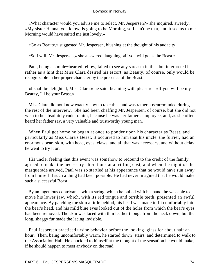«What character would you advise me to select, Mr. Jespersen?» she inquired, sweetly. «My sister Hanna, you know, is going to be Morning, so I can't be that, and it seems to me Morning would have suited me just lovely.»

«Go as Beauty,» suggested Mr. Jespersen, blushing at the thought of his audacity.

«So I will, Mr. Jespersen,» she answered, laughing, «if you will go as the Beast.»

 Paul, being a simple−hearted fellow, failed to see any sarcasm in this, but interpreted it rather as a hint that Miss Clara desired his escort, as Beauty, of course, only would be recognizable in her proper character by the presence of the Beast.

 «I shall be delighted, Miss Clara,» he said, beaming with pleasure. «If you will be my Beauty, I'll be your Beast.»

 Miss Clara did not know exactly how to take this, and was rather absent−minded during the rest of the interview. She had been chaffing Mr. Jespersen, of course, but she did not wish to be absolutely rude to him, because he was her father's employee, and, as she often heard her father say, a very valuable and trustworthy young man.

 When Paul got home he began at once to ponder upon his character as Beast, and particularly as Miss Clara's Beast. It occurred to him that his uncle, the furrier, had an enormous bear−skin, with head, eyes, claws, and all that was necessary, and without delay he went to try it on.

 His uncle, feeling that this event was somehow to redound to the credit of the family, agreed to make the necessary alterations at a trifling cost, and when the night of the masquerade arrived, Paul was so startled at his appearance that he would have run away from himself if such a thing had been possible. He had never imagined that he would make such a successful Beast.

 By an ingenious contrivance with a string, which he pulled with his hand, he was able to move his lower jaw, which, with its red tongue and terrible teeth, presented an awful appearance. By patching the skin a little behind, his head was made to fit comfortably into the bear's head, and his mild blue eyes looked out of the holes from which the bear's eyes had been removed. The skin was laced with thin leather thongs from the neck down, but the long, shaggy fur made the lacing invisible.

 Paul Jespersen practiced ursine behavior before the looking−glass for about half an hour. Then, being uncomfortably warm, he started down−stairs, and determined to walk to the Association Hall. He chuckled to himself at the thought of the sensation he would make, if he should happen to meet anybody on the road.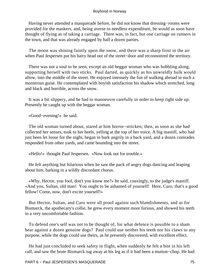Having never attended a masquerade before, he did not know that dressing−rooms were provided for the maskers, and, being averse to needless expenditure, he would as soon have thought of flying as of taking a carriage. There was, in fact, but one carriage on runners in the town, and that was already engaged by half a dozen parties.

 The moon was shining faintly upon the snow, and there was a sharp frost in the air when Paul Jespersen put his hairy head out of the street−door and reconnoitred the territory.

 There was not a soul to be seen, except an old beggar woman who was hobbling along, supporting herself with two sticks. Paul darted, as quickly as his unwieldly bulk would allow, into the middle of the street. He enjoyed intensely the fun of walking abroad in such a monstrous guise. He contemplated with boyish satisfaction his shadow which stretched, long and black and horrible, across the snow.

 It was a bit slippery, and he had to manoeuvre carefully in order to keep right side up. Presently he caught up with the beggar woman.

«Good−evening!» he said.

 The old woman turned about, stared at him horror−stricken; then, as soon as she had collected her senses, took to her heels, yelling at the top of her voice. A big mastiff, who had just been let loose for the night, began to bark angrily in a back yard, and a dozen comrades responded from other yards, and came bounding into the street.

«Hello!» thought Paul Jespersen. «Now look out for trouble.»

 He felt anything but hilarious when he saw the pack of angry dogs dancing and leaping about him, barking in a wildly discordant chorus.

 «Why, Hector, you fool, don't you know me?» he said, coaxingly, to the judge's mastiff. «And you, Sultan, old man! You ought to be ashamed of yourself! Here, Caro, that's a good fellow! Come, now, don't excite yourself!»

 But Hector, Sultan, and Caro were all proof against such blandishments, and as for Bismarck, the apothecary's collie, he grew every moment more furious, and showed his teeth in a very uncomfortable fashion.

 To defend one's self was not to be thought of, for what defence is possible to a sham bear against a dozen genuine dogs? Paul could use neither his teeth nor his claws to any purpose, while the dogs could use theirs, as he presently discovered, with excellent effect.

 He had just concluded to seek safety in flight, when suddenly he felt a bite in his left calf, and saw the brute Bismarck tug away at his leg as if it had been a mutton−chop. He had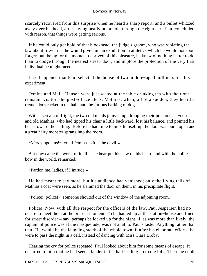scarcely recovered from this surprise when he heard a sharp report, and a bullet whizzed away over his head, after having neatly put a hole through the right ear. Paul concluded, with reason, that things were getting serious.

 If he could only get hold of that blockhead, the judge's groom, who was violating the law about fire−arms, he would give him an exhibition in athletics which he would not soon forget; but, being for the moment deprived of this pleasure, he knew of nothing better to do than to dodge through the nearest street−door, and implore the protection of the very first individual he might meet.

 It so happened that Paul selected the house of two middle−aged milliners for this experiment.

 Jemina and Malla Hansen were just seated at the table drinking tea with their one constant visitor, the post−office clerk, Mathias, when, all of a sudden, they heard a tremendous racket in the hall, and the furious barking of dogs.

 With a scream of fright, the two old maids jumyed up, dropping their precious tea−cups, and old Mathias, who had tipped his chair a little backward, lost his balance, and pointed his heels toward the ceiling. Before he had time to pick himself up the door was burst open and a great hairy monster sprang into the room.

«Mercy upon us!» cried Jemina. «It is the devil!»

 But now came the worst of it all. The bear put his paw on his heart, and with the politest bow in the world, remarked:

«Pardon me, ladies, if I intrude.»

 He had meant to say more, but his audience had vanished; only the flying tails of Mathias's coat were seen, as he slammed the door on them, in his precipitate flight.

«Police! police!» someone shouted out of the window of the adjoining room.

 Police! Now, with all due respect for the officers of the law, Paul Jespersen had no desire to meet them at the present moment. To be hauled up at the station−house and fined for street disorder – nay, perhaps be locked up for the night, if, as was more than likely, the captain of police was at the masquerade, was not at all to Paul's taste. Anything rather than that! He would be the laughing stock of the whole town if, after his elaborate efforts, he were to pass the night in a cell, instead of dancing with Miss Clara Broby.

 Hearing the cry for police repeated, Paul looked about him for some means of escape. It occurred to him that he had seen a ladder in the hall leading up to the loft. There he could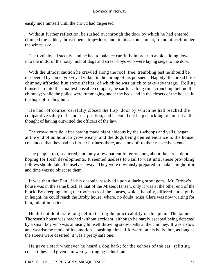easily hide himself until the crowd had dispersed.

 Without further reflection, he rushed out through the door by which he had entered, climbed the ladder, thrust open a trap−door, and, to his astonishment, found himself under the wintry sky.

 The roof sloped steeply, and he had to balance carefully in order to avoid sliding down into the midst of the noisy mob of dogs and street−boys who were laying siege to the door.

 With the utmost caution he crawled along the roof−tree, trembling lest he should be discovered by some lynx−eyed villain in the throng of his pursuers. Happily, the broad brick chimney afforded him some shelter, of which he was quick to take advantage. Rolling himself up into the smallest possible compass, he sat for a long time crouching behind the chimney; while the police were rummaging under the beds and in the closets of the house, in the hope of finding him.

 He had, of course, carefully closed the trap−door by which he had reached the comparative safety of his present position; and he could not help chuckling to himself at the thought of having outwitted the officers of the law.

 The crowd outside, after having made night hideous by their whoops and yells, began, at the end of an hour, to grow weary; and the dogs being denied entrance to the house, concluded that they had no further business there, and slunk off to their respective kennels.

 The people, too, scattered, and only a few patient loiterers hung about the street door, hoping for fresh developments. It seemed useless to Paul to wait until these provoking fellows should take themselves away. They were obviously prepared to make a night of it, and time was no object to them.

 It was then that Paul, in his despair, resolved upon a daring stratagem. Mr. Broby's house was in the same block as that of the Misses Hansen, only it was at the other end of the block. By creeping along the roof−trees of the houses, which, happily, differed but slightly in height, he could reach the Broby house, where, no doubt, Miss Clara was now waiting for him, full of impatience.

 He did not deliberate long before testing the practicability of this plan. The tanner Thoresen's house was reached without accident, although he barely escaped being detected by a small boy who was amusing himself throwing snow−balls at the chimney. It was a slow and wearisome mode of locomotion – pushing himself forward on his belly; but, as long as the streets were deserted, it was a pretty safe one.

 He gave a start whenever he heard a dog bark; for the echoes of the ear−splitting concert they had given him were yet ringing in his brain.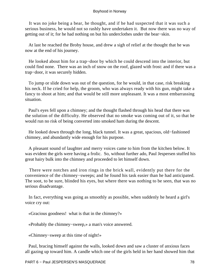It was no joke being a bear, he thought, and if he had suspected that it was such a serious business, he would not so rashly have undertaken it. But now there was no way of getting out of it; for he had nothing on but his underclothes under the bear−skin.

 At last he reached the Broby house, and drew a sigh of relief at the thought that he was now at the end of his journey.

 He looked about him for a trap−door by which he could descend into the interior, but could find none. There was an inch of snow on the roof, glazed with frost: and if there was a trap−door, it was securely hidden.

 To jump or slide down was out of the question, for he would, in that case, risk breaking his neck. If he cried for help, the groom, who was always ready with his gun, might take a fancy to shoot at him; and that would be still more unpleasant. It was a most embarrassing situation.

 Paul's eyes fell upon a chimney; and the thought flashed through his head that there was the solution of the difficulty. He observed that no smoke was coming out of it, so that he would run no risk of being converted into smoked ham during the descent.

 He looked down through the long, black tunnel. It was a great, spacious, old−fashioned chimney, and abundantly wide enough for his purpose.

 A pleasant sound of laughter and merry voices came to him from the kitchen below. It was evident the girls were having a frolic. So, without further ado, Paul Jespersen stuffed his great hairy bulk into the chimney and proceeded to let himself down.

 There were notches and iron rings in the brick wall, evidently put there for the convenience of the chimney−sweeps; and he found his task easier than he had anticipated. The soot, to be sure, blinded his eyes, but where there was nothing to be seen, that was no serious disadvantage.

 In fact, everything was going as smoothly as possible, when suddenly he heard a girl's voice cry out:

«Gracious goodness! what is that in the chimney?»

«Probably the chimney−sweep,» a man's voice answered.

«Chimney−sweep at this time of night!»

 Paul, bracing himself against the walls, looked down and saw a cluster of anxious faces all gazing up toward him. A candle which one of the girls held in her hand showed him that

PART 6 − Paul JESPERSEN'S MASQUERADE 78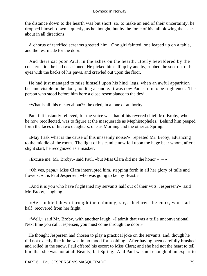the distance down to the hearth was but short; so, to make an end of their uncertainty, he dropped himself down – quietly, as he thought, but by the force of his fall blowing the ashes about in all directions.

 A chorus of terrified screams greeted him. One girl fainted, one leaped up on a table, and the rest made for the door.

 And there sat poor Paul, in the ashes on the hearth, utterly bewildered by the consternation he had occasioned. He picked himself up by and by, rubbed the soot out of his eyes with the backs of his paws, and crawled out upon the floor.

 He had just managed to raise himself upon his hind−legs, when an awful apparition became visible in the door, holding a candle. It was now Paul's turn to be frightened. The person who stood before him bore a close resemblance to the devil.

«What is all this racket about?» he cried, in a tone of authority.

 Paul felt instantly relieved, for the voice was that of his revered chief, Mr. Broby, who, he now recollected, was to figure at the masquerade as Mephistopheles. Behind him peeped forth the faces of his two daughters, one as Morning and the other as Spring.

 «May I ask what is the cause of this unseemly noise?» repeated Mr. Broby, advancing to the middle of the room. The light of his candle now fell upon the huge bear whom, after a slight start, he recognized as a masker.

«Excuse me, Mr. Broby,» said Paul, «but Miss Clara did me the honor  $- \rightarrow \infty$ 

 «Oh yes, papa,» Miss Clara interrupted him, stepping forth in all her glory of tulle and flowers; «it is Paul Jespersen, who was going to be my Beast.»

 «And it is you who have frightened my servants half out of their wits, Jespersen?» said Mr. Broby, laughing.

 «He tumbled down through the chimney, sir,» declared the cook, who had half−recovered from her fright.

 «Well,» said Mr. Broby, with another laugh, «I admit that was a trifle unconventional. Next time you call, Jespersen, you must come through the door.»

 He thought Jespersen had chosen to play a practical joke on the servants, and, though he did not exactly like it, he was in no mood for scolding. After having been carefully brushed and rolled in the snow, Paul offered his escort to Miss Clara; and she had not the heart to tell him that she was not at all Beauty, but Spring. And Paul was not enough of an expert to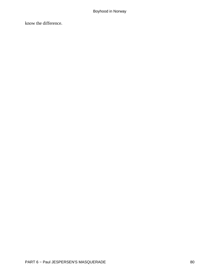know the difference.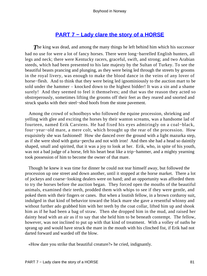## **[PART 7 − Lady clare the story of a HORSE](#page-135-0)**

**The king was dead, and among the many things he left behind him which his successor** had no use for were a lot of fancy horses. There were long−barrelled English hunters, all legs and neck; there were Kentucky racers, graceful, swift, and strong; and two Arabian steeds, which had been presented to his late majesty by the Sultan of Turkey. To see the beautiful beasts prancing and plunging, as they were being led through the streets by grooms in the royal livery, was enough to make the blood dance in the veins of any lover of horse−flesh. And to think that they were being led ignominiously to the auction mart to be sold under the hammer – knocked down to the highest bidder! It was a sin and a shame surely! And they seemed to feel it themselves; and that was the reason they acted so obstreperously, sometimes lifting the grooms off their feet as they reared and snorted and struck sparks with their steel−shod hoofs from the stone pavement.

 Among the crowd of schoolboys who followed the equine procession, shrieking and yelling with glee and exciting the horses by their wanton screams, was a handsome lad of fourteen, named Erik Carstens. He had fixed his eyes admiringly on a coal−black, four−year−old mare, a mere colt, which brought up the rear of the procession. How exquisitely she was fashioned! How she danced over the ground with a light mazurka step, as if she were shod with gutta−percha and not with iron! And then she had a head so daintily shaped, small and spirited, that it was a joy to look at her. Erik, who, in spite of his youth, was not a bad judge of a horse, felt his heart beat like a trip−hammer, and a mighty yearning took possession of him to become the owner of that mare.

 Though he knew it was time for dinner he could not tear himself away, but followed the procession up one street and down another, until it stopped at the horse market. There a lot of jockeys and coarse−looking dealers were on hand; and an opportunity was afforded them to try the horses before the auction began. They forced open the mouths of the beautiful animals, examined their teeth, prodded them with whips to see if they were gentle, and poked them with their fingers or canes. But when a loutish fellow, in a brown corduroy suit, indulged in that kind of behavior toward the black mare she gave a resentful whinny and without further ado grabbed him with her teeth by the coat collar, lifted him up and shook him as if he had been a bag of straw. Then she dropped him in the mud, and raised her dainty head with an air as if to say that she held him to be beneath contempt. The fellow, however, was not inclined to put up with that kind of treatment. With a volley of oaths he sprang up and would have struck the mare in the mouth with his clinched fist, if Erik had not darted forward and warded off the blow.

«How dare you strike that beautiful creature?» he cried, indignantly.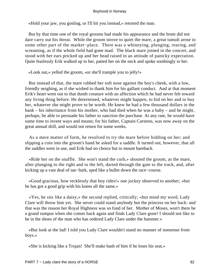«Hold your jaw, you gosling, or I'll hit you instead,» retorted the man.

 But by that time one of the royal grooms had made his appearance and the brute did not dare carry out his threat. While the groom strove to quiet the mare, a great tumult arose in some other part of the market−place. There was a whinnying, plunging, rearing, and screaming, as if the whole field had gone mad. The black mare joined in the concert, and stood with her ears pricked up and her head raised in an attitude of panicky expectation. Quite fearlessly Erik walked up to her, patted her on the neck and spoke soothingly to her.

«Look out,» yelled the groom, «or she'll trample you to jelly!»

 But instead of that, the mare rubbed her soft nose against the boy's cheek, with a low, friendly neighing, as if she wished to thank him for his gallant conduct. And at that moment Erik's heart went out to that dumb creature with an affection which he had never felt toward any living thing before. He determined, whatever might happen, to bid on her and to buy her, whatever she might prove to be worth. He knew he had a few thousand dollars in the bank – his inheritance from his mother, who had died when he was a baby – and he might, perhaps, be able to persuade his father to sanction the purchase. At any rate, he would have some time to invent ways and means; for his father, Captain Carstens, was now away on the great annual drill, and would not return for some weeks.

 As a mere matter of form, he resolved to try the mare before bidding on her; and slipping a coin into the groom's hand he asked for a saddle. It turned out, however, that all the saddles were in use, and Erik had no choice but to mount bareback.

 «Ride her on the snaffle. She won't stand the curb,» shouted the groom, as the mare, after plunging to the right and to the left, darted through the gate to the track, and, after kicking up a vast deal of tan−bark, sped like a bullet down the race−course.

 «Good gracious, how recklessly that boy rides!» one jockey observed to another; «but he has got a good grip with his knees all the same.»

 «Yes, he sits like a daisy,» the second replied, critically; «but mind my word, Lady Clare will throw him yet. She never could stand anybody but the princess on her back: and that was the reason her Royal Highness was so fond of her. Mother of Moses, won't there be a grand rumpus when she comes back again and finds Lady Clare gone! I should not like to be in the shoes of the man who has ordered Lady Clare under the hammer.»

 «But look at the lad! I told you Lady Clare wouldn't stand no manner of nonsense from boys.»

«She is kicking like a Trojan! She'll make hash of him if he loses his seat.»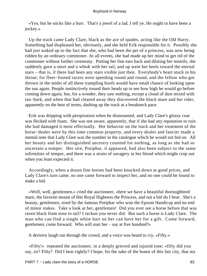«Yes, but he sticks like a burr. That's a jewel of a lad, I tell ye. He ought to have been a jockey.»

 Up the track came Lady Clare, black as the ace of spades, acting like the Old Harry. Something had displeased her, obviously, and she held Erik responsible for it. Possibly she had just waked up to the fact that she, who had been the pet of a princess, was now being ridden by an ordinary commoner. At all events, she had made up her mind to get rid of the commoner without further ceremony. Putting her fine ears back and dilating her nostrils, she suddenly gave a snort and a whisk with her tail, and up went her heels toward the eternal stars – that is, if there had been any stars visible just then. Everybody's heart stuck in his throat; for fleet−footed racers were speeding round and round, and the fellow who got thrown in the midst of all these trampling hoofs would have small chance of looking upon the sun again. People instinctively tossed their heads up to see how high he would go before coming down again; but, for a wonder, they saw nothing, except a cloud of dust mixed with tan−bark, and when that had cleared away they discovered the black mare and her rider, apparently on the best of terms, dashing up the track at a breakneck pace.

 Erik was dripping with perspiration when he dismounted, and Lady Clare's glossy coat was flecked with foam. She was not aware, apparently, that if she had any reputation to ruin she had damaged it most effectually. Her behavior on the track and her treatment of the horse−dealer were by this time common property, and every dealer and fancier made a mental note that Lady Clare was the number in the catalogue which he would not bid on. All her beauty and her distinguished ancestry counted for nothing, as long as she had so uncertain a temper. Her sire, Potiphar, it appeared, had also been subject to the same infirmities of temper, and there was a strain of savagery in her blood which might crop out when you least expected it.

 Accordingly, when a dozen fine horses had been knocked down at good prices, and Lady Clare's turn came, no one came forward to inspect her, and no one could be found to make a bid.

 «Well, well, gentlemen,» cried the auctioneer, «here we have a beautiful thoroughbred mare, the favorite mount of Her Royal Highness the Princess, and not a bid do I hear. She's a beauty, gentlemen, sired by the famous Potiphar who won the Epsom Handicap and no end of minor stakes. Take a look at her, gentlemen! Did you ever see a horse before that was raven black from nose to tail? I reckon you never did. But such a horse is Lady Clare. The man who can find a single white hair on her can have her for a gift. Come forward, gentlemen, come forward. Who will start her – say at five hundred?»

A derisive laugh ran through the crowd, and a voice was heard to cry, «Fifty.»

 «Fifty!» repeated the auctioneer, in a deeply grieved and injured tone; «fifty did you say, sir? Fifty? Did I hear rightly? I hope, for the sake of the honor of this fair city, that my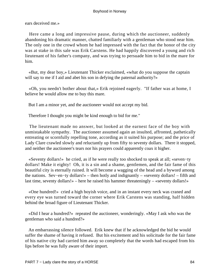ears deceived me.»

 Here came a long and impressive pause, during which the auctioneer, suddenly abandoning his dramatic manner, chatted familiarly with a gentleman who stood near him. The only one in the crowd whom he had impressed with the fact that the honor of the city was at stake in this sale was Erik Carstens. He had happily discovered a young and rich lieutenant of his father's company, and was trying to persuade him to bid in the mare for him.

 «But, my dear boy,» Lieutenant Thicker exclaimed, «what do you suppose the captain will say to me if I aid and abet his son in defying the paternal authority?»

 «Oh, you needn't bother about that,» Erik rejoined eagerly. "If father was at home, I believe he would allow me to buy this mare.

But I am a minor yet, and the auctioneer would not accept my bid.

Therefore I thought you might be kind enough to bid for me."

 The lieutenant made no answer, but looked at the earnest face of the boy with unmistakable sympathy. The auctioneer assumed again an insulted, affronted, pathetically entreating or scornfully repelling tone, according as it suited his purpose; and the price of Lady Clare crawled slowly and reluctantly up from fifty to seventy dollars. There it stopped, and neither the auctioneer's tears nor his prayers could apparently coax it higher.

 «Seventy dollars!» he cried, as if he were really too shocked to speak at all; «seven−ty dollars! Make it eighty! Oh, it is a sin and a shame, gentlemen, and the fair fame of this beautiful city is eternally ruined. It will become a wagging of the head and a byword among the nations. Sev−en−ty dollars!» – then hotly and indignantly – «seventy dollars! – fifth and last time, seventy dollars!» – here he raised his hammer threateningly – «seventy dollars!»

 «One hundred!» cried a high boyish voice, and in an instant every neck was craned and every eye was turned toward the corner where Erik Carstens was standing, half hidden behind the broad figure of Lieutenant Thicker.

 «Did I hear a hundred?» repeated the auctioneer, wonderingly. «May I ask who was the gentleman who said a hundred?»

 An embarrassing silence followed. Erik knew that if he acknowledged the bid he would suffer the shame of having it refused. But his excitement and his solicitude for the fair fame of his native city had carried him away so completely that the words had escaped from his lips before he was fully aware of their import.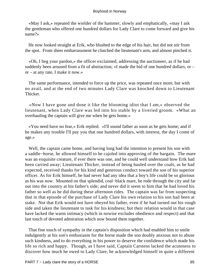«May I ask,» repeated the wielder of the hammer, slowly and emphatically, «may I ask the gentleman who offered one hundred dollars for Lady Clare to come forward and give his name?»

 He now looked straight at Erik, who blushed to the edge of his hair, but did not stir from the spot. From sheer embarrassment he clutched the lieutenant's arm, and almost pinched it.

 «Oh, I beg your pardon,» the officer exclaimed, addressing the auctioneer, as if he had suddenly been aroused from a fit of abstraction; «I made the bid of one hundred dollars, or – or – at any rate, I make it now.»

 The same performance, intended to force up the price, was repeated once more, but with no avail, and at the end of two minutes Lady Clare was knocked down to Lieutenant Thicker.

 «Now I have gone and done it like the blooming idiot that I am,» observed the lieutenant, when Lady Clare was led into his stable by a liveried groom. «What an overhauling the captain will give me when he gets home.»

 «You need have no fear,» Erik replied. «I'll sound father as soon as he gets home; and if he makes any trouble I'll pay you that one hundred dollars, with interest, the day I come of age.»

 Well, the captain came home, and having long had the intention to present his son with a saddle−horse, he allowed himself to be cajoled into approving of the bargain. The mare was an exquisite creature, if ever there was one, and he could well understand how Erik had been carried away; Lieutenant Thicker, instead of being hauled over the coals, as he had expected, received thanks for his kind and generous conduct toward the son of his superior officer. As for Erik himself, he had never had any idea that a boy's life could be so glorious as his was now. Mounted on that splendid, coal−black mare, he rode through the city and far out into the country at his father's side; and never did it seem to him that he had loved his father so well as he did during these afternoon rides. The captain was far from suspecting that in that episode of the purchase of Lady Clare his own relation to his son had been at stake. Not that Erik would not have obeyed his father, even if he had turned out his rough side and taken the lieutenant to task for his kindness; but their relation would in that case have lacked the warm intimacy (which in nowise excludes obedience and respect) and that last touch of devoted admiration which now bound them together.

 That fine touch of sympathy in the captain's disposition which had enabled him to smile indulgently at his son's enthusiasm for the horse made the son doubly anxious not to abuse such kindness, and to do everything in his power to deserve the confidence which made his life so rich and happy. Though, as I have said, Captain Carstens lacked the acuteness to discover how much he owed to Lady Clare, he acknowledged himself in quite a different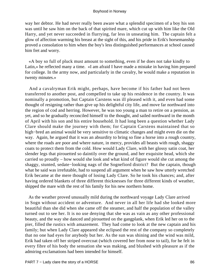way her debtor. He had never really been aware what a splendid specimen of a boy his son was until he saw him on the back of that spirited mare, which cut up with him like the Old Harry, and yet never succeeded in flurrying, far less in unseating him. The captain felt a glow of affection warming his breast at the sight of this, and his pride in Erik's horsemanship proved a consolation to him when the boy's less distinguished performances at school caused him fret and worry.

 «A boy so full of pluck must amount to something, even if he does not take kindly to Latin,» he reflected many a time. «I am afraid I have made a mistake in having him prepared for college. In the army now, and particularly in the cavalry, he would make a reputation in twenty minutes.»

 And a cavalryman Erik might, perhaps, have become if his father had not been transferred to another post, and compelled to take up his residence in the country. It was nominally a promotion, but Captain Carstens was ill pleased with it, and even had some thought of resigning rather than give up his delightful city life, and move far northward into the region of cod and herring. However, he was too young a man to retire on a pension, as yet, and so he gradually reconciled himself to the thought, and sailed northward in the month of April with his son and his entire household. It had long been a question whether Lady Clare should make the journey with them; for Captain Carstens maintained that so high−bred an animal would be very sensitive to climatic changes and might even die on the way. Again, he argued that it was an absurdity to bring so fine a horse into a rough country, where the roads are poor and where nature, in mercy, provides all beasts with rough, shaggy coats to protect them from the cold. How would Lady Clare, with her glossy satin coat, her slender legs that pirouetted so daintily over the ground, and her exquisite head, which she carried so proudly – how would she look and what kind of figure would she cut among the shaggy, stunted, sedate−looking nags of the Sognefiord district? But the captain, though what he said was irrefutable, had to suspend all argument when he saw how utterly wretched Erik became at the mere thought of losing Lady Clare. So he took his chances; and, after having ordered blankets of three different thicknesses for three different kinds of weather, shipped the mare with the rest of his family for his new northern home.

 As the weather proved unusually mild during the northward voyage Lady Clare arrived in Sogn without accident or adventure. And never in all her life had she looked more beautiful than she did when she came off the steamer, and half the population of the valley turned out to see her. It is no use denying that she was as vain as any other professional beauty, and the way she danced and pirouetted on the gangplank, when Erik led her on to the pier, filled the rustics with amazement. They had come to look at the new captain and his family; but when Lady Clare appeared she eclipsed the rest of the company so completely that no one had eyes for anybody but her. As the sun was shining and the wind was mild, Erik had taken off her striped overcoat (which covered her from nose to tail), for he felt in every fibre of his body the sensation she was making, and blushed with pleasure as if the admiring exclamations had been intended for himself.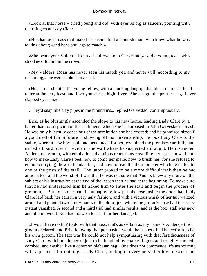«Look at that horse,» cried young and old, with eyes as big as saucers, pointing with their fingers at Lady Clare.

 «Handsome carcass that mare has,» remarked a stoutish man, who knew what he was talking about; «and head and legs to match.»

 «She beats your Valders−Roan all hollow, John Garvestad,» said a young tease who stood next to him in the crowd.

 «My Valders−Roan has never seen his match yet, and never will, according to my reckoning,» answered John Garvestad.

 «Ho! ho!» shouted the young fellow, with a mocking laugh; «that black mare is a hand taller at the very least, and I bet you she's a high−flyer. She has got the prettiest legs I ever clapped eyes on.»

«They'd snap like clay pipes in the mountains,» replied Garvestad, contemptuously.

 Erik, as he blushingly ascended the slope to his new home, leading Lady Clare by a halter, had no suspicion of the sentiments which she had aroused in John Garvestad's breast. He was only blissfully conscious of the admiration she had excited; and he promised himself a good deal of fun in future in showing off his horsemanship. He took Lady Clare to the stable, where a new box−stall had been made for her, examined the premises carefully and nailed a board over a crevice in the wall where he suspected a draught. He instructed Anders, the groom, with emphatic and anxious repetitions regarding her care, showed him how to make Lady Clare's bed, how to comb her mane, how to brush her (for she refused to endure currying), how to blanket her, and how to read the thermometer which he nailed to one of the posts of the stall. The latter proved to be a more difficult task than he had anticipated; and the worst of it was that he was not sure that Anders knew any more on the subject of his instruction at the end of the lesson than he had at the beginning. To make sure that he had understood him he asked him to enter the stall and begin the process of grooming. But no sooner had the unhappy fellow put his nose inside the door than Lady Clare laid back her ears in a very ugly fashion, and with a vicious whisk of her tail waltzed around and planted two hoof−marks in the door, just where the groom's nose had that very instant vanished. A second and a third trial had similar results; and as the box−stall was new and of hard wood, Erik had no wish to see it further damaged.

 «I won't have nothin' to do with that hoss, that's as certain as my name is Anders,» the groom declared; and Erik, knowing that persuasion would be useless, had henceforth to be his own groom. The fact was he could not help sympathizing with that fastidiousness of Lady Clare which made her object to be handled by coarse fingers and roughly curried, combed, and washed like a common plebeian nag. One does not commence life associating with a princess for nothing. Lady Clare, feeling in every nerve her high descent and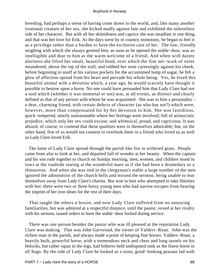breeding, had perhaps a sense of having come down in the world, and, like many another irrational creature of her sex, she kicked madly against fate and exhibited the unloveliest side of her character. But with all her skittishness and caprice she was steadfast in one thing, and that was her love for Erik. As the days went by in country monotony, he began to feel it as a privilege rather than a burden to have the exclusive care of her. The low, friendly neighing with which she always greeted him, as soon as he opened the stable−door, was as intelligible and dear to him as the warm welcome of a friend. And when with dainty alertness she lifted her small, beautiful head, over which the fine net−work of veins meandered, above the top of the stall, and rubbed her nose caressingly against his cheek, before beginning to snuff at his various pockets for the accustomed lump of sugar, he felt a glow of affection spread from his heart and pervade his whole being. Yes, he loved this beautiful animal with a devotion which, a year ago, he would scarcely have thought it possible to bestow upon a horse. No one could have persuaded him that Lady Clare had not a soul which (whether it was immortal or not) was, at all events, as distinct and clearly defined as that of any person with whom he was acquainted. She was to him a personality – a dear, charming friend, with certain defects of character (as who has not?) which were, however, more than compensated for by her devotion to him. She was fastidious, quick−tempered, utterly unreasonable where her feelings were involved; full of aristocratic prejudice, which only her sex could excuse; and whimsical, proud, and capricious. It was absurd, of course, to contend that these qualities were in themselves admirable; but, on the other hand, few of us would not consent to overlook them in a friend who loved us as well as Lady Clare loved Erik.

 The fame of Lady Clare spread through the parish like fire in withered grass. People came from afar to look at her, and departed full of wonder at her beauty. When the captain and his son rode together to church on Sunday morning, men, women, and children stood in rows at the roadside staring at the wonderful mare as if she had been a dromedary or a rhinoceros. And when she was tied in the clergyman's stable a large number of the men ignored the admonition of the church bells and missed the sermon, being unable to tear themselves away from Lady Clare's charms. But woe to him who attempted to take liberties with her; there were two or three horsy young men who had narrow escapes from bearing the imprint of her iron shoes for the rest of their days.

 That taught the others a lesson, and now Lady Clare suffered from no annoying familiarities, but was admired at a respectful distance, until the pastor, vexed at her rivalry with his sermon, issued orders to have the stable−door locked during service.

 There was one person besides the pastor who was ill pleased at the reputation Lady Clare was making. That was John Garvestad, the owner of Valders−Roan. John was the richest man in the parish, and always made a point of keeping fine horses. Valders−Roan, a heavily built, powerful horse, with a tremendous neck and chest and long tassels on his fetlocks, but rather squat in the legs, had hitherto held undisputed rank as the finest horse in all Sogn. By the side of Lady Clare he looked as a stout, good−looking peasant lad with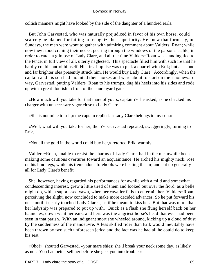coltish manners might have looked by the side of the daughter of a hundred earls.

 But John Garvestad, who was naturally prejudiced in favor of his own horse, could scarcely be blamed for failing to recognize her superiority. He knew that formerly, on Sundays, the men were wont to gather with admiring comment about Valders−Roan; while now they stood craning their necks, peering through the windows of the parson's stable, in order to catch a glimpse of Lady Clare, and all the time Valders−Roan was standing tied to the fence, in full view of all, utterly neglected. This spectacle filled him with such ire that he hardly could control himself. His first impulse was to pick a quarrel with Erik; but a second and far brighter idea presently struck him. He would buy Lady Clare. Accordingly, when the captain and his son had mounted their horses and were about to start on their homeward way, Garvestad, putting Valders−Roan to his trumps, dug his heels into his sides and rode up with a great flourish in front of the churchyard gate.

 «How much will you take for that mare of yours, captain?» he asked, as he checked his charger with unnecessary vigor close to Lady Clare.

«She is not mine to sell,» the captain replied. «Lady Clare belongs to my son.»

 «Well, what will you take for her, then?» Garvestad repeated, swaggeringly, turning to Erik.

«Not all the gold in the world could buy her,» retorted Erik, warmly.

 Valders−Roan, unable to resist the charms of Lady Clare, had in the meanwhile been making some cautious overtures toward an acquaintance. He arched his mighty neck, rose on his hind legs, while his tremendous forehoofs were beating the air, and cut up generally – all for Lady Clare's benefit.

 She, however, having regarded his performances for awhile with a mild and somewhat condescending interest, grew a little tired of them and looked out over the fiord, as a belle might do, with a suppressed yawn, when her cavalier fails to entertain her. Valders−Roan, perceiving the slight, now concluded to make more decided advances. So he put forward his nose until it nearly touched Lady Clare's, as if he meant to kiss her. But that was more than her ladyship was prepared to put up with. Quick as a flash she flung herself back on her haunches, down went her ears, and hers was the angriest horse's head that ever had been seen in that parish. With an indignant snort she wheeled around, kicking up a cloud of dust by the suddenness of the manoeuvre. A less skilled rider than Erik would inevitably have been thrown by two such unforeseen jerks; and the fact was he had all he could do to keep his seat.

 «Oho!» shouted Garvestad, «your mare shies; she'll break your neck some day, as likely as not. You had better sell her before she gets you into trouble.»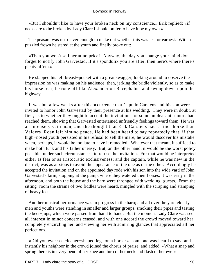«But I shouldn't like to have your broken neck on my conscience,» Erik replied; «if necks are to be broken by Lady Clare I should prefer to have it be my own.»

 The peasant was not clever enough to make out whether this was jest or earnest. With a puzzled frown he stared at the youth and finally broke out:

 «Then you won't sell her at no price? Anyway, the day you change your mind don't forget to notify John Garvestad. If it's spondulix you are after, then here's where there's plenty of 'em.»

 He slapped his left breast−pocket with a great swagger, looking around to observe the impression he was making on his audience; then, jerking the bridle violently, so as to make his horse rear, he rode off like Alexander on Bucephalus, and swung down upon the highway.

 It was but a few weeks after this occurrence that Captain Carstens and his son were invited to honor John Garvestad by their presence at his wedding. They were in doubt, at first, as to whether they ought to accept the invitation; for some unpleasant rumors had reached them, showing that Garvestad entertained unfriendly feelings toward them. He was an intensely vain man; and the thought that Erik Carstens had a finer horse than Valders−Roan left him no peace. He had been heard to say repeatedly that, if that high−nosed youth persisted in his refusal to sell the mare, he would discover his mistake when, perhaps, it would be too late to have it remedied. Whatever that meant, it sufficed to make both Erik and his father uneasy. But, on the other hand, it would be the worst policy possible, under such circumstances, to refuse the invitation. For that would be interpreted either as fear or as aristocratic exclusiveness; and the captain, while he was new in the district, was as anxious to avoid the appearance of the one as of the other. Accordingly he accepted the invitation and on the appointed day rode with his son into the wide yard of John Garvestad's farm, stopping at the pump, where they watered their horses. It was early in the afternoon, and both the house and the barn were thronged with wedding−guests. From the sitting−room the strains of two fiddles were heard, mingled with the scraping and stamping of heavy feet.

 Another musical performance was in progress in the barn; and all over the yard elderly men and youths were standing in smaller and larger groups, smoking their pipes and tasting the beer−jugs, which were passed from hand to hand. But the moment Lady Clare was seen all interest in minor concerns ceased, and with one accord the crowd moved toward her, completely encircling her, and viewing her with admiring glances that appreciated all her perfections.

 «Did you ever see cleaner−shaped legs on a horse?» someone was heard to say, and instantly his neighbor in the crowd joined the chorus of praise, and added: «What a snap and spring there is in every bend of her knee and turn of her neck and flash of her eye!»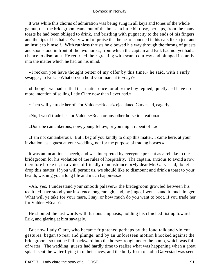It was while this chorus of admiration was being sung in all keys and tones of the whole gamut, that the bridegroom came out of the house, a little bit tipsy, perhaps, from the many toasts he had been obliged to drink, and bristling with pugnacity to the ends of his fingers and the tips of his hair. Every word of praise that he heard sounded in his ears like a jeer and an insult to himself. With ruthless thrusts he elbowed his way through the throng of guests and soon stood in front of the two horses, from which the captain and Erik had not yet had a chance to dismount. He returned their greeting with scant courtesy and plunged instantly into the matter which he had on his mind.

 «I reckon you have thought better of my offer by this time,» he said, with a surly swagger, to Erik. «What do you hold your mare at to−day?»

 «I thought we had settled that matter once for all,» the boy replied, quietly. «I have no more intention of selling Lady Clare now than I ever had.»

«Then will ye trade her off for Valders−Roan?» ejaculated Garvestad, eagerly.

«No, I won't trade her for Valders−Roan or any other horse in creation.»

«Don't be cantankerous, now, young fellow, or you might repent of it.»

 «I am not cantankerous. But I beg of you kindly to drop this matter. I came here, at your invitation, as a guest at your wedding, not for the purpose of trading horses.»

 It was an incautious speech, and was interpreted by everyone present as a rebuke to the bridegroom for his violation of the rules of hospitality. The captain, anxious to avoid a row, therefore broke in, in a voice of friendly remonstrance: «My dear Mr. Garvestad, do let us drop this matter. If you will permit us, we should like to dismount and drink a toast to your health, wishing you a long life and much happiness.»

 «Ah, yes, I understand your smooth palaver,» the bridegroom growled between his teeth. «I have stood your insolence long enough, and, by jingo, I won't stand it much longer. What will ye take for your mare, I say, or how much do you want to boot, if you trade her for Valders−Roan?»

 He shouted the last words with furious emphasis, holding his clinched fist up toward Erik, and glaring at him savagely.

 But now Lady Clare, who became frightened perhaps by the loud talk and violent gestures, began to rear and plunge, and by an unforeseen motion knocked against the bridegroom, so that he fell backward into the horse−trough under the pump, which was full of water. The wedding−guests had hardly time to realize what was happening when a great splash sent the water flying into their faces, and the burly form of John Garvestad was seen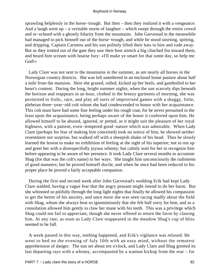sprawling helplessly in the horse−trough. But then – then they realized it with a vengeance. And a laugh went  $up - a$  veritable storm of laughter – which swept through the entire crowd and re−echoed with a ghostly hilarity from the mountains. John Garvestad in the meanwhile had managed to pick himself out of the horse−trough, and while he stood snorting, spitting, and dripping, Captain Carstens and his son politely lifted their hats to him and rode away. But as they trotted out of the gate they saw their host stretch a big clinched fist toward them, and heard him scream with hoarse fury: «I'll make ye smart for that some day, so help me God!»

 Lady Clare was not sent to the mountains in the summer, as are nearly all horses in the Norwegian country districts. She was left untethered in an enclosed home pasture about half a mile from the mansion. Here she grazed, rolled, kicked up her heels, and gambolled to her heart's content. During the long, bright summer nights, when the sun scarcely dips beneath the horizon and reappears in an hour, clothed in the breezy garments of morning, she was permitted to frolic, race, and play all sorts of improvised games with a shaggy, little, plebeian three−year−old colt whom she had condescended to honor with her acquaintance. This colt must have had some fine feeling under his rough coat, for he never presumed in the least upon the acquaintance, being perhaps aware of the honor it conferred upon him. He allowed himself to be abused, ignored, or petted, as it might suit the pleasure of her royal highness, with a patient, even−tempered good−nature which was admirable. When Lady Clare (perhaps for fear of making him conceited) took no notice of him, he showed neither resentment nor surprise, but walked off with a sheepish shake of his head. Thus he slowly learned the lesson to make no exhibition of feeling at the sight of his superior; not to run up and greet her with a disrespectfully joyous whinny; but calmly wait for her to recognize him before appearing to be aware of her presence. It took Lady Clare several months to accustom Shag (for that was the colt's name) to her ways. She taught him unconsciously the rudiments of good manners; but he proved himself docile, and when he once had been reduced to his proper place he proved a fairly acceptable companion.

 During the first and second week after John Garvestad's wedding Erik had kept Lady Clare stabled, having a vague fear that the angry peasant might intend to do her harm. But she whinnied so pitifully through the long light nights that finally he allowed his compassion to get the better of his anxiety, and once more she was seen racing madly about the field with Shag, whom she always beat so ignominiously that she felt half sorry for him, and as a consolation allowed him gently to claw her mane with his teeth. This was a privilege which Shag could not fail to appreciate, though she never offered to return the favor by clawing him. At any rate, as soon as Lady Clare reappeared in the meadow Shag's cup of bliss seemed to be full.

 A week passed in this way, nothing happened, and Erik's vigilance was relaxed. He went to bed on the evening of July 10th with an easy mind, without the remotest apprehension of danger. The sun set about ten o'clock, and Lady Clare and Shag greeted its last departing rays with a whinny, accompanied by a wanton kickup from the rear – for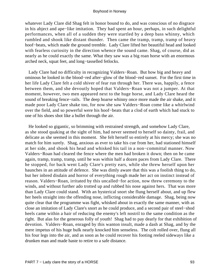whatever Lady Clare did Shag felt in honor bound to do, and was conscious of no disgrace in his abject and ape−like imitation. They had spent an hour, perhaps, in such delightful performances, when all of a sudden they were startled by a deep bass whinny, which rumbled and shook like distant thunder. Then came the tramp, tramp, tramp of heavy hoof−beats, which made the ground tremble. Lady Clare lifted her beautiful head and looked with fearless curiosity in the direction whence the sound came. Shag, of course, did as nearly as he could exactly the same. What they saw was a big roan horse with an enormous arched neck, squat feet, and long−tasselled fetlocks.

 Lady Clare had no difficulty in recognizing Valders−Roan. But how big and heavy and ominous he looked in the blood−red after−glow of the blood−red sunset. For the first time in her life Lady Clare felt a cold shiver of fear run through her. There was, happily, a fence between them, and she devoutly hoped that Valders−Roan was not a jumper. At that moment, however, two men appeared next to the huge horse, and Lady Clare heard the sound of breaking fence−rails. The deep hoarse whinny once more made the air shake, and it made poor Lady Clare shake too, for now she saw Valders−Roan come like a whirlwind over the field, and so powerful were his hoof−beats that a clod of earth which had stuck to one of his shoes shot like a bullet through the air.

 He looked so gigantic, so brimming with restrained strength, and somehow Lady Clare, as she stood quaking at the sight of him, had never seemed to herself so dainty, frail, and delicate as she seemed in this moment. She felt herself so entirely at his mercy; she was no match for him surely. Shag, anxious as ever to take his cue from her, had stationed himself at her side, and shook his head and whisked his tail in a non−committal manner. Now Valders−Roan had cleared the fence where the men had broken it down; then on he came again, tramp, tramp, tramp, until he was within half a dozen paces from Lady Clare. There he stopped, for back went Lady Clare's pretty ears, while she threw herself upon her haunches in an attitude of defence. She was dimly aware that this was a foolish thing to do, but her inbred disdain and horror of everything rough made her act on instinct instead of reason. Valders−Roan, irritated by this uncalled−for action, now threw ceremony to the winds, and without further ado trotted up and rubbed his nose against hers. That was more than Lady Clare could stand. With an hysterical snort she flung herself about, and up flew her heels straight into the offending nose, inflicting considerable damage. Shag, being now quite clear that the programme was fight, whisked about in exactly the same manner, with as close an imitation of Lady Clare's snort as he could produce, and a second pair of steel−shod heels came within a hair of reducing the enemy's left nostril to the same condition as the right. But alas for the generous folly of youth! Shag had to pay dearly for that exhibition of devotion. Valders−Roan, enraged by this wanton insult, made a dash at Shag, and by the mere impetus of his huge bulk nearly knocked him senseless. The colt rolled over, flung all his four legs into the air, and as soon as he could recover his footing reeled sideways like a drunken man and made haste to retire to a safe distance.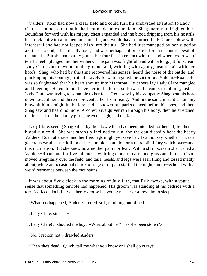Valders−Roan had now a clear field and could turn his undivided attention to Lady Clare. I am not sure that he had not made an example of Shag merely to frighten her. Bounding forward with his mighty chest expanded and the blood dripping from his nostrils, he struck out with a tremendous hind leg and would have returned Lady Clare's blow with interest if she had not leaped high into the air. She had just managed by her superior alertness to dodge that deadly hoof, and was perhaps not prepared for an instant renewal of the attack. But she had barely gotten her four feet in contact with the sod when two rows of terrific teeth plunged into her withers. The pain was frightful, and with a long, pitiful scream Lady Clare sank down upon the ground, and, writhing with agony, beat the air with her hoofs. Shag, who had by this time recovered his senses, heard the noise of the battle, and, plucking up his courage, trotted bravely forward against the victorious Valders−Roan. He was so frightened that his heart shot up into his throat. But there lay Lady Clare mangled and bleeding. He could not leave her in the lurch, so forward he came, trembling, just as Lady Clare was trying to scramble to her feet. Led away by his sympathy Shag bent his head down toward her and thereby prevented her from rising. And in the same instant a stunning blow hit him straight in the forehead, a shower of sparks danced before his eyes, and then Shag saw and heard no more. A convulsive quiver ran through his body, then he stretched out his neck on the bloody grass, heaved a sigh, and died.

 Lady Clare, seeing Shag killed by the blow which had been intended for herself, felt her blood run cold. She was strongly inclined to run, for she could easily beat the heavy Valders−Roan at a race, and her fleet legs might yet save her. I cannot say whether it was a generous wrath at the killing of her humble champion or a mere blind fury which overcame this inclination. But she knew now neither pain nor fear. With a shrill scream she rushed at Valders−Roan, and for five minutes a whirling cloud of earth and grass and lumps of sod moved irregularly over the field, and tails, heads, and legs were seen flung and tossed madly about, while an occasional shriek of rage or of pain startled the night, and re−echoed with a weird resonance between the mountains.

 It was about five o'clock in the morning of July 11th, that Erik awoke, with a vague sense that something terrible had happened. His groom was standing at his bedside with a terrified face, doubtful whether to arouse his young master or allow him to sleep.

«What has happened, Anders?» cried Erik, tumbling out of bed.

«Lady Clare,  $\sin - \rightarrow \infty$ 

«Lady Clare!» shouted the boy. «What about her? Has she been stolen?»

«No, I reckon not,» drawled Anders.

«Then she's dead! Quick, tell me what you know or I shall go crazy!»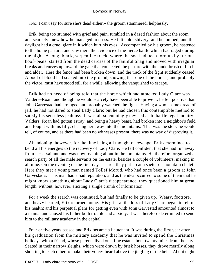«No; I can't say for sure she's dead either,» the groom stammered, helplessly.

 Erik, being too stunned with grief and pain, tumbled in a dazed fashion about the room, and scarcely knew how he managed to dress. He felt cold, shivery, and benumbed; and the daylight had a cruel glare in it which hurt his eyes. Accompanied by his groom, he hastened to the home pasture, and saw there the evidence of the fierce battle which had raged during the night. A long, black, serpentine track, where the sod had been torn up by furious hoof−beats, started from the dead carcass of the faithful Shag and moved with irregular breaks and curves up toward the gate that connected the pasture with the underbrush of birch and alder. Here the fence had been broken down, and the track of the fight suddenly ceased. A pool of blood had soaked into the ground, showing that one of the horses, and probably the victor, must have stood still for a while, allowing the vanquished to escape.

 Erik had no need of being told that the horse which had attacked Lady Clare was Valders−Roan; and though he would scarcely have been able to prove it, he felt positive that John Garvestad had arranged and probably watched the fight. Having a wholesome dread of jail, he had not dared to steal Lady Clare; but he had chosen this contemptible method to satisfy his senseless jealousy. It was all so cunningly devised as to baffle legal inquiry. Valders−Roan had gotten astray, and being a heavy beast, had broken into a neighbor's field and fought with his filly, chasing her away into the mountains. That was the story he would tell, of course, and as there had been no witnesses present, there was no way of disproving it.

 Abandoning, however, for the time being all thought of revenge, Erik determined to bend all his energies to the recovery of Lady Clare. He felt confident that she had run away from her assailant, and was now roaming about in the mountains. He therefore organized a search party of all the male servants on the estate, besides a couple of volunteers, making in all nine. On the evening of the first day's search they put up at a saeter or mountain chalet. Here they met a young man named Tollef Morud, who had once been a groom at John Garvestad's. This man had a bad reputation; and as the idea occurred to some of them that he might know something about Lady Clare's disappearance, they questioned him at great length, without, however, eliciting a single crumb of information.

 For a week the search was continued, but had finally to be given up. Weary, footsore, and heavy hearted, Erik returned home. His grief at the loss of Lady Clare began to tell on his health; and his perpetual plans for getting even with John Garvestad amounted almost to a mania, and caused his father both trouble and anxiety. It was therefore determined to send him to the military academy in the capital.

 Four or five years passed and Erik became a lieutenant. It was during the first year after his graduation from the military academy that he was invited to spend the Christmas holidays with a friend, whose parents lived on a fine estate about twenty miles from the city. Seated in their narrow sleighs, which were drawn by brisk horses, they drove merrily along, shouting to each other to make their voices heard above the jingling of the bells. About eight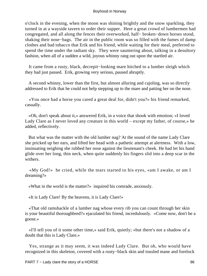o'clock in the evening, when the moon was shining brightly and the snow sparkling, they turned in at a wayside tavern to order their supper. Here a great crowd of lumbermen had congregated, and all along the fences their overworked, half− broken−down horses stood, shaking their nose−bags. The air in the public room was so filled with the fumes of damp clothes and bad tobacco that Erik and his friend, while waiting for their meal, preferred to spend the time under the radiant sky. They were sauntering about, talking in a desultory fashion, when all of a sudden a wild, joyous whinny rang out upon the startled air.

 It came from a rusty, black, decrepit−looking mare hitched to a lumber sleigh which they had just passed. Erik, growing very serious, paused abruptly.

 A second whinny, lower than the first, but almost alluring and cajoling, was so directly addressed to Erik that he could not help stepping up to the mare and patting her on the nose.

 «You once had a horse you cared a great deal for, didn't you?» his friend remarked, casually.

 «Oh, don't speak about it,» answered Erik, in a voice that shook with emotion; «I loved Lady Clare as I never loved any creature in this world – except my father, of course,» he added, reflectively.

 But what was the matter with the old lumber nag? At the sound of the name Lady Clare she pricked up her ears, and lifted her head with a pathetic attempt at alertness. With a low, insinuating neighing she rubbed her nose against the lieutenant's cheek. He had let his hand glide over her long, thin neck, when quite suddenly his fingers slid into a deep scar in the withers.

 «My God!» he cried, while the tears started to his eyes, «am I awake, or am I dreaming?»

«What in the world is the matter?» inquired his comrade, anxiously.

«It is Lady Clare! By the heavens, it is Lady Clare!»

 «That old ramshackle of a lumber nag whose every rib you can count through her skin is your beautiful thoroughbred?» ejaculated his friend, incredulously. «Come now, don't be a goose.»

 «I'll tell you of it some other time,» said Erik, quietly; «but there's not a shadow of a doubt that this is Lady Clare.»

 Yes, strange as it may seem, it was indeed Lady Clare. But oh, who would have recognized in this skeleton, covered with a rusty−black skin and tousled mane and forelock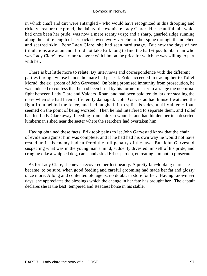in which chaff and dirt were entangled – who would have recognized in this drooping and rickety creature the proud, the dainty, the exquisite Lady Clare? Her beautiful tail, which had once been her pride, was now a mere scanty wisp; and a sharp, gnarled ridge running along the entire length of her back showed every vertebra of her spine through the notched and scarred skin. Poor Lady Clare, she had seen hard usage. But now the days of her tribulations are at an end. It did not take Erik long to find the half−tipsy lumberman who was Lady Clare's owner; nor to agree with him on the price for which he was willing to part with her.

 There is but little more to relate. By interviews and correspondence with the different parties through whose hands the mare had passed, Erik succeeded in tracing her to Tollef Morud, the ex−groom of John Garvestad. On being promised immunity from prosecution, he was induced to confess that he had been hired by his former master to arrange the nocturnal fight between Lady Clare and Valders−Roan, and had been paid ten dollars for stealing the mare when she had been sufficiently damaged. John Garvestad had himself watched the fight from behind the fence, and had laughed fit to split his sides, until Valders−Roan seemed on the point of being worsted. Then he had interfered to separate them, and Tollef had led Lady Clare away, bleeding from a dozen wounds, and had hidden her in a deserted lumberman's shed near the saeter where the searchers had overtaken him.

 Having obtained these facts, Erik took pains to let John Garvestad know that the chain of evidence against him was complete, and if he had had his own way he would not have rested until his enemy had suffered the full penalty of the law. But John Garvestad, suspecting what was in the young man's mind, suddenly divested himself of his pride, and cringing dike a whipped dog, came and asked Erik's pardon, entreating him not to prosecute.

 As for Lady Clare, she never recovered her lost beauty. A pretty fair−looking mare she became, to be sure, when good feeding and careful grooming had made her fat and glossy once more. A long and contented old age is, no doubt, in store for her. Having known evil days, she appreciates the blessings which the change in her fate has brought her. The captain declares she is the best−tempered and steadiest horse in his stable.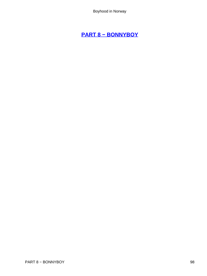# **[PART 8 − BONNYBOY](#page-135-0)**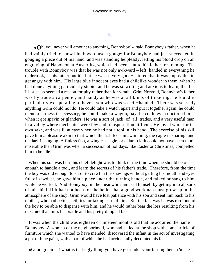## **[I.](#page-135-0)**

*«O*h, you never will amount to anything, Bonnyboy!» said Bonnyboy's father, when he had vainly tried to show him how to use a gouge; for Bonnyboy had just succeeded in gouging a piece out of his hand, and was standing helplessly, letting his blood drop on an engraving of Napoleon at Austerlitz, which had been sent to his father for framing. The trouble with Bonnyboy was that he was not only awkward – left−handed in everything he undertook, as his father put it – but he was so very good−natured that it was impossible to get angry with him. His large blue innocent eyes had a childlike wonder in them, when he had done anything particularly stupid, and he was so willing and anxious to learn, that his ill−success seemed a reason for pity rather than for wrath. Grim Norvold, Bonnyboy's father, was by trade a carpenter, and handy as he was at all kinds of tinkering, he found it particularly exasperating to have a son who was so left−handed. There was scarcely anything Grim could not do. He could take a watch apart and put it together again; he could mend a harness if necessary; he could make a wagon; nay, he could even doctor a horse when it got spavin or glanders. He was a sort of jack−of−all−trades, and a very useful man in a valley where mechanics were few and transportation difficult. He loved work for its own sake, and was ill at ease when he had not a tool in his hand. The exercise of his skill gave him a pleasure akin to that which the fish feels in swimming, the eagle in soaring, and the lark in singing. A finless fish, a wingless eagle, or a dumb lark could not have been more miserable than Grim was when a succession of holidays, like Easter or Christmas, compelled him to be idle.

 When his son was born his chief delight was to think of the time when he should be old enough to handle a tool, and learn the secrets of his father's trade. Therefore, from the time the boy was old enough to sit or to crawl in the shavings without getting his mouth and eyes full of sawdust, he gave him a place under the turning bench, and talked or sang to him while he worked. And Bonnyboy, in the meanwhile amused himself by getting into all sorts of mischief. If it had not been for the belief that a good workman must grow up in the atmosphere of the shop, Grim would have lost patience with his son and sent him back to his mother, who had better facilities for taking care of him. But the fact was he was too fond of the boy to be able to dispense with him, and he would rather bear the loss resulting from his mischief than miss his prattle and his pretty dimpled face.

 It was when the child was eighteen or nineteen months old that he acquired the name Bonnyboy. A woman of the neighborhood, who had called at the shop with some article of furniture which she wanted to have mended, discovered the infant in the act of investigating a pot of blue paint, with a part of which he had accidentally decorated his face.

«Good gracious! what is that ugly thing you have got under your turning bench?» she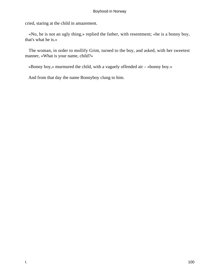cried, staring at the child in amazement.

 «No, he is not an ugly thing,» replied the father, with resentment; «he is a bonny boy, that's what he is.»

 The woman, in order to mollify Grim, turned to the boy, and asked, with her sweetest manner, «What is your name, child?»

«Bonny boy,» murmured the child, with a vaguely offended air – «bonny boy.»

And from that day the name Bonnyboy clung to him.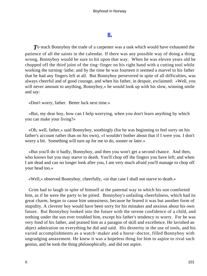## **[II.](#page-135-0)**

**T** o teach Bonnyboy the trade of a carpenter was a task which would have exhausted the patience of all the saints in the calendar. If there was any possible way of doing a thing wrong, Bonnyboy would be sure to hit upon that way. When he was eleven years old he chopped off the third joint of the ring−finger on his right hand with a cutting tool while working the turning−lathe; and by the time he was fourteen it seemed a marvel to his father that he had any fingers left at all. But Bonnyboy persevered in spite of all difficulties, was always cheerful and of good courage, and when his father, in despair, exclaimed: «Well, you will never amount to anything, Bonnyboy,» he would look up with his slow, winning smile and say:

«Don't worry, father. Better luck next time.»

 «But, my dear boy, how can I help worrying, when you don't learn anything by which you can make your living?»

 «Oh, well, father,» said Bonnyboy, soothingly (for he was beginning to feel sorry on his father's account rather than on his own), «I wouldn't bother about that if I were you. I don't worry a bit. Something will turn up for me to do, sooner or later.»

 «But you'll do it badly, Bonnyboy, and then you won't get a second chance. And then, who knows but you may starve to death. You'll chop off the fingers you have left; and when I am dead and can no longer look after you, I am very much afraid you'll manage to chop off your head too.»

«Well,» observed Bonnyboy, cheerfully, «in that case I shall not starve to death.»

 Grim had to laugh in spite of himself at the paternal way in which his son comforted him, as if he were the party to be pitied. Bonnyboy's unfailing cheerfulness, which had its great charm, began to cause him uneasiness, because he feared it was but another form of stupidity. A cleverer boy would have been sorry for his mistakes and anxious about his own future. But Bonnyboy looked into the future with the serene confidence of a child, and nothing under the sun ever troubled him, except his father's tendency to worry. For he was very fond of his father, and praised him as a paragon of skill and excellence. He lavished an abject admiration on everything he did and said. His dexterity in the use of tools, and his varied accomplishments as a watch−maker and a horse−doctor, filled Bonnyboy with ungrudging amazement. He knew it was a hopeless thing for him to aspire to rival such genius, and he took the thing philosophically, and did not aspire.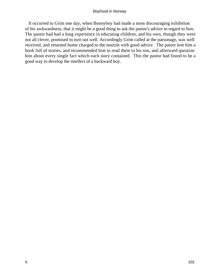It occurred to Grim one day, when Bonnyboy had made a most discouraging exhibition of his awkwardness, that it might be a good thing to ask the pastor's advice in regard to him. The pastor had had a long experience in educating children, and his own, though they were not all clever, promised to turn out well. Accordingly Grim called at the parsonage, was well received, and returned home charged to the muzzle with good advice. The pastor lent him a book full of stories, and recommended him to read them to his son, and afterward question him about every single fact which each story contained. This the pastor had found to be a good way to develop the intellect of a backward boy.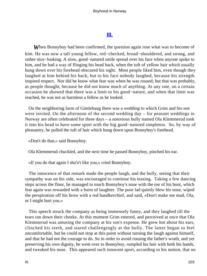## **[III.](#page-136-0)**

**When Bonnyboy had been confirmed, the question again rose what was to become of** him. He was now a tall young fellow, red−checked, broad−shouldered, and strong, and rather nice−looking. A slow, good−natured smile spread over his face when anyone spoke to him, and he had a way of flinging his head back, when the tuft of yellow hair which usually hung down over his forehead obscured his sight. Most people liked him, even though they laughed at him behind his back; but to his face nobody laughed, because his strength inspired respect. Nor did he know what fear was when he was roused; but that was probably, as people thought, because he did not know much of anything. At any rate, on a certain occasion he showed that there was a limit to his good−nature, and when that limit was reached, he was not as harmless a fellow as he looked.

 On the neighboring farm of Gimlehaug there was a wedding to which Grim and his son were invited. On the afternoon of the second wedding day – for peasant weddings in Norway are often celebrated for three days – a notorious bully named Ola Klemmerud took it into his head to have some sport with the big good−natured simpleton. So, by way of pleasantry, he pulled the tuft of hair which hung down upon Bonnyboy's forehead.

«Don't do that,» said Bonnyboy.

Ola Klemmerud chuckled, and the next time he passed Bonnyboy, pinched his ear.

«If you do that again I sha'n't like you,» cried Bonnyboy.

 The innocence of that remark made the people laugh, and the bully, seeing that their sympathy was on his side, was encouraged to continue his teasing. Taking a few dancing steps across the floor, he managed to touch Bonnyboy's nose with the toe of his boot, which feat again was rewarded with a burst of laughter. The poor lad quietly blew his nose, wiped the perspiration off his brow with a red handkerchief, and said, «Don't make me mad, Ola, or I might hurt you.»

 This speech struck the company as being immensely funny, and they laughed till the tears ran down their cheeks. At this moment Grim entered, and perceived at once that Ola Klemmerud was amusing the company at his son's expense. He grew hot about his ears, clinched his teeth, and stared challengingly at the bully. The latter began to feel uncomfortable, but he could not stop at this point without turning the laugh against himself, and that he had not the courage to do. So in order to avoid rousing the father's wrath, and yet preserving his own dignity, he went over to Bonnyboy, rumpled his hair with both his hands, and tweaked his nose. This appeared such innocent sport, according to his notion, that no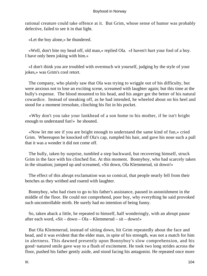rational creature could take offence at it. But Grim, whose sense of humor was probably defective, failed to see it in that light.

«Let the boy alone,» he thundered.

 «Well, don't bite my head off, old man,» replied Ola. «I haven't hurt your fool of a boy. I have only been joking with him.»

 «I don't think you are troubled with overmuch wit yourself, judging by the style of your jokes,» was Grim's cool retort.

 The company, who plainly saw that Ola was trying to wriggle out of his difficulty, but were anxious not to lose an exciting scene, screamed with laughter again; but this time at the bully's expense. The blood mounted to his head, and his anger got the better of his natural cowardice. Instead of sneaking off, as he had intended, he wheeled about on his heel and stood for a moment irresolute, clinching his fist in his pocket.

 «Why don't you take your lunkhead of a son home to his mother, if he isn't bright enough to understand fun!» he shouted.

 «Now let me see if you are bright enough to understand the same kind of fun,» cried Grim. Whereupon he knocked off Ola's cap, rumpled his hair, and gave his nose such a pull that it was a wonder it did not come off.

 The bully, taken by surprise, tumbled a step backward, but recovering himself, struck Grim in the face with his clinched fist. At this moment. Bonnyboy, who had scarcely taken in the situation; jumped up and screamed, «Sit down, Ola Klemmerud, sit down!»

 The effect of this abrupt exclamation was so comical, that people nearly fell from their benches as they writhed and roared with laughter.

 Bonnyboy, who had risen to go to his father's assistance, paused in astonishment in the middle of the floor. He could not comprehend, poor boy, why everything he said provoked such uncontrollable mirth. He surely had no intention of being funny.

 So, taken aback a little, he repeated to himself, half wonderingly, with an abrupt pause after each word, «Sit – down – Ola – Klemmerud – sit – down!»

 But Ola Klemmerud, instead of sitting down, hit Grim repeatedly about the face and head, and it was evident that the elder man, in spite of his strength, was not a match for him in alertness. This dawned presently upon Bonnyboy's slow comprehension, and his good−natured smile gave way to a flush of excitement. He took two long strides across the floor, pushed his father gently aside, and stood facing his antagonist. He repeated once more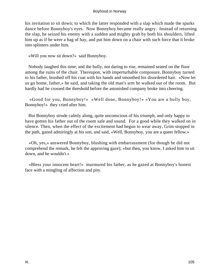his invitation to sit down; to which the latter responded with a slap which made the sparks dance before Bonnyboy's eyes. Now Bonnyboy became really angry. Instead of returning the slap, he seized his enemy with a sudden and mighty grab by both his shoulders, lifted him up as if he were a bag of hay, and put him down on a chair with such force that it broke into splinters under him.

«Will you now sit down?» said Bonnyboy.

 Nobody laughed this time, and the bully, not daring to rise, remained seated on the floor among the ruins of the chair. Thereupon, with imperturbable composure, Bonnyboy turned to his father, brushed off his coat with his hands and smoothed his disordered hair. «Now let us go home, father,» he said, and taking the old man's arm he walked out of the room. But hardly had he crossed the threshold before the astonished company broke into cheering.

 «Good for you, Bonnyboy!» «Well done, Bonnyboy!» «You are a bully boy, Bonnyboy!» they cried after him.

 But Bonnyboy strode calmly along, quite unconscious of his triumph, and only happy to have gotten his father out of the room safe and sound. For a good while they walked on in silence. Then, when the effect of the excitement had begun to wear away, Grim stopped in the path, gazed admiringly at his son, and said, «Well, Bonnyboy, you are a queer fellow.»

 «Oh, yes,» answered Bonnyboy, blushing with embarrassment (for though he did not comprehend the remark, he felt the approving gaze); «but then, you know, I asked him to sit down, and he wouldn't.»

 «Bless your innocent heart!» murmured his father, as he gazed at Bonnyboy's honest face with a mingling of affection and pity.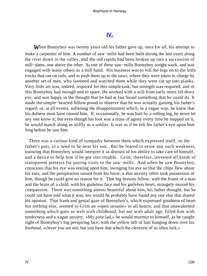### **[IV.](#page-136-0)**

*W*hen Bonnyboy was twenty years old his father gave up, once for all, his attempt to make a carpenter of him. A number of saw−mills had been built during the last years along the river down in the valley, and the old rapids had been broken up into a succession of mill−dams, one above the other. At one of these saw−mills Bonnyboy sought work, and was engaged with many others as a mill hand. His business was to roll the logs on to the little trucks that ran on rails, and to push them up to the saws, where they were taken in charge by another set of men, who fastened and watched them while they were cut up into planks. Very little art was, indeed, required for this simple task; but strength was required, and of this Bonnyboy had enough and to spare. He worked with a will from early morn till dewy eve, and was happy in the thought that he had at last found something that he could do. It made the simple−hearted fellow proud to observe that he was actually gaining his father's regard; or, at all events, softening the disappointment which, in a vague way, he knew that his dulness must have caused him. If, occasionally, he was hurt by a rolling log, he never let any one know it; but even though his foot was a mass of agony every time he stepped on it, he would march along as stiffly as a soldier. It was as if he felt his father's eye upon him long before he saw him.

 There was a curious kind of sympathy between them which expressed itself, on the father's part, in a need to be near his son. But he feared to avow any such weakness, knowing that Bonnyboy would interpret it as distrust of his ability to take care of himself, and a desire to help him if he got into trouble. Grim, therefore, invented all kinds of transparent pretexts for paying visits to the saw−mills. And when he saw Bonnyboy, conscious that his eye was resting upon him, swinging his axe so that the chips flew about his ears, and the perspiration rained from his brow, a dim anxiety often took possession of him, though he could give no reason for it. That big brawny fellow, with the frame of a man and the brain of a child, with his guileless face and his guileless heart, strangely moved his compassion. There was something almost beautiful about him, his father thought; but he could not have told what it was; nor would he probably have found any one else that shared his opinion. That frank and genial gaze of Bonnyboy's, which expressed goodness of heart but nothing else, seemed to Grim an «open sesame» to all hearts; and that unawakened something which goes so well with childhood, but not with adult age, filled him with tenderness and a vague anxiety. «My poor lad,» he would murmur to himself, as he caught sight of Bonnyboy's big perspiring face, with the yellow tuft of hair hanging down over his forehead, «clever you are not; but you have that which the cleverest of us often lack.»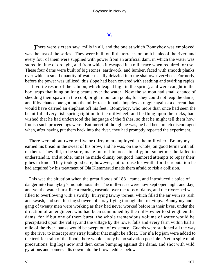### **[V.](#page-136-0)**

There were sixteen saw–mills in all, and the one at which Bonnyboy was employed was the last of the series. They were built on little terraces on both banks of the river, and every four of them were supplied with power from an artificial dam, in which the water was stored in time of drought, and from which it escaped in a mill−race when required for use. These four dams were built of big stones, earthwork, and lumber, faced with smooth planks, over which a small quantity of water usually drizzled into the shallow river−bed. Formerly, before the power was utilized, this slope had been covered with seething and swirling rapids – a favorite resort of the salmon, which leaped high in the spring, and were caught in the box−traps that hung on long beams over the water. Now the salmon had small chance of shedding their spawn in the cool, bright mountain pools, for they could not leap the dams, and if by chance one got into the mill− race, it had a hopeless struggle against a current that would have carried an elephant off his feet. Bonnyboy, who more than once had seen the beautiful silvery fish spring right on to the millwheel, and be flung upon the rocks, had wished that he had understood the language of the fishes, so that he might tell them how foolish such proceedings were. But merciful though he was, he had been much discouraged when, after having put them back into the river, they had promptly repeated the experiment.

 There were about twenty−five or thirty men employed at the mill where Bonnyboy earned his bread in the sweat of his brow, and he was, on the whole, on good terms with all of them. They did, to be sure, make fun of him occasionally; but sometimes he failed to understand it, and at other times he made clumsy but good−humored attempts to repay their gibes in kind. They took good care, however, not to rouse his wrath, for the reputation he had acquired by his treatment of Ola Klemmerud made them afraid to risk a collision.

 This was the situation when the great floods of 188− came, and introduced a spice of danger into Bonnyboy's monotonous life. The mill−races were now kept open night and day, and yet the water burst like a roaring cascade over the tops of dams, and the river−bed was filled to overflowing with a swiftly−hurrying tawny torrent, which filled the air with its rush and swash, and sent hissing showers of spray flying through the tree−tops. Bonnyboy and a gang of twenty men were working as they had never worked before in their lives, under the direction of an engineer, who had been summoned by the mill−owner to strengthen the dams; for if but one of them burst, the whole tremendous volume of water would be precipitated upon the valley, and the village by the lower falls and every farm within half a mile of the river−banks would be swept out of existence. Guards were stationed all the way up the river to intercept any stray lumber that might be afloat. For if a log jam were added to the terrific strain of the flood, there would surely be no salvation possible. Yet in spite of all precautions, big logs now and then came bumping against the dams, and shot with wild gyrations and somersaults down into the brown eddies below.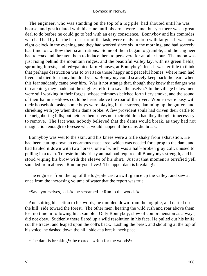The engineer, who was standing on the top of a log pile, had shouted until he was hoarse, and gesticulated with his cane until his arms were lame, but yet there was a great deal to do before he could go to bed with an easy conscience. Bonnyboy and his comrades, who had had by far the harder part of the task, were ready to drop with fatigue. It was now eight o'clock in the evening, and they had worked since six in the morning, and had scarcely had time to swallow their scant rations. Some of them began to grumble, and the engineer had to coax and threaten them to induce them to persevere for another hour. The moon was just rising behind the mountain ridges, and the beautiful valley lay, with its green fields, sprouting forests, and red−painted farm−houses, at Bonnyboy's feet. It was terrible to think that perhaps destruction was to overtake those happy and peaceful homes, where men had lived and died for many hundred years. Bonnyboy could scarcely keep back the tears when this fear suddenly came over him. Was it not strange that, though they knew that danger was threatening, they made not the slightest effort to save themselves? In the village below men were still working in their forges, whose chimneys belched forth fiery smoke, and the sound of their hammer−blows could be heard above the roar of the river. Women were busy with their household tasks; some boys were playing in the streets, damming up the gutters and shrieking with joy when their dams broke. A few provident souls had driven their cattle to the neighboring hills; but neither themselves nor their children had they thought it necessary to remove. The fact was, nobody believed that the dams would break, as they had not imagination enough to foresee what would happen if the dams did break.

 Bonnyboy was wet to the skin, and his knees were a trifle shaky from exhaustion. He had been cutting down an enormous mast−tree, which was needed for a prop to the dam, and had hauled it down with two horses, one of which was a half−broken gray colt, unused to pulling in a team. To restrain this frisky animal had required all Bonnyboy's strength, and he stood wiping his brow with the sleeve of his shirt. Just at that moment a terrified yell sounded from above: «Run for your lives! The upper dam is breaking!»

The engineer from the top of the log−pile cast a swift glance up the valley, and saw at once from the increasing volume of water that the report was true.

«Save yourselves, lads!» he screamed. «Run to the woods!»

 And suiting his action to his words, he tumbled down from the log pile, and darted up the hill−side toward the forest. The other men, hearing the wild rush and roar above them, lost no time in following his example. Only Bonnyboy, slow of comprehension as always, did not obey. Suddenly there flared up a wild resolution in his face. He pulled out his knife, cut the traces, and leaped upon the colt's back. Lashing the beast, and shouting at the top of his voice, he dashed down the hill−side at a break−neck pace.

«The dam is breaking!» he roared. «Run for the woods!»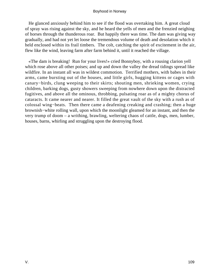He glanced anxiously behind him to see if the flood was overtaking him. A great cloud of spray was rising against the sky, and he heard the yells of men and the frenzied neighing of horses through the thunderous roar. But happily there was time. The dam was giving way gradually, and had not yet let loose the tremendous volume of death and desolation which it held enclosed within its frail timbers. The colt, catching the spirit of excitement in the air, flew like the wind, leaving farm after farm behind it, until it reached the village.

 «The dam is breaking! Run for your lives!» cried Bonnyboy, with a rousing clarion yell which rose above all other poises; and up and down the valley the dread tidings spread like wildfire. In an instant all was in wildest commotion. Terrified mothers, with babes in their arms, came bursting out of the houses, and little girls, hugging kittens or cages with canary−birds, clung weeping to their skirts; shouting men, shrieking women, crying children, barking dogs, gusty showers sweeping from nowhere down upon the distracted fugitives, and above all the ominous, throbbing, pulsating roar as of a mighty chorus of cataracts. It came nearer and nearer. It filled the great vault of the sky with a rush as of colossal wing−beats. Then there came a deafening creaking and crashing; then a huge brownish−white rolling wall, upon which the moonlight gleamed for an instant, and then the very trump of doom – a writhing, brawling, weltering chaos of cattle, dogs, men, lumber, houses, barns, whirling and struggling upon the destroying flood.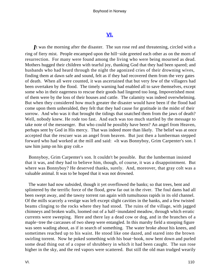### **[VI.](#page-136-0)**

<span id="page-110-0"></span>*I*t was the morning after the disaster. The sun rose red and threatening, circled with a ring of fiery mist. People encamped upon the hill−side greeted each other as on the morn of resurrection. For many were found among the living who were being mourned as dead. Mothers hugged their children with tearful joy, thanking God that they had been spared; and husbands who had heard through the night the agonized cries of their drowning wives, finding them at dawn safe and sound, felt as if they had recovered them from the very gates of death. When all were counted, it was ascertained that but very few of the villagers had been overtaken by the flood. The timely warning had enabled all to save themselves, except some who in their eagerness to rescue their goods had lingered too long. Impoverished most of them were by the loss of their houses and cattle. The calamity was indeed overwhelming. But when they considered how much greater the disaster would have been if the flood had come upon them unheralded, they felt that they had cause for gratitude in the midst of their sorrow. And who was it that brought the tidings that snatched them from the jaws of death? Well, nobody knew. He rode too fast. And each was too much startled by the message to take note of the messenger. But who could he possibly have been? An angel from Heaven, perhaps sent by God in His mercy. That was indeed more than likely. The belief was at once accepted that the rescuer was an angel from heaven. But just then a lumberman stepped forward who had worked at the mill and said: «It was Bonnyboy, Grim Carpenter's son. I saw him jump on his gray colt.»

 Bonnyboy, Grim Carpenter's son. It couldn't be possible. But the lumberman insisted that it was, and they had to believe him, though, of course, it was a disappointment. But where was Bonnyboy? He deserved thanks, surely. And, moreover, that gray colt was a valuable animal. It was to be hoped that it was not drowned.

 The water had now subsided, though it yet overflowed the banks; so that trees, bent and splintered by the terrific force of the flood, grew far out in the river. The foul dams had all been swept away, and the tawny torrent ran again with tumultuous rapids in its old channel. Of the mills scarcely a vestige was left except slight cavities in the banks, and a few twisted beams clinging to the rocks where they had stood. The ruins of the village, with jagged chimneys and broken walls, loomed out of a half−inundated meadow, through which erratic currents were sweeping. Here and there lay a dead cow or dog, and in the branches of a maple−tree the carcasses of two sheep were entangled. In this marshy field a stooping figure was seen wading about, as if in search of something. The water broke about his knees, and sometimes reached up to his waist. He stood like one dazed, and stared into the brown swirling torrent. Now he poked something with his boat−hook, now bent down and purled some dead thing out of a copse of shrubbery in which it had been caught. The sun rose higher in the sky, and the red vapors were scattered. But still the old man trudged wearily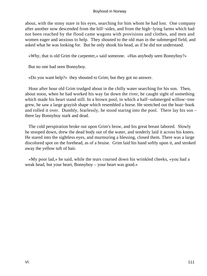about, with the stony stare in his eyes, searching for him whom he had lost. One company after another now descended from the hill−sides, and from the high−lying farms which had not been reached by the flood came wagons with provisions and clothes, and men and women eager and anxious to help. They shouted to the old man in the submerged field, and asked what he was looking for. But he only shook his head, as if he did not understand.

«Why, that is old Grim the carpenter,» said someone. «Has anybody seen Bonnyboy?»

But no one had seen Bonnyboy.

«Do you want help?» they shouted to Grim; but they got no answer.

 Hour after hour old Grim trudged about in the chilly water searching for his son. Then, about noon, when he had worked his way far down the river, he caught sight of something which made his heart stand still. In a brown pool, in which a half−submerged willow−tree grew, he saw a large grayish shape which resembled a horse. He stretched out the boat−hook and rolled it over. Dumbly, fearlessly, he stood staring into the pool. There lay his son – there lay Bonnyboy stark and dead.

 The cold perspiration broke out upon Grim's brow, and his great breast labored. Slowly he stooped down, drew the dead body out of the water, and tenderly laid it across his knees. He stared into the sightless eyes, and murmuring a blessing, closed them. There was a large discolored spot on the forehead, as of a bruise. Grim laid his hand softly upon it, and stroked away the yellow tuft of hair.

 «My poor lad,» he said, while the tears coursed down his wrinkled cheeks, «you had a weak head, but your heart, Bonnyboy – your heart was good.»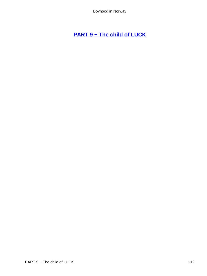# <span id="page-112-0"></span>**[PART 9 − The child of LUCK](#page-136-0)**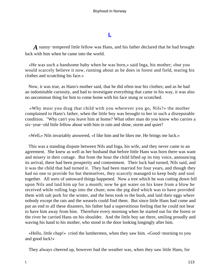# **[I.](#page-136-0)**

<span id="page-113-0"></span>*A* sunny−tempered little fellow was Hans, and his father declared that he had brought luck with him when he came into the world.

 «He was such a handsome baby when he was born,» said Inga, his mother; «but you would scarcely believe it now, running about as he does in forest and field, tearing his clothes and scratching his face.»

 Now, it was true, as Hans's mother said, that he did often tear his clothes; and as he had an indomitable curiosity, and had to investigate everything that came in his way, it was also no uncommon thing for him to come home with his face stung or scratched.

 «Why must you drag that child with you wherever you go, Nils?» the mother complained to Hans's father, when the little boy was brought to her in such a disreputable condition. "Why can't you leave him at home? What other man do you know who carries a six−year−old little fellow about with him in rain and shine, storm and quiet?

«Well,» Nils invariably answered, «I like him and he likes me. He brings me luck.»

 This was a standing dispute between Nils and Inga, his wife, and they never came to an agreement. She knew as well as her husband that before little Hans was born there was want and misery in their cottage. But from the hour the child lifted up its tiny voice, announcing its arrival, there had been prosperity and contentment. Their luck had turned, Nils said, and it was the child that had turned it. They had been married for four years, and though they had no one to provide for but themselves, they scarcely managed to keep body and soul together. All sorts of untoward things happened. Now a tree which he was cutting down fell upon Nils and laid him up for a month; now he got water on his knee from a blow he received while rolling logs into the chute; now the pig died which was to have provided them with salt pork for the winter, and the hens took to the bush, and laid their eggs where nobody except the rats and the weasels could find them. But since little Hans had come and put an end to all these disasters, his father had a superstitious feeling that he could not bear to have him away from him. Therefore every morning when he started out for the forest or the river he carried Hans on his shoulder. And the little boy sat there, smiling proudly and waving his hand to his mother, who stood in the door looking longingly after him.

 «Hello, little chap!» cried the lumbermen, when they saw him. «Good−morning to you and good luck!»

They always cheered up, however bad the weather was, when they saw little Hans, for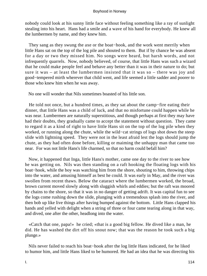nobody could look at his sunny little face without feeling something like a ray of sunlight stealing into his heart. Hans had a smile and a wave of his hand for everybody. He knew all the lumbermen by name, and they knew him.

 They sang as they swung the axe or the boat−hook, and the work went merrily when little Hans sat on the top of the log pile and shouted to them. But if by chance he was absent for a day or two they missed him. No songs were heard, but harsh words, and not infrequently quarrels. Now, nobody believed, of course, that little Hans was such a wizard that he could make people feel and behave any better than it was in their nature to do; but sure it was – at least the lumbermen insisted that it was so – there was joy and good−tempered mirth wherever that child went, and life seemed a little sadder and poorer to those who knew him when he was away.

No one will wonder that Nils sometimes boasted of his little son.

 He told not once, but a hundred times, as they sat about the camp−fire eating their dinner, that little Hans was a child of luck, and that no misfortune could happen while he was near. Lumbermen are naturally superstitious, and though perhaps at first they may have had their doubts, they gradually came to accept the statement without question. They came to regard it as a kind of right to have little Hans sit on the top of the log pile when they worked, or running along the chute, while the wild−cat strings of logs shot down the steep slide with lightning speed. They were not in the least afraid lest the logs should jump the chute, as they had often done before, killing or maiming the unhappy man that came too near. For was not little Hans's life charmed, so that no harm could befall him?

 Now, it happened that Inga, little Hans's mother, came one day to the river to see how he was getting on. Nils was then standing on a raft hooking the floating logs with his boat−hook, while the boy was watching him from the shore, shouting to him, throwing chips into the water, and amusing himself as best he could. It was early in May, and the river was swollen from recent thaws. Below the cataract where the lumbermen worked, the broad, brown current moved slowly along with sluggish whirls and eddies; but the raft was moored by chains to the shore, so that it was in no danger of getting adrift. It was capital fun to see the logs come rushing down the slide, plunging with a tremendous splash into the river, and then bob up like live things after having bumped against the bottom. Little Hans clapped his hands and yelled with delight when a string of three or four came tearing along in that way, and dived, one after the other, headlong into the water.

 «Catch that one, papa!» he cried; «that is a good big fellow. He dived like a man, he did. He has washed the dirt off his snout now; that was the reason he took such a big plunge.»

 Nils never failed to reach his boat−hook after the log little Hans indicated, for he liked to humor him, and little Hans liked to be humored. He had an idea that he was directing his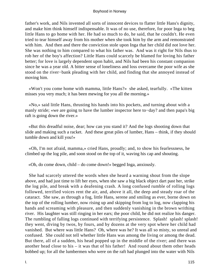father's work, and Nils invented all sorts of innocent devices to flatter little Hans's dignity, and make him think himself indispensable. It was of no use, therefore, for poor Inga to beg little Hans to go home with her. He had so much to do, he said, that he couldn't. He even tried to tear himself away from his mother when she took him by the arm and remonstrated with him. And then and there the conviction stole upon Inga that her child did not love her. She was nothing to him compared to what his father was. And was it right for Nils thus to rob her of the boy's affection? Little Hans could scarcely be blamed for loving his father better; for love is largely dependent upon habit, and Nils had been his constant companion since he was a year old. A bitter sense of loneliness and loss overcame the poor wife as she stood on the river−bank pleading with her child, and finding that she annoyed instead of moving him.

 «Won't you come home with mamma, little Hans?» she asked, tearfully. «The kitten misses you very much; it has been mewing for you all the morning.»

 «No,» said little Hans, thrusting his hands into his pockets, and turning about with a manly stride; «we are going to have the lumber inspector here to−day? and then papa's big raft is going down the river.»

 «But this dreadful noise, dear; how can you stand it? And the logs shooting down that slide and making such a racket. And these great piles of lumber, Hans – think, if they should tumble down and kill you!»

 «Oh, I'm not afraid, mamma,» cried Hans, proudly; and, to show his fearlessness, he climbed up the log pile, and soon stood on the top of it, waving his cap and shouting.

«Oh, do come down, child – do come down!» begged Inga, anxiously.

 She had scarcely uttered the words when she heard a warning shout from the slope above, and had just time to lift her eyes, when she saw a big black object dart past her, strike the log pile, and break with a deafening crash. A long confused rumble of rolling logs followed, terrified voices rent the air, and, above it all, the deep and steady roar of the cataract. She saw, as through a fog, little Hans, serene and smiling as ever, borne down on the top of the rolling lumber, now rising up and skipping from log to log, now clapping his hands and screaming with pleasure, and then suddenly vanishing in the brown writhing river. His laughter was still ringing in her ears; the poor child, he did not realize his danger. The rumbling of falling logs continued with terrifying persistence. Splash! splash! splash! they went, diving by twos, by fours, and by dozens at the very spot where her child had vanished. But where was little Hans? Oh, where was he? It was all so misty, so unreal and confused. She could not tell whether little Hans was among the living or among the dead. But there, all of a sudden, his head popped up in the middle of the river; and there was another head close to his – it was that of his father! And round about them other heads bobbed up; for all the lumbermen who were on the raft had plunged into the water with Nils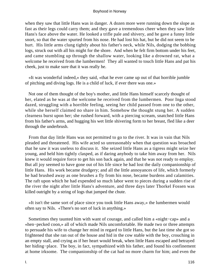when they saw that little Hans was in danger. A dozen more were running down the slope as fast as their legs could carry them; and they gave a tremendous cheer when they saw little Hans's face above the water. He looked a trifle pale and shivery, and he gave a funny little snort, so that the water spurted from his nose. He had lost his hat, but he did not seem to be hurt. His little arms clung tightly about his father's neck, while Nils, dodging the bobbing logs, struck out with all his might for the shore. And when he felt firm bottom under his feet, and came stumbling up through the shallow water, looking like a drowned rat, what a welcome he received from the lumbermen! They all wanted to touch little Hans and pat his cheek, just to make sure that it was really he.

 «It was wonderful indeed,» they said, «that he ever came up out of that horrible jumble of pitching and diving logs. He is a child of luck, if ever there was one.»

 Not one of them thought of the boy's mother, and little Hans himself scarcely thought of her, elated as he was at the welcome he received from the lumbermen. Poor Inga stood dazed, struggling with a horrible feeling, seeing her child passed from one to the other, while she herself claimed no share in him. Somehow the thought stung her. A sudden clearness burst upon her; she rushed forward, with a piercing scream, snatched little Hans from his father's arms, and hugging his wet little shivering form to her breast, fled like a deer through the underbrush.

 From that day little Hans was not permitted to go to the river. It was in vain that Nils pleaded and threatened. His wife acted so unreasonably when that question was broached that he saw it was useless to discuss it. She seized little Hans as a tigress might seize her young, and held him tightly clasped, as if daring anybody to take him away from her. Nils knew it would require force to get his son back again, and that he was not ready to employ. But all joy seemed to have gone out of his life since he had lost the daily companionship of little Hans. His work became drudgery; and all the little annoyances of life, which formerly he had brushed away as one brushes a fly from his nose, became burdens and calamities. The raft upon which he had expended so much labor went to pieces during a sudden rise of the river the night after little Hans's adventure, and three days later Thorkel Fossen was killed outright by a string of logs that jumped the chute.

 «It isn't the same sort of place since you took little Hans away,» the lumbermen would often say to Nils. «There's no sort of luck in anything.»

 Sometimes they taunted him with want of courage, and called him a «night−cap» and a «hen−pecked coon,» all of which made Nils uncomfortable. He made two or three attempts to persuade his wife to change her mind in regard to little Hans, but the last time she got so frightened that she ran out of the house and hid in the cow stable with the boy, crouching in an empty stall, and crying as if her heart would break, when little Hans escaped and betrayed her hiding−place. The boy, in fact, sympathized with his father, and found his confinement at home irksome. The companionship of the cat had no more charm for him; and even the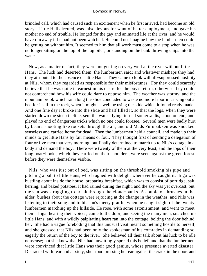brindled calf, which had caused such an excitement when he first arrived, had become an old story. Little Halls fretted, was mischievous for want of better employment, and gave his mother no end of trouble. He longed for the gay and animated life at the river, and he would have run away if he had not been watched. He could not imagine how the lumbermen could be getting on without him. It seemed to him that all work must come to a stop when he was no longer sitting on the top of the log piles, or standing on the bank throwing chips into the water.

 Now, as a matter of fact, they were not getting on very well at the river without little Hans. The luck had deserted them, the lumbermen said; and whatever mishaps they had, they attributed to the absence of little Hans. They came to look with ill−suppressed hostility at Nils, whom they regarded as responsible for their misfortunes. For they could scarcely believe that he was quite in earnest in his desire for the boy's return, otherwise they could not comprehend how his wife could dare to oppose him. The weather was stormy, and the mountain brook which ran along the slide concluded to waste no more labor in carving out a bed for itself in the rock, when it might as well be using the slide which it found ready made. And one fine day it broke into the slide and half filled it, so that the logs, when they were started down the steep incline, sent the water flying, turned somersaults, stood on end, and played no end of dangerous tricks which no one could foresee. Several men were badly hurt by beams shooting like rockets through the air, and old Mads Furubakken was knocked senseless and carried home for dead. Then the lumbermen held a council, and made up their minds to get little Hans by fair means or foul. They thought first of sending a delegation of four or five men that very morning, but finally determined to march up to Nils's cottage in a body and demand the boy. There were twenty of them at the very least, and the tops of their long boat−hooks, which they carried on their shoulders, were seen against the green forest before they were themselves visible.

 Nils, who was just out of bed, was sitting on the threshold smoking his pipe and pitching a ball to little Hans, who laughed with delight whenever he caught it. Inga was bustling about inside the house, preparing breakfast, which was to consist of porridge, salt herring, and baked potatoes. It had rained during the night, and the sky was yet overcast, but the sun was struggling to break through the cloud−banks. A couple of thrushes in the alder−bushes about the cottage were rejoicing at the change in the weather, and Nils was listening to their song and to his son's merry prattle, when he caught sight of the twenty lumbermen marching up the hillside. He rose, with some astonishment, and went to meet them. Inga, hearing their voices, came to the door, and seeing the many men, snatched up little Hans, and with a wildly palpitating heart ran into the cottage, bolting the door behind her. She had a vague foreboding that this unusual visit meant something hostile to herself, and she guessed that Nils had been only the spokesman of his comrades in demanding so eagerly the return of the boy to the river. She believed all their talk about his luck to be idle nonsense; but she knew that Nils had unwittingly spread this belief, and that the lumbermen were convinced that little Hans was their good genius, whose presence averted disaster. Distracted with fear and anxiety, she stood pressing her ear against the crack in the door, and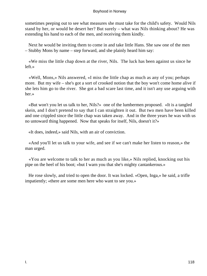sometimes peeping out to see what measures she must take for the child's safety. Would Nils stand by her, or would he desert her? But surely – what was Nils thinking about? He was extending his hand to each of the men, and receiving them kindly.

 Next he would be inviting them to come in and take little Hans. She saw one of the men – Stubby Mons by name – step forward, and she plainly heard him say:

 «We miss the little chap down at the river, Nils. The luck has been against us since he left.»

 «Well, Mons,» Nils answered, «I miss the little chap as much as any of you; perhaps more. But my wife – she's got a sort of crooked notion that the boy won't come home alive if she lets him go to the river. She got a bad scare last time, and it isn't any use arguing with her.»

 «But won't you let us talk to her, Nils?» one of the lumbermen proposed. «It is a tangled skein, and I don't pretend to say that I can straighten it out. But two men have been killed and one crippled since the little chap was taken away. And in the three years he was with us no untoward thing happened. Now that speaks for itself, Nils, doesn't it?»

«It does, indeed,» said Nils, with an air of conviction.

 «And you'll let us talk to your wife, and see if we can't make her listen to reason,» the man urged.

 «You are welcome to talk to her as much as you like,» Nils replied, knocking out his pipe on the heel of his boot; «but I warn you that she's mighty cantankerous.»

 He rose slowly, and tried to open the door. It was locked. «Open, Inga,» he said, a trifle impatiently; «there are some men here who want to see you.»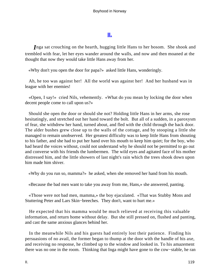## **[II.](#page-136-0)**

<span id="page-119-0"></span>*I*nga sat crouching on the hearth, hugging little Hans to her bosom. She shook and trembled with fear, let her eyes wander around the walls, and now and then moaned at the thought that now they would take little Hans away from her.

«Why don't you open the door for papa?» asked little Hans, wonderingly.

 Ah, he too was against her! All the world was against her! And her husband was in league with her enemies!

 «Open, I say!» cried Nils, vehemently. «What do you mean by locking the door when decent people come to call upon us?»

 Should she open the door or should she not? Holding little Hans in her arms, she rose hesitatingly, and stretched out her hand toward the bolt. But all of a sudden, in a paroxysm of fear, she withdrew her hand, turned about, and fled with the child through the back door. The alder bushes grew close up to the walls of the cottage, and by stooping a little she managed to remain unobserved. Her greatest difficulty was to keep little Hans from shouting to his father, and she had to put her hand over his mouth to keep him quiet; for the boy, who had heard the voices without, could not understand why he should not be permitted to go out and converse with his friends the lumbermen. The wild eyes and agitated face of his mother distressed him, and the little showers of last night's rain which the trees shook down upon him made him shiver.

«Why do you run so, mamma?» he asked, when she removed her hand from his mouth.

«Because the bad men want to take you away from me, Hans,» she answered, panting.

 «Those were not bad men, mamma,» the boy ejaculated. «That was Stubby Mons and Stuttering Peter and Lars Skin−breeches. They don't, want to hurt me.»

 He expected that his mamma would be much relieved at receiving this valuable information, and return home without delay. But she still pressed on, flushed and panting, and cast the same anxious glances behind her.

 In the meanwhile Nils and his guests had entirely lost their patience. Finding his persuasions of no avail, the former began to thump at the door with the handle of his axe, and receiving no response, he climbed up to the window and looked in. To his amazement there was no one in the room. Thinking that Inga might have gone to the cow−stable, he ran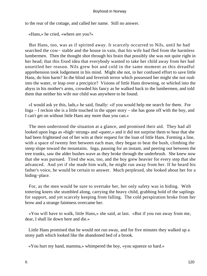to the rear of the cottage, and called her name. Still no answer.

«Hans,» he cried, «where are you?»

 But Hans, too, was as if spirited away. It scarcely occurred to Nils, until he had searched the cow– stable and the house in vain, that his wife had fled from the harmless lumbermen. Then the thought shot through his brain that possibly she was not quite right in her head; that this fixed idea that everybody wanted to take her child away from her had unsettled her reason. Nils grew hot and cold in the same moment as this dreadful apprehension took lodgement in his mind. Might she not, in her confused effort to save little Hans, do him harm? In the blind and feverish terror which possessed her might she not rush into the water, or leap over a precipice? Visions of little Hans drowning, or whirled into the abyss in his mother's arms, crowded his fancy as he walked back to the lumbermen, and told them that neither his wife nor child was anywhere to be found.

 «I would ask ye this, lads,» he said, finally: «if you would help me search for them. For Inga – I reckon she is a little touched in the upper story – she has gone off with the boy, and I can't get on without little Hans any more than you can.»

 The men understood the situation at a glance, and promised their aid. They had all looked upon Inga as «high−strung» and «queer,» and it did not surprise them to hear that she had been frightened out of her wits at their request for the loan of little Hans. Forming a line, with a space of twenty feet between each man, they began to beat the bush, climbing the steep slope toward the mountains. Inga, pausing for an instant, and peering out between the tree trunks, saw the alder bushes wave as they broke through the underbrush. She knew now that she was pursued. Tired she was, too, and the boy grew heavier for every step that she advanced. And yet if she made him walk, he might run away from her. If he heard his father's voice, he would be certain to answer. Much perplexed, she looked about her for a hiding−place.

 For, as the men would be sure to overtake her, her only safety was in hiding. With tottering knees she stumbled along, carrying the heavy child, grabbing hold of the saplings for support, and yet scarcely keeping from falling. The cold perspiration broke from her brow and a strange faintness overcame her.

 «You will have to walk, little Hans,» she said, at last. «But if you run away from me, dear, I shall lie down here and die.»

 Little Hans promised that he would not run away, and for five minutes they walked up a stony path which looked like the abandoned bed of a brook.

«You hurt my hand, mamma,» whimpered the boy, «you squeeze so hard.»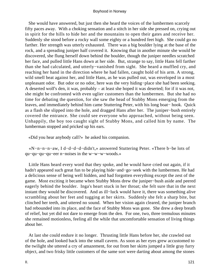She would have answered, but just then she heard the voices of the lumbermen scarcely fifty paces away. With a choking sensation and a stitch in her side she pressed on, crying out in spirit for the hills to hide her and the mountains to open their gates and receive her. Suddenly she stood before a rocky wall some eighty or a hundred feet high. She could go no farther. Her strength was utterly exhausted. There was a big boulder lying at the base of the rock, and a spreading juniper half covered it. Knowing that in another minute she would be discovered, she flung herself down behind the boulder, though the juniper needles scratched her face, and pulled little Hans down at her side. But, strange to say, little Hans fell farther than she had calculated, and utterly−vanished from sight. She heard a muffled cry, and reaching her hand in the direction where he had fallen, caught hold of his arm. A strong, wild smell beat against her, and little Hans, as he was pulled out, was enveloped in a most unpleasant odor. But odor or no odor, here was the very hiding−place she had been seeking. A deserted wolf's den, it was, probably – at least she hoped it was deserted; for if it was not, she might be confronted with even uglier customers than the lumbermen. But she had no time for debating the question, for she saw the head of Stubby Mons emerging from the leaves, and immediately behind him came Stuttering Peter, with his long boat− hook. Quick as a flash she slipped into the hole, and dragged Hans after her. The juniper−bush entirely covered the entrance. She could see everyone who approached, without being seen. Unhappily, the boy too caught sight of Stubby Mons, and called him by name. The lumberman stopped and pricked up his ears.

«Did you hear anybody call?» he asked his companion.

 «N−n−n−n−aw, I d−d−d−d−didn't,» answered Stuttering Peter. «There b−be lots of qu−qu−qu−qu−eer n−noises in the w−w−w−woods.»

 Little Hans heard every word that they spoke, and he would have cried out again, if it hadn't appeared such great fun to be playing hide−and−go−seek with the lumbermen. He had a delicious sense of being well hidden, and had forgotten everything except the zest of the game. Most exciting it became when Stubby Mons drew the juniper−bush aside and peered eagerly behind the boulder. Inga's heart stuck in her throat; she felt sure that in the next instant they would be discovered. And as ill−luck would have it, there was something alive scrambling about her feet and tugging at her skirts. Suddenly she felt a sharp bite, but clinched her teeth, and uttered no sound. When her vision again cleared, the juniper branch had rebounded into its place, and the face of Stubby Mons was gone. She drew a deep breath of relief, but yet did not dare to emerge from the den. For one, two, three tremulous minutes she remained motionless, feeling all the while that uncomfortable sensation of living things about her.

 At last she could endure it no longer. Thrusting little Hans before her, she crawled out of the hole, and looked back into the small cavern. As soon as her eyes grew accustomed to the twilight she uttered a cry of amazement, for out from her skirts jumped a little gray furry object, and two frisky little customers of the same sort were darting about among the stones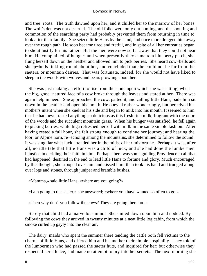and tree−roots. The truth dawned upon her, and it chilled her to the marrow of her bones. The wolf's den was not deserted. The old folks were only out hunting, and the shouting and commotion of the searching party had probably prevented them from returning in time to look after their family. She seized little Hans by the hand, and once more dragged him away over the rough path. He soon became tired and fretful, and in spite of all her entreaties began to shout lustily for his father. But the men were now so far away that they could not hear him. He complained of hunger; and when presently they came to a blueberry patch, she flung herself down on the heather and allowed him to pick berries. She heard cow−bells and sheep−bells tinkling round about her, and concluded that she could not be far from the saeters, or mountain dairies. That was fortunate, indeed, for she would not have liked to sleep in the woods with wolves and bears prowling about her.

 She was just making an effort to rise from the stone upon which she was sitting, when the big, good−natured face of a cow broke through the leaves and stared at her. There was again help in need. She approached the cow, patted it, and calling little Hans, bade him sit down in the heather and open his mouth. He obeyed rather wonderingly, but perceived his mother's intent when she knelt at his side and began to milk into his mouth. It seemed to him that he had never tasted anything so delicious as this fresh rich milk, fragrant with the odor of the woods and the succulent mountain grass. When his hunger was satisfied, he fell again to picking berries, while Inga refreshed herself with milk in the same simple fashion. After having rested a full hour, she felt strong enough to continue her journey; and hearing the loor, or Alpine horn, re−echoing among the mountains, she determined to follow the sound. It was singular what luck attended her in the midst of her misfortune. Perhaps it was, after all, no idle tale that little Hans was a child of luck; and she had done the lumbermen injustice in deriding their faith in him. Perhaps there was some guiding Providence in all that had happened, destined in the end to lead little Hans to fortune and glory. Much encouraged by this thought, she stooped over him and kissed him; then took his hand and trudged along over logs and stones, through juniper and bramble bushes.

«Mamma,» said little Hans, «where are you going?»

«I am going to the saeter,» she answered; «where you have wanted so often to go.»

«Then why don't you follow the cows? They are going there too.»

 Surely that child had a marvellous mind! She smiled down upon him and nodded. By following the cows they arrived in twenty minutes at a neat little log cabin, from which the smoke curled up gayly into the clear air.

 The dairy−maids who spent the summer there tending the cattle both fell victims to the charms of little Hans, and offered him and his mother their simple hospitality. They told of the lumbermen who had passed the saeter huts, and inquired for her; but otherwise they respected her silence, and made no attempt to pry into her secrets. The next morning she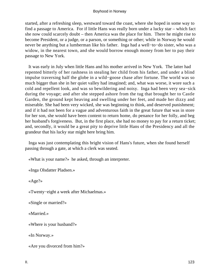started, after a refreshing sleep, westward toward the coast, where she hoped in some way to find a passage to America. For if little Hans was really born under a lucky star – which fact she now could scarcely doubt – then America was the place for him. There he might rise to become President, or a judge, or a parson, or something or other; while in Norway he would never be anything but a lumberman like his father. Inga had a well−to−do sister, who was a widow, in the nearest town, and she would borrow enough money from her to pay their passage to New York.

 It was early in July when little Hans and his mother arrived in New York. The latter had repented bitterly of her rashness in stealing her child from his father, and under a blind impulse traversing half the globe in a wild−goose chase after fortune. The world was so much bigger than she in her quiet valley had imagined; and, what was worse, it wore such a cold and repellent look, and was so bewildering and noisy. Inga had been very sea−sick during the voyage; and after she stepped ashore from the tug that brought her to Castle Garden, the ground kept heaving and swelling under her feet, and made her dizzy and miserable. She had been very wicked, she was beginning to think, and deserved punishment; and if it had not been for a vague and adventurous faith in the great future that was in store for her son, she would have been content to return home, do penance for her folly, and beg her husband's forgiveness. But, in the first place, she had no money to pay for a return ticket; and, secondly, it would be a great pity to deprive little Hans of the Presidency and all the grandeur that his lucky star might here bring him.

 Inga was just contemplating this bright vision of Hans's future, when she found herself passing through a gate, at which a clerk was seated.

«What is your name?» he asked, through an interpreter.

«Inga Olsdatter Pladsen.»

«Age?»

«Twenty−eight a week after Michaelmas.»

«Single or married?»

«Married.»

«Where is your husband?»

«In Norway.»

«Are you divorced from him?»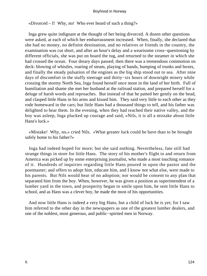«Divorced  $-$  I! Why, no! Who ever heard of such a thing?»

 Inga grew quite indignant at the thought of her being divorced. A dozen other questions were asked, at each of which her embarrassment increased. When, finally, she declared that she had no money, no definite destination, and no relatives or friends in the country, the examination was cut short, and after an hour's delay and a wearisome cross−questioning by different officials, she was put on board the tug, and returned to the steamer in which she had crossed the ocean. Four dreary days passed; then there was a tremendous commotion on deck: blowing of whistles, roaring of steam, playing of bands, bumping of trunks and boxes, and finally the steady pulsation of the engines as the big ship stood out to sea. After nine days of discomfort in the stuffy steerage and thirty−six hours of downright misery while crossing the stormy North Sea, Inga found herself once more in the land of her birth. Full of humiliation and shame she met her husband at the railroad station, and prepared herself for a deluge of harsh words and reproaches. But instead of that he patted her gently on the head, and clasped little Hans in his arms and kissed him. They said very little to each other as they rode homeward in the cars; but little Hans had a thousand things to tell, and his father was delighted to hear them. In the evening, when they had reached their native valley, and the boy was asleep, Inga plucked up courage and said, «Nils, it is all a mistake about little Hans's luck.»

 «Mistake! Why, no,» cried Nils. «What greater luck could he have than to be brought safely home to his father?»

 Inga had indeed hoped for more; but she said nothing. Nevertheless, fate still had strange things in store for little Hans. The story of his mother's flight to and return from America was picked up by some enterprising journalist, who made a most touching romance of it. Hundreds of inquiries regarding little Hans poured in upon the pastor and the postmaster; and offers to adopt him, educate him, and I know not what else, were made to his parents. But Nils would hear of no adoption; nor would he consent to any plan that separated him from the boy. When, however, he was given a position as superintendent of a lumber yard in the town, and prosperity began to smile upon him, he sent little Hans to school, and as Hans was a clever boy, he made the most of his opportunities.

 And now little Hans is indeed a very big Hans, but a child of luck he is yet; for I saw him referred to the other day in the newspapers as one of the greatest lumber dealers, and one of the noblest, most generous, and public−spirited men in Norway.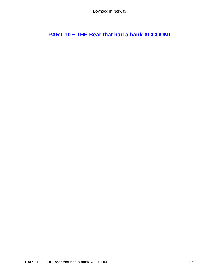<span id="page-125-0"></span>**[PART 10 − THE Bear that had a bank ACCOUNT](#page-136-0)**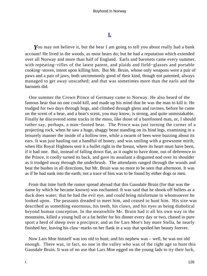# **[I.](#page-136-0)**

<span id="page-126-0"></span>You may not believe it, but the bear I am going to tell you about really had a bank account! He lived in the woods, as most bears do; but he had a reputation which extended over all Norway and more than half of England. Earls and baronets came every summer, with repeating−rifles of the latest patent, and plaids and field−glasses and portable cooking−stoves, intent upon killing him. But Mr. Bruin, whose only weapons were a pair of paws and a pair of jaws, both uncommonly good of their kind, though not patented, always managed to get away unscathed; and that was sometimes more than the earls and the baronets did.

 One summer the Crown Prince of Germany came to Norway. He also heard of the famous bear that no one could kill, and made up his mind that he was the man to kill it. He trudged for two days through bogs, and climbed through glens and ravines, before he came on the scent of a bear, and a bear's scent, you may know, is strong, and quite unmistakable. Finally he discovered some tracks in the moss, like those of a barefooted man, or, I should rather say, perhaps, a man−footed bear. The Prince was just turning the corner of a projecting rock, when he saw a huge, shaggy beast standing on its hind legs, examining in a leisurely manner the inside of a hollow tree, while a swarm of bees were buzzing about its ears. It was just hauling out a handful of honey, and was smiling with a grewsome mirth, when His Royal Highness sent it a bullet right in the breast, where its heart must have been, if it had one. But, instead of falling down flat, as it ought to have done, out of deference to the Prince, it coolly turned its back, and gave its assailant a disgusted nod over its shoulder as it trudged away through the underbrush. The attendants ranged through the woods and beat the bushes in all directions, but Mr. Bruin was no more to be seen that afternoon. It was as if he had sunk into the earth; not a trace of him was to be found by either dogs or men.

 From that time forth the rumor spread abroad that this Gausdale Bruin (for that was the name by which he became known) was enchanted. It was said that he shook off bullets as a duck does water; that he had the evil eye, and could bring misfortune to whomsoever he looked upon. The peasants dreaded to meet him, and ceased to hunt him. His size was described as something enormous, his teeth, his claws, and his eyes as being diabolical beyond human conception. In the meanwhile Mr. Bruin had it all his own way in the mountains, killed a young bull or a fat heifer for his dinner every day or two, chased in pure sport a herd of sheep over a precipice; and as for Lars Moe's bay mare Stella, he nearly finished her, leaving his claw−marks on her flank in a way that spoiled her beauty forever.

 Now Lars Moe himself was too old to hunt; and his nephew was – well, he was not old enough. There was, in fact, no one in the valley who was of the right age to hunt this Gausdale Bruin. It was of no use that Lars Moe egged on the young lads to try their luck,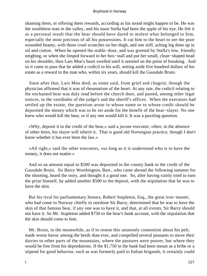shaming them, or offering them rewards, according as his mood might happen to be. He was the wealthiest man in the valley, and his mare Stella had been the apple of his eye. He felt it as a personal insult that the bear should have dared to molest what belonged to him, especially the most precious of all his possessions. It cut him to the heart to see the poor wounded beauty, with those cruel scratches on her thigh, and one stiff, aching leg done up in oil and cotton. When he opened the stable−door, and was greeted by Stella's low, friendly neighing, or when she limped forward in her box−stall and put her small, clean−shaped head on his shoulder, then Lars Moe's heart swelled until it seemed on the point of breaking. And so it came to pass that he added a codicil to his will, setting aside five hundred dollars of his estate as a reward to the man who, within six years, should kill the Gausdale Bruin.

 Soon after that, Lars Moe died, as some said, from grief and chagrin; though the physician affirmed that it was of rheumatism of the heart. At any rate, the codicil relating to the enchanted bear was duly read before the church door, and pasted, among other legal notices, in the vestibules of the judge's and the sheriff's offices. When the executors had settled up the estate, the question arose in whose name or to whose credit should be deposited the money which was to be set aside for the benefit of the bear−slayer. No one knew who would kill the bear, or if any one would kill it. It was a puzzling question.

 «Why, deposit it to the credit of the bear,» said a jocose executor; «then, in the absence of other heirs, his slayer will inherit it. That is good old Norwegian practice, though I don't know whether it has ever been the law.»

 «All right,» said the other executors, «so long as it is understood who is to have the money, it does not matter.»

 And so an amount equal to \$500 was deposited in the county bank to the credit of the Gausdale Bruin. Sir Barry Worthington, Bart., who came abroad the following summer for the shooting, heard the story, and thought it a good one. So, after having vainly tried to earn the prize himself, he added another \$500 to the deposit, with the stipulation that he was to have the skin.

 But his rival for parliamentary honors, Robert Stapleton, Esq., the great iron−master, who had come to Norway chiefly to outshine Sir Barry, determined that he was to have the skin of that famous bear, if any one was to have it, and that, at all events, Sir Barry should not have it. So Mr. Stapleton added \$750 to the bear's bank account, with the stipulation that the skin should come to him.

 Mr. Bruin, in the meanwhile, as if to resent this unseemly contention about his pelt, made worse havoc among the herds than ever, and compelled several peasants to move their dairies to other parts of the mountains, where the pastures were poorer, but where they would be free from his depredations. If the \$1,750 in the bank had been meant as a bribe or a stipend for good behavior, such as was formerly paid to Italian brigands, it certainly could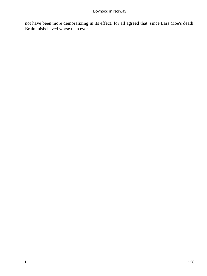not have been more demoralizing in its effect; for all agreed that, since Lars Moe's death, Bruin misbehaved worse than ever.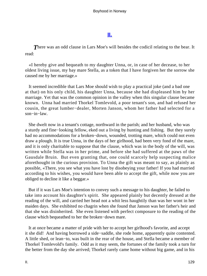## **[II.](#page-136-0)**

<span id="page-129-0"></span>**There was an odd clause in Lars Moe's will besides the codicil relating to the bear. It** read:

 «I hereby give and bequeath to my daughter Unna, or, in case of her decease, to her oldest living issue, my bay mare Stella, as a token that I have forgiven her the sorrow she caused me by her marriage.»

 It seemed incredible that Lars Moe should wish to play a practical joke (and a bad one at that) on his only child, his daughter Unna, because she had displeased him by her marriage. Yet that was the common opinion in the valley when this singular clause became known. Unna had married Thorkel Tomlevold, a poor tenant's son, and had refused her cousin, the great lumber−dealer, Morten Janson, whom her father had selected for a son−in−law.

 She dwelt now in a tenant's cottage, northward in the parish; and her husband, who was a sturdy and fine−looking fellow, eked out a living by hunting and fishing. But they surely had no accommodations for a broken−down, wounded, trotting mare, which could not even draw a plough. It is true Unna, in the days of her girlhood, had been very fond of the mare, and it is only charitable to suppose that the clause, which was in the body of the will, was written while Stella was in her prime, and before she had suffered at the paws of the Gausdale Bruin. But even granting that, one could scarcely help suspecting malice aforethought in the curious provision. To Unna the gift was meant to say, as plainly as possible, «There, you see what you have lost by disobeying your father! If you had married according to his wishes, you would have been able to accept the gift, while now you are obliged to decline it like a beggar.»

 But if it was Lars Moe's intention to convey such a message to his daughter, he failed to take into account his daughter's spirit. She appeared plainly but decently dressed at the reading of the will, and carried her head not a whit less haughtily than was her wont in her maiden days. She exhibited no chagrin when she found that Janson was her father's heir and that she was disinherited. She even listened with perfect composure to the reading of the clause which bequeathed to her the broken−down mare.

 It at once became a matter of pride with her to accept her girlhood's favorite, and accept it she did! And having borrowed a side−saddle, she rode home, apparently quite contented. A little shed, or lean−to, was built in the rear of the house, and Stella became a member of Thorkel Tomlevold's family. Odd as it may seem, the fortunes of the family took a turn for the better from the day she arrived; Thorkel rarely came home without big game, and in his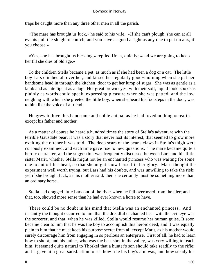traps he caught more than any three other men in all the parish.

 «The mare has brought us luck,» he said to his wife. «If she can't plough, she can at all events pull the sleigh to church; and you have as good a right as any one to put on airs, if you choose.»

 «Yes, she has brought us blessing,» replied Unna, quietly; «and we are going to keep her till she dies of old age.»

 To the children Stella became a pet, as much as if she had been a dog or a cat. The little boy Lars climbed all over her, and kissed her regularly good−morning when she put her handsome head in through the kitchen−door to get her lump of sugar. She was as gentle as a lamb and as intelligent as a dog. Her great brown eyes, with their soft, liquid look, spoke as plainly as words could speak, expressing pleasure when she was patted; and the low neighing with which she greeted the little boy, when she heard his footsteps in the door, was to him like the voice of a friend.

 He grew to love this handsome and noble animal as he had loved nothing on earth except his father and mother.

 As a matter of course he heard a hundred times the story of Stella's adventure with the terrible Gausdale bear. It was a story that never lost its interest, that seemed to grow more exciting the oftener it was told. The deep scars of the bear's claws in Stella's thigh were curiously examined, and each time gave rise to new questions. The mare became quite a heroic character, and the suggestion was frequently discussed between Lars and his little sister Marit, whether Stella might not be an enchanted princess who was waiting for some one to cut off her head, so that she might show herself in her glory. Marit thought the experiment well worth trying, but Lars had his doubts, and was unwilling to take the risk; yet if she brought luck, as his mother said, then she certainly must be something more than an ordinary horse.

 Stella had dragged little Lars out of the river when he fell overboard from the pier; and that, too, showed more sense than he had ever known a horse to have.

 There could be no doubt in his mind that Stella was an enchanted princess. And instantly the thought occurred to him that the dreadful enchanted bear with the evil eye was the sorcerer, and that, when he was killed, Stella would resume her human guise. It soon became clear to him that he was the boy to accomplish this heroic deed; and it was equally plain to him that he must keep his purpose secret from all except Marit, as his mother would surely discourage him from engaging in so perilous an enterprise. First of all, he had to learn how to shoot; and his father, who was the best shot in the valley, was very willing to teach him. It seemed quite natural to Thorkel that a hunter's son should take readily to the rifle; and it gave him great satisfaction to see how true his boy's aim was, and how steady his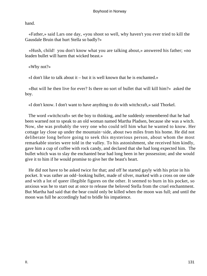hand.

 «Father,» said Lars one day, «you shoot so well, why haven't you ever tried to kill the Gausdale Bruin that hurt Stella so badly?»

 «Hush, child! you don't know what you are talking about,» answered his father; «no leaden bullet will harm that wicked beast.»

«Why not?»

«I don't like to talk about it – but it is well known that he is enchanted.»

 «But will he then live for ever? Is there no sort of bullet that will kill him?» asked the boy.

«I don't know. I don't want to have anything to do with witchcraft,» said Thorkel.

 The word «witchcraft» set the boy to thinking, and he suddenly remembered that he had been warned not to speak to an old woman named Martha Pladsen, because she was a witch. Now, she was probably the very one who could tell him what he wanted to know. Her cottage lay close up under the mountain−side, about two miles from his home. He did not deliberate long before going to seek this mysterious person, about whom the most remarkable stories were told in the valley. To his astonishment, she received him kindly, gave him a cup of coffee with rock candy, and declared that she had long expected him. The bullet which was to slay the enchanted bear had long been in her possession; and she would give it to him if he would promise to give her the beast's heart.

 He did not have to be asked twice for that; and off he started gayly with his prize in his pocket. It was rather an odd−looking bullet, made of silver, marked with a cross on one side and with a lot of queer illegible figures on the other. It seemed to burn in his pocket, so anxious was he to start out at once to release the beloved Stella from the cruel enchantment. But Martha had said that the bear could only be killed when the moon was full; and until the moon was full he accordingly had to bridle his impatience.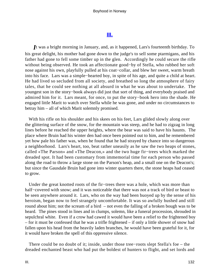### **[III.](#page-136-0)**

<span id="page-132-0"></span>*I*t was a bright morning in January, and, as it happened, Lars's fourteenth birthday. To his great delight, his mother had gone down to the judge's to sell some ptarmigans, and his father had gone to fell some timber up in the glen. Accordingly he could secure the rifle without being observed. He took an affectionate good−by of Stella, who rubbed her soft nose against his own, playfully pulled at his coat−collar, and blew her sweet, warm breath into his face. Lars was a simple−hearted boy, in spite of his age, and quite a child at heart. He had lived so secluded from all society, and breathed so long the atmosphere of fairy tales, that he could see nothing at all absurd in what he was about to undertake. The youngest son in the story−book always did just that sort of thing, and everybody praised and admired him for it. Lars meant, for once, to put the story−book hero into the shade. He engaged little Marit to watch over Stella while he was gone, and under no circumstances to betray him – all of which Marit solemnly promised.

 With his rifle on his shoulder and his skees on his feet, Lars glided slowly along over the glittering surface of the snow, for the mountain was steep, and he had to zigzag in long lines before he reached the upper heights, where the bear was said to have his haunts. The place where Bruin had his winter den had once been pointed out to him, and he remembered yet how pale his father was, when he found that he had strayed by chance into so dangerous a neighborhood. Lars's heart, too, beat rather uneasily as he saw the two heaps of stones, called «The Parson» and «The Deacon,» and the two huge fir−trees which marked the dreaded spot. It had been customary from immemorial time for each person who passed along the road to throw a large stone on the Parson's heap, and a small one on the Deacon's; but since the Gausdale Bruin had gone into winter quarters there, the stone heaps had ceased to grow.

 Under the great knotted roots of the fir−trees there was a hole, which was more than half−covered with snow; and it was noticeable that there was not a track of bird or beast to be seen anywhere around it. Lars, who on the way had been buoyed up by the sense of his heroism, began now to feel strangely uncomfortable. It was so awfully hushed and still round about him; not the scream of a bird – not even the falling of a broken bough was to be heard. The pines stood in lines and in clumps, solemn, like a funeral procession, shrouded in sepulchral white. Even if a crow had cawed it would have been a relief to the frightened boy – for it must be confessed that he was a trifle frightened – if only a little shower of snow had fallen upon his head from the heavily laden branches, he would have been grateful for it, for it would have broken the spell of this oppressive silence.

 There could be no doubt of it; inside, under those tree−roots slept Stella's foe – the dreaded enchanted beast who had put the boldest of hunters to flight, and set lords and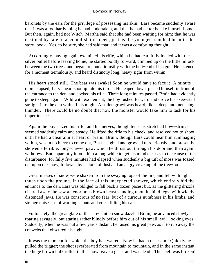baronets by the ears for the privilege of possessing his skin. Lars became suddenly aware that it was a foolhardy thing he had undertaken, and that he had better betake himself home. But then, again, had not Witch−Martha said that she had been waiting for him; that he was destined by fate to accomplish this deed, just as the youngest son had been in the story−book. Yes, to be sure, she had said that; and it was a comforting thought.

 Accordingly, having again examined his rifle, which he had carefully loaded with the silver bullet before leaving home, he started boldly forward, climbed up on the little hillock between the two trees, and began to pound it lustily with the butt−end of his gun. He listened for a moment tremulously, and heard distinctly long, heavy sighs from within.

 His heart stood still. The bear was awake! Soon he would have to face it! A minute more elapsed; Lars's heart shot up into his throat. He leaped down, placed himself in front of the entrance to the den, and cocked his rifle. Three long minutes passed. Bruin had evidently gone to sleep again. Wild with excitement, the boy rushed forward and drove his skee−staff straight into the den with all his might. A sullen growl was heard, like a deep and menacing thunder. There could be no doubt that now the monster would take him to task for his impertinence.

 Again the boy seized his rifle; and his nerves, though tense as stretched bow−strings, seemed suddenly calm and steady. He lifted the rifle to his cheek, and resolved not to shoot until he had a clear aim at heart or brain. Bruin, though Lars could hear him rummaging within, was in no hurry to come out, But he sighed and growled uproariously, and presently showed a terrible, long−clawed paw, which he thrust out through his door and then again withdrew. But apparently it took him a long while to get his mind clear as to the cause of the disturbance; for fully five minutes had elapsed when suddenly a big tuft of moss was tossed out upon the snow, followed by a cloud of dust and an angry creaking of the tree−roots.

 Great masses of snow were shaken from the swaying tops of the firs, and fell with light thuds upon the ground. In the face of this unexpected shower, which entirely hid the entrance to the den, Lars was obliged to fall back a dozen paces; but, as the glittering drizzle cleared away, he saw an enormous brown beast standing upon its hind legs, with widely distended jaws. He was conscious of no fear, but of a curious numbness in his limbs, and strange noises, as of warning shouts and cries, filling his ears.

 Fortunately, the great glare of the sun−smitten snow dazzled Bruin; he advanced slowly, roaring savagely, but staring rather blindly before him out of his small, evil−looking eyes. Suddenly, when he was but a few yards distant, he raised his great paw, as if to rub away the cobwebs that obscured his sight.

 It was the moment for which the boy had waited. Now he had a clear aim! Quickly he pulled the trigger; the shot reverberated from mountain to mountain, and in the same instant the huge brown bulk rolled in the snow, gave a gasp, and was dead! The spell was broken!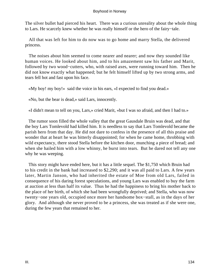The silver bullet had pierced his heart. There was a curious unreality about the whole thing to Lars. He scarcely knew whether he was really himself or the hero of the fairy−tale.

 All that was left for him to do now was to go home and marry Stella, the delivered princess.

 The noises about him seemed to come nearer and nearer; and now they sounded like human voices. He looked about him, and to his amazement saw his father and Marit, followed by two wood−cutters, who, with raised axes, were running toward him. Then he did not know exactly what happened; but he felt himself lifted up by two strong arms, and tears fell hot and fast upon his face.

«My boy! my boy!» said the voice in his ears, «I expected to find you dead.»

«No, but the bear is dead,» said Lars, innocently.

«I didn't mean to tell on you, Lars,» cried Marit, «but I was so afraid, and then I had to.»

 The rumor soon filled the whole valley that the great Gausdale Bruin was dead, and that the boy Lars Tomlevold had killed him. It is needless to say that Lars Tomlevold became the parish hero from that day. He did not dare to confess in the presence of all this praise and wonder that at heart he was bitterly disappointed; for when he came home, throbbing with wild expectancy, there stood Stella before the kitchen door, munching a piece of bread; and when she hailed him with a low whinny, he burst into tears. But he dared not tell any one why he was weeping.

 This story might have ended here, but it has a little sequel. The \$1,750 which Bruin had to his credit in the bank had increased to \$2,290; and it was all paid to Lars. A few years later, Martin Janson, who had inherited the estate of Moe from old Lars, failed in consequence of his daring forest speculations, and young Lars was enabled to buy the farm at auction at less than half its value. Thus he had the happiness to bring his mother back to the place of her birth, of which she had been wrongfully deprived; and Stella, who was now twenty−one years old, occupied once more her handsome box−stall, as in the days of her glory. And although she never proved to be a princess, she was treated as if she were one, during the few years that remained to her.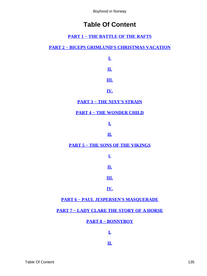# **Table Of Content**

### **[PART 1 − THE BATTLE OF THE RAFTS](#page-3-0)**

### **[PART 2 − BICEPS GRIMLUND'S CHRISTMAS VACATION](#page-17-0)**

**[I.](#page-18-0) [II.](#page-20-0)**

**[III.](#page-22-0)**

**[IV.](#page-24-0)**

**[PART 3 − THE NIXY'S STRAIN](#page-33-0)**

**[PART 4 − THE WONDER CHILD](#page-43-0)**

**[I.](#page-44-0)**

### **[II.](#page-49-0)**

**[PART 5 − THE SONS OF THE VIKINGS](#page-54-0)**

**[I.](#page-55-0)**

**[II.](#page-58-0)**

### **[III.](#page-61-0)**

#### **[IV.](#page-66-0)**

### **[PART 6 − PAUL JESPERSEN'S MASQUERADE](#page-73-0)**

### **[PART 7 − LADY CLARE THE STORY OF A HORSE](#page-81-0)**

**[PART 8 − BONNYBOY](#page-98-0)**

**[I.](#page-99-0)**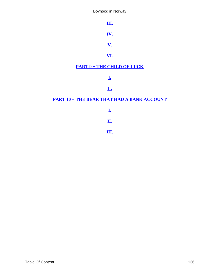<span id="page-136-0"></span>**[III.](#page-103-0) [IV.](#page-106-0) [V.](#page-107-0) [VI.](#page-110-0) [PART 9 − THE CHILD OF LUCK](#page-112-0) [I.](#page-113-0) [II.](#page-119-0) [PART 10 − THE BEAR THAT HAD A BANK ACCOUNT](#page-125-0)**

**[I.](#page-126-0)**

**[II.](#page-129-0)**

**[III.](#page-132-0)**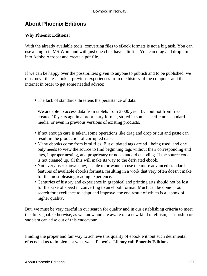# **About Phoenix Editions**

### **Why Phoenix Editions?**

With the already available tools, converting files to eBook formats is not a big task. You can use a plugin in MS Word and with just one click have a lit file. You can drag and drop html into Adobe Acrobat and create a pdf file.

If we can be happy over the possibilities given to anyone to publish and to be published, we must nevertheless look at previous experiences from the history of the computer and the internet in order to get some needed advice:

• The lack of standards threatens the persistance of data.

We are able to access data from tablets from 3.000 year B.C. but not from files created 10 years ago in a proprietary format, stored in some specific non standard media, or even in previous versions of existing products.

- If not enough care is taken, some operations like drag and drop or cut and paste can result in the production of corrupted data.
- Many ebooks come from html files. But outdated tags are still being used, and one only needs to view the source to find beginning tags without their corresponding end tags, improper nesting, and proprietary or non standard encoding. If the source code is not cleaned up, all this will make its way to the derivated ebook.
- Not every user knows how, is able to or wants to use the more advanced standard features of available ebooks formats, resulting in a work that very often doesn't make for the most pleasing reading experience.
- Centuries of history and experience in graphical and printing arts should not be lost for the sake of speed in converting to an ebook format. Much can be done in our search for excellence to adapt and improve, the end result of which is a ebook of higher quality.

But, we must be very careful in our search for quality and in our establishing criteria to meet this lofty goal. Otherwise, as we know and are aware of, a new kind of elitism, censorship or snobism can arise out of this endeavour.

Finding the proper and fair way to achieve this quality of ebook without such detrimental effects led us to implement what we at Phoenix−Library call **Phoenix Editions**.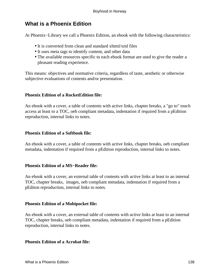## **What is a Phoenix Edition**

At Phoenix−Library we call a Phoenix Edition, an ebook with the following characteristics:

- It is converted from clean and standard xhtml/xml files
- It uses meta tags to identify content, and other data
- The available resources specific to each ebook format are used to give the reader a pleasant reading experience.

This means: objectives and normative criteria, regardless of taste, aesthetic or otherwise subjective evaluations of contents and/or presentation.

### **Phoenix Edition of a RocketEdition file:**

An ebook with a cover, a table of contents with active links, chapter breaks, a "go to" touch access at least to a TOC, oeb compliant metadata, indentation if required from a pEdition reproduction, internal links to notes.

#### **Phoenix Edition of a Softbook file:**

An ebook with a cover, a table of contents with active links, chapter breaks, oeb compliant metadata, indentation if required from a pEdition reproduction, internal links to notes.

#### **Phoenix Edition of a MS−Reader file:**

An ebook with a cover, an external table of contents with active links at least to an internal TOC, chapter breaks, images, oeb compliant metadata, indentation if required from a pEditon reproduction, internal links to notes.

#### **Phoenix Edition of a Mobipocket file:**

An ebook with a cover, an external table of contents with active links at least to an internal TOC, chapter breaks, oeb compliant metadata, indentation if required from a pEdition reproduction, internal links to notes.

#### **Phoenix Edition of a Acrobat file:**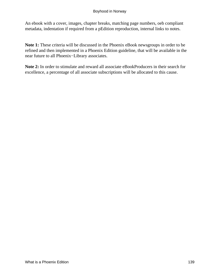An ebook with a cover, images, chapter breaks, matching page numbers, oeb compliant metadata, indentation if required from a pEdition reproduction, internal links to notes.

**Note 1:** These criteria will be discussed in the Phoenix eBook newsgroups in order to be refined and then implemented in a Phoenix Edition guideline, that will be available in the near future to all Phoenix−Library associates.

**Note 2:** In order to stimulate and reward all associate eBookProducers in their search for excellence, a percentage of all associate subscriptions will be allocated to this cause.